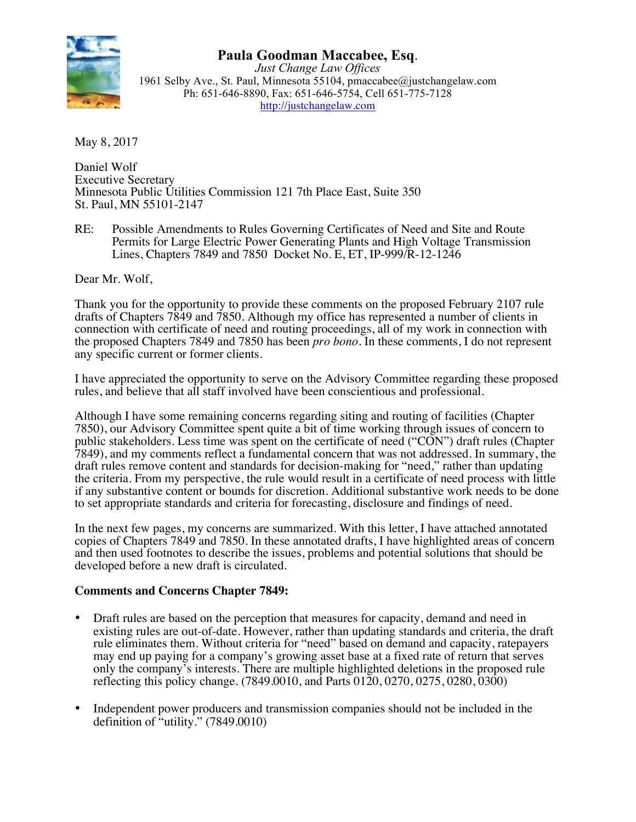

# **Paula Goodman Maccabee, Esq**. *Just Change Law Offices*

1961 Selby Ave., St. Paul, Minnesota 55104, pmaccabee@justchangelaw.com Ph: 651-646-8890, Fax: 651-646-5754, Cell 651-775-7128 http://justchangelaw.com

May 8, 2017

Daniel Wolf Executive Secretary Minnesota Public Utilities Commission 121 7th Place East, Suite 350 St. Paul, MN 55101-2147

RE: Possible Amendments to Rules Governing Certificates of Need and Site and Route Permits for Large Electric Power Generating Plants and High Voltage Transmission Lines, Chapters 7849 and 7850 Docket No. E, ET, IP-999/R-12-1246

Dear Mr. Wolf,

Thank you for the opportunity to provide these comments on the proposed February 2107 rule drafts of Chapters 7849 and 7850. Although my office has represented a number of clients in connection with certificate of need and routing proceedings, all of my work in connection with the proposed Chapters 7849 and 7850 has been *pro bono*. In these comments, I do not represent any specific current or former clients.

I have appreciated the opportunity to serve on the Advisory Committee regarding these proposed rules, and believe that all staff involved have been conscientious and professional.

Although I have some remaining concerns regarding siting and routing of facilities (Chapter 7850), our Advisory Committee spent quite a bit of time working through issues of concern to public stakeholders. Less time was spent on the certificate of need ("CON") draft rules (Chapter 7849), and my comments reflect a fundamental concern that was not addressed. In summary, the draft rules remove content and standards for decision-making for "need," rather than updating the criteria. From my perspective, the rule would result in a certificate of need process with little if any substantive content or bounds for discretion. Additional substantive work needs to be done to set appropriate standards and criteria for forecasting, disclosure and findings of need.

In the next few pages, my concerns are summarized. With this letter, I have attached annotated copies of Chapters 7849 and 7850. In these annotated drafts, I have highlighted areas of concern and then used footnotes to describe the issues, problems and potential solutions that should be developed before a new draft is circulated.

#### **Comments and Concerns Chapter 7849:**

- Draft rules are based on the perception that measures for capacity, demand and need in existing rules are out-of-date. However, rather than updating standards and criteria, the draft rule eliminates them. Without criteria for "need" based on demand and capacity, ratepayers may end up paying for a company's growing asset base at a fixed rate of return that serves only the company's interests. There are multiple highlighted deletions in the proposed rule reflecting this policy change. (7849.0010, and Parts 0120, 0270, 0275, 0280, 0300)
- Independent power producers and transmission companies should not be included in the definition of "utility." (7849.0010)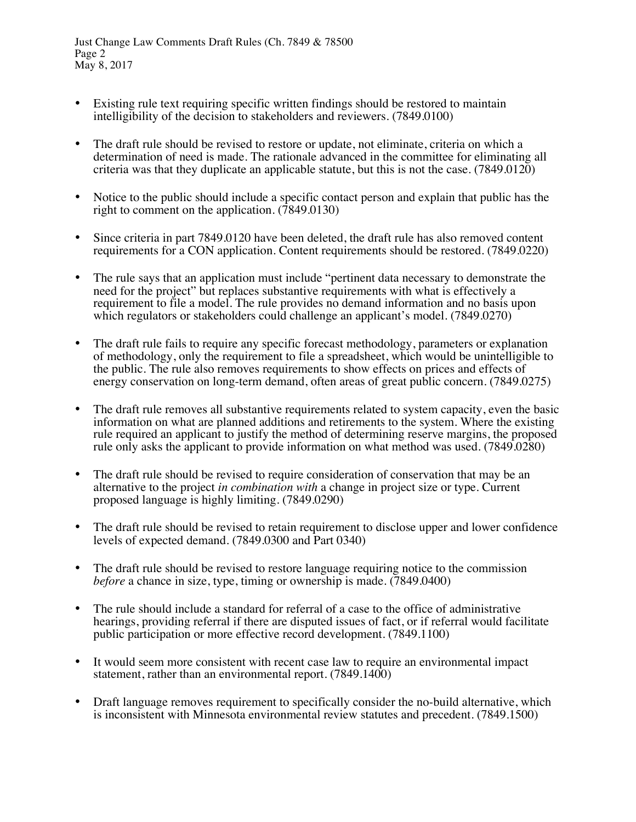- Existing rule text requiring specific written findings should be restored to maintain intelligibility of the decision to stakeholders and reviewers. (7849.0100)
- The draft rule should be revised to restore or update, not eliminate, criteria on which a determination of need is made. The rationale advanced in the committee for eliminating all criteria was that they duplicate an applicable statute, but this is not the case. (7849.0120)
- Notice to the public should include a specific contact person and explain that public has the right to comment on the application.  $(7849.0130)$
- Since criteria in part 7849.0120 have been deleted, the draft rule has also removed content requirements for a CON application. Content requirements should be restored. (7849.0220)
- The rule says that an application must include "pertinent data necessary to demonstrate the need for the project" but replaces substantive requirements with what is effectively a requirement to file a model. The rule provides no demand information and no basis upon which regulators or stakeholders could challenge an applicant's model. (7849.0270)
- The draft rule fails to require any specific forecast methodology, parameters or explanation of methodology, only the requirement to file a spreadsheet, which would be unintelligible to the public. The rule also removes requirements to show effects on prices and effects of energy conservation on long-term demand, often areas of great public concern. (7849.0275)
- The draft rule removes all substantive requirements related to system capacity, even the basic information on what are planned additions and retirements to the system. Where the existing rule required an applicant to justify the method of determining reserve margins, the proposed rule only asks the applicant to provide information on what method was used. (7849.0280)
- The draft rule should be revised to require consideration of conservation that may be an alternative to the project *in combination with* a change in project size or type. Current proposed language is highly limiting. (7849.0290)
- The draft rule should be revised to retain requirement to disclose upper and lower confidence levels of expected demand. (7849.0300 and Part 0340)
- The draft rule should be revised to restore language requiring notice to the commission *before* a chance in size, type, timing or ownership is made. (7849.0400)
- The rule should include a standard for referral of a case to the office of administrative hearings, providing referral if there are disputed issues of fact, or if referral would facilitate public participation or more effective record development. (7849.1100)
- It would seem more consistent with recent case law to require an environmental impact statement, rather than an environmental report. (7849.1400)
- Draft language removes requirement to specifically consider the no-build alternative, which is inconsistent with Minnesota environmental review statutes and precedent. (7849.1500)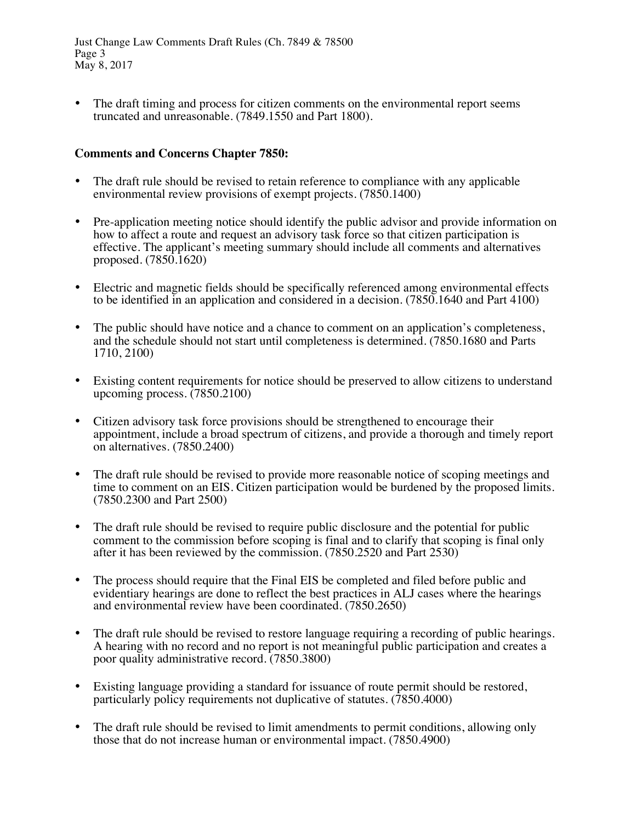The draft timing and process for citizen comments on the environmental report seems truncated and unreasonable. (7849.1550 and Part 1800).

## **Comments and Concerns Chapter 7850:**

- The draft rule should be revised to retain reference to compliance with any applicable environmental review provisions of exempt projects. (7850.1400)
- Pre-application meeting notice should identify the public advisor and provide information on how to affect a route and request an advisory task force so that citizen participation is effective. The applicant's meeting summary should include all comments and alternatives proposed. (7850.1620)
- Electric and magnetic fields should be specifically referenced among environmental effects to be identified in an application and considered in a decision. (7850.1640 and Part 4100)
- The public should have notice and a chance to comment on an application's completeness, and the schedule should not start until completeness is determined. (7850.1680 and Parts 1710, 2100)
- Existing content requirements for notice should be preserved to allow citizens to understand upcoming process. (7850.2100)
- Citizen advisory task force provisions should be strengthened to encourage their appointment, include a broad spectrum of citizens, and provide a thorough and timely report on alternatives. (7850.2400)
- The draft rule should be revised to provide more reasonable notice of scoping meetings and time to comment on an EIS. Citizen participation would be burdened by the proposed limits. (7850.2300 and Part 2500)
- The draft rule should be revised to require public disclosure and the potential for public comment to the commission before scoping is final and to clarify that scoping is final only after it has been reviewed by the commission. (7850.2520 and Part 2530)
- The process should require that the Final EIS be completed and filed before public and evidentiary hearings are done to reflect the best practices in ALJ cases where the hearings and environmental review have been coordinated. (7850.2650)
- The draft rule should be revised to restore language requiring a recording of public hearings. A hearing with no record and no report is not meaningful public participation and creates a poor quality administrative record. (7850.3800)
- Existing language providing a standard for issuance of route permit should be restored, particularly policy requirements not duplicative of statutes. (7850.4000)
- The draft rule should be revised to limit amendments to permit conditions, allowing only those that do not increase human or environmental impact. (7850.4900)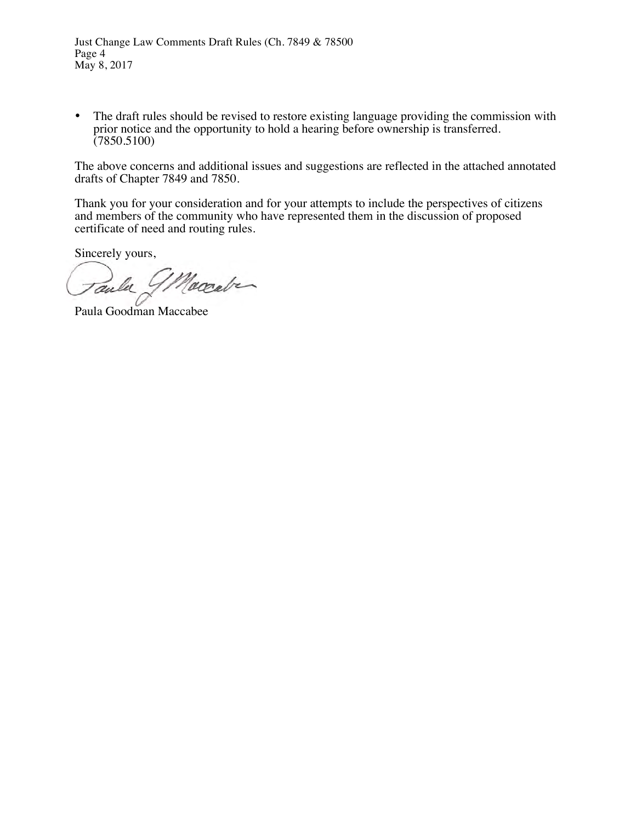• The draft rules should be revised to restore existing language providing the commission with prior notice and the opportunity to hold a hearing before ownership is transferred. (7850.5100)

The above concerns and additional issues and suggestions are reflected in the attached annotated drafts of Chapter 7849 and 7850.

Thank you for your consideration and for your attempts to include the perspectives of citizens and members of the community who have represented them in the discussion of proposed certificate of need and routing rules.

Sincerely yours,

Maccabe aula

Paula Goodman Maccabee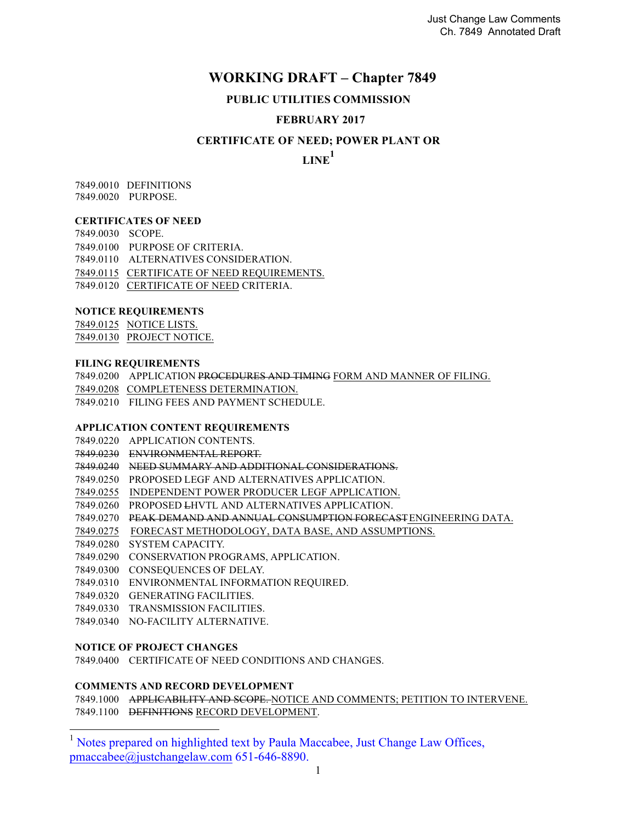# **WORKING DRAFT – Chapter 7849**

#### **PUBLIC UTILITIES COMMISSION**

#### **FEBRUARY 2017**

#### **CERTIFICATE OF NEED; POWER PLANT OR**

**LINE<sup>1</sup>**

7849.0010 DEFINITIONS 7849.0020 PURPOSE.

#### **CERTIFICATES OF NEED**

7849.0030 SCOPE. 7849.0100 PURPOSE OF CRITERIA. 7849.0110 ALTERNATIVES CONSIDERATION. 7849.0115 CERTIFICATE OF NEED REQUIREMENTS. 7849.0120 CERTIFICATE OF NEED CRITERIA.

#### **NOTICE REQUIREMENTS**

7849.0125 NOTICE LISTS. 7849.0130 PROJECT NOTICE.

#### **FILING REQUIREMENTS**

7849.0200 APPLICATION PROCEDURES AND TIMING FORM AND MANNER OF FILING.

7849.0208 COMPLETENESS DETERMINATION.

7849.0210 FILING FEES AND PAYMENT SCHEDULE.

#### **APPLICATION CONTENT REQUIREMENTS**

7849.0220 APPLICATION CONTENTS.

7849.0230 ENVIRONMENTAL REPORT.

7849.0240 NEED SUMMARY AND ADDITIONAL CONSIDERATIONS.

7849.0250 PROPOSED LEGF AND ALTERNATIVES APPLICATION.

7849.0255 INDEPENDENT POWER PRODUCER LEGF APPLICATION.

7849.0260 PROPOSED LHVTL AND ALTERNATIVES APPLICATION.

7849.0270 PEAK DEMAND AND ANNUAL CONSUMPTION FORECAST ENGINEERING DATA.

7849.0275 FORECAST METHODOLOGY, DATA BASE, AND ASSUMPTIONS.

7849.0280 SYSTEM CAPACITY.

7849.0290 CONSERVATION PROGRAMS, APPLICATION.

7849.0300 CONSEQUENCES OF DELAY.

7849.0310 ENVIRONMENTAL INFORMATION REQUIRED.

7849.0320 GENERATING FACILITIES.

7849.0330 TRANSMISSION FACILITIES.

7849.0340 NO-FACILITY ALTERNATIVE.

#### **NOTICE OF PROJECT CHANGES**

7849.0400 CERTIFICATE OF NEED CONDITIONS AND CHANGES.

#### **COMMENTS AND RECORD DEVELOPMENT**

7849.1000 APPLICABILITY AND SCOPE. NOTICE AND COMMENTS; PETITION TO INTERVENE. 7849.1100 DEFINITIONS RECORD DEVELOPMENT.

<sup>&</sup>lt;sup>1</sup> Notes prepared on highlighted text by Paula Maccabee, Just Change Law Offices, pmaccabee@justchangelaw.com 651-646-8890.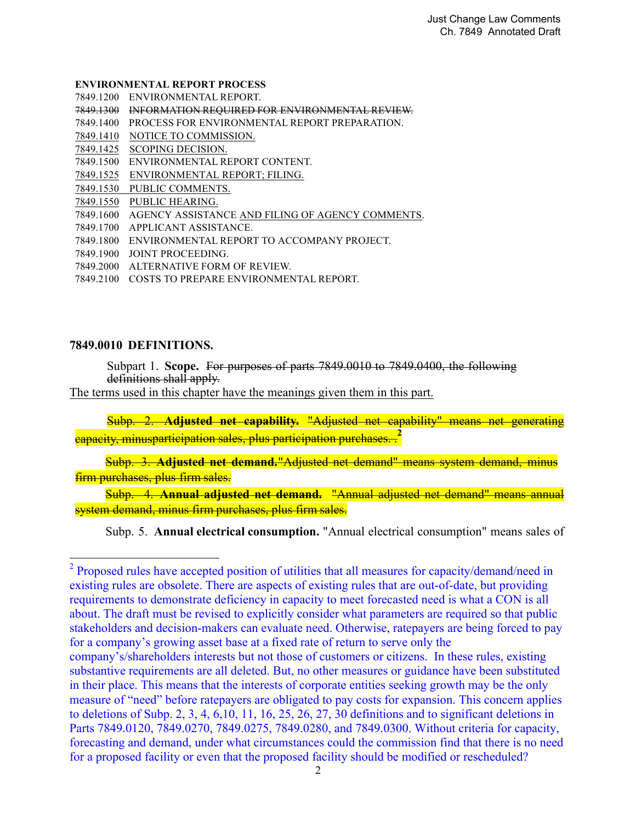#### **ENVIRONMENTAL REPORT PROCESS**

- 7849.1200 ENVIRONMENTAL REPORT.
- 7849.1300 INFORMATION REQUIRED FOR ENVIRONMENTAL REVIEW.
- 7849.1400 PROCESS FOR ENVIRONMENTAL REPORT PREPARATION.
- 7849.1410 NOTICE TO COMMISSION.
- 7849.1425 SCOPING DECISION.
- 7849.1500 ENVIRONMENTAL REPORT CONTENT.
- 7849.1525 ENVIRONMENTAL REPORT; FILING.
- 7849.1530 PUBLIC COMMENTS.
- 7849.1550 PUBLIC HEARING.
- 7849.1600 AGENCY ASSISTANCE AND FILING OF AGENCY COMMENTS.
- 7849.1700 APPLICANT ASSISTANCE.
- 7849.1800 ENVIRONMENTAL REPORT TO ACCOMPANY PROJECT.
- 7849.1900 JOINT PROCEEDING.
- 7849.2000 ALTERNATIVE FORM OF REVIEW.
- 7849.2100 COSTS TO PREPARE ENVIRONMENTAL REPORT.

#### **7849.0010 DEFINITIONS.**

<u>.</u>

Subpart 1. **Scope.** For purposes of parts 7849.0010 to 7849.0400, the following definitions shall apply.

The terms used in this chapter have the meanings given them in this part.

 Subp. 2. **Adjusted net capability.** "Adjusted net capability" means net generating capacity, minusparticipation sales, plus participation purchases. .**<sup>2</sup>**

Subp. 3. **Adjusted net demand.** "Adjusted net demand" means system demand, minus firm purchases, plus firm sales.

Subp. 4. **Annual adjusted net demand.** "Annual adjusted net demand" means annual system demand, minus firm purchases, plus firm sales.

Subp. 5. **Annual electrical consumption.** "Annual electrical consumption" means sales of

<sup>&</sup>lt;sup>2</sup> Proposed rules have accepted position of utilities that all measures for capacity/demand/need in existing rules are obsolete. There are aspects of existing rules that are out-of-date, but providing requirements to demonstrate deficiency in capacity to meet forecasted need is what a CON is all about. The draft must be revised to explicitly consider what parameters are required so that public stakeholders and decision-makers can evaluate need. Otherwise, ratepayers are being forced to pay for a company's growing asset base at a fixed rate of return to serve only the company's/shareholders interests but not those of customers or citizens. In these rules, existing substantive requirements are all deleted. But, no other measures or guidance have been substituted in their place. This means that the interests of corporate entities seeking growth may be the only measure of "need" before ratepayers are obligated to pay costs for expansion. This concern applies to deletions of Subp. 2, 3, 4, 6,10, 11, 16, 25, 26, 27, 30 definitions and to significant deletions in Parts 7849.0120, 7849.0270, 7849.0275, 7849.0280, and 7849.0300. Without criteria for capacity, forecasting and demand, under what circumstances could the commission find that there is no need for a proposed facility or even that the proposed facility should be modified or rescheduled?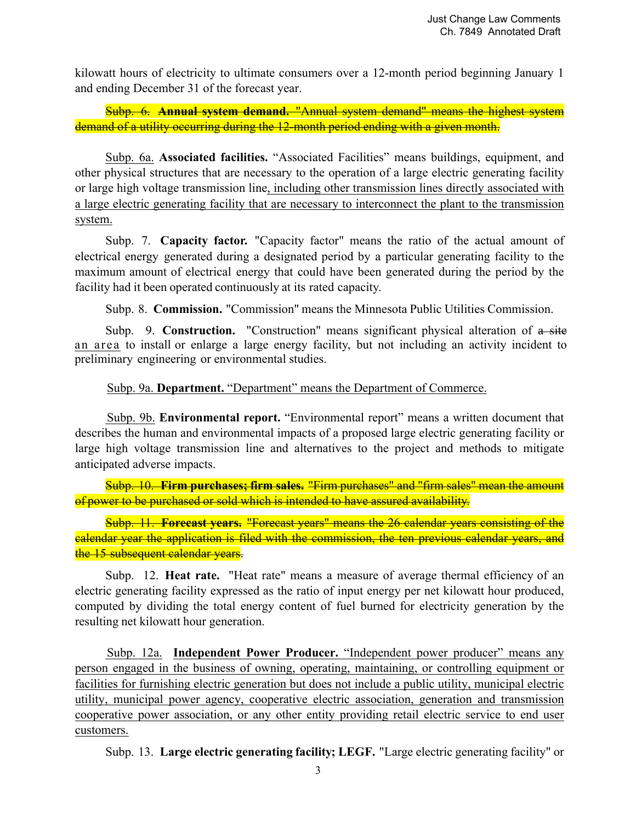kilowatt hours of electricity to ultimate consumers over a 12-month period beginning January 1 and ending December 31 of the forecast year.

Subp. 6. **Annual system demand.** "Annual system demand" means the highest system demand of a utility occurring during the 12-month period ending with a given month.

Subp. 6a. **Associated facilities.** "Associated Facilities" means buildings, equipment, and other physical structures that are necessary to the operation of a large electric generating facility or large high voltage transmission line, including other transmission lines directly associated with a large electric generating facility that are necessary to interconnect the plant to the transmission system.

Subp. 7. **Capacity factor.** "Capacity factor" means the ratio of the actual amount of electrical energy generated during a designated period by a particular generating facility to the maximum amount of electrical energy that could have been generated during the period by the facility had it been operated continuously at its rated capacity.

Subp. 8. **Commission.** "Commission" means the Minnesota Public Utilities Commission.

Subp. 9. **Construction.** "Construction" means significant physical alteration of a site an area to install or enlarge a large energy facility, but not including an activity incident to preliminary engineering or environmental studies.

#### Subp. 9a. **Department.** "Department" means the Department of Commerce.

 Subp. 9b. **Environmental report.** "Environmental report" means a written document that describes the human and environmental impacts of a proposed large electric generating facility or large high voltage transmission line and alternatives to the project and methods to mitigate anticipated adverse impacts.

Subp. 10. **Firm purchases; firm sales.** "Firm purchases" and "firm sales" mean the amount of power to be purchased or sold which is intended to have assured availability.

Subp. 11. **Forecast years.** "Forecast years" means the 26 calendar years consisting of the calendar year the application is filed with the commission, the ten previous calendar years, and the 15 subsequent calendar years.

Subp. 12. **Heat rate.** "Heat rate" means a measure of average thermal efficiency of an electric generating facility expressed as the ratio of input energy per net kilowatt hour produced, computed by dividing the total energy content of fuel burned for electricity generation by the resulting net kilowatt hour generation.

 Subp. 12a. **Independent Power Producer.** "Independent power producer" means any person engaged in the business of owning, operating, maintaining, or controlling equipment or facilities for furnishing electric generation but does not include a public utility, municipal electric utility, municipal power agency, cooperative electric association, generation and transmission cooperative power association, or any other entity providing retail electric service to end user customers.

Subp. 13. **Large electric generating facility; LEGF.** "Large electric generating facility" or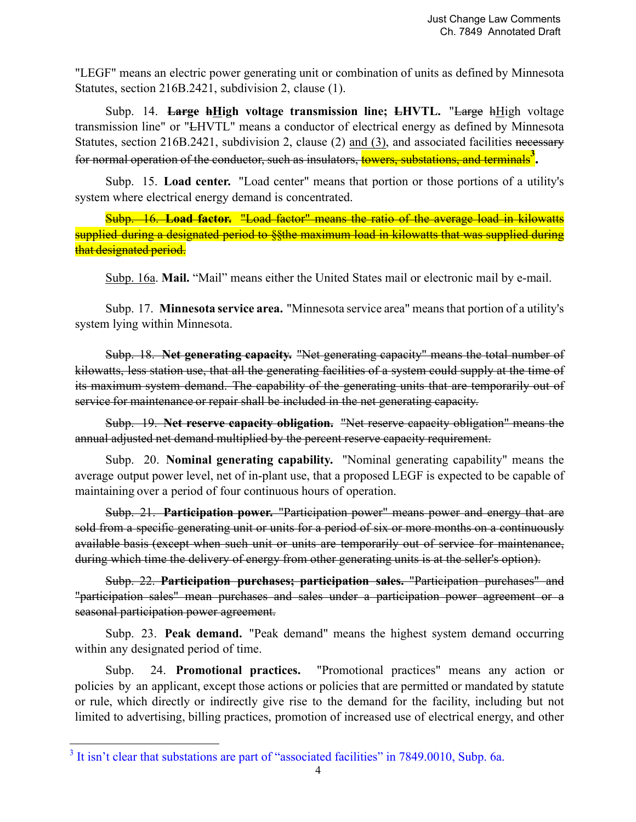"LEGF" means an electric power generating unit or combination of units as defined by Minnesota Statutes, section 216B.2421, subdivision 2, clause (1).

Subp. 14. **Large hHigh voltage transmission line; LHVTL.** "Large hHigh voltage transmission line" or "LHVTL" means a conductor of electrical energy as defined by Minnesota Statutes, section 216B.2421, subdivision 2, clause (2) and (3), and associated facilities necessary for normal operation of the conductor, such as insulators, towers, substations, and terminals**<sup>3</sup> .**

Subp. 15. **Load center.** "Load center" means that portion or those portions of a utility's system where electrical energy demand is concentrated.

Subp. 16. **Load factor.** "Load factor" means the ratio of the average load in kilowatts supplied during a designated period to §§the maximum load in kilowatts that was supplied during that designated period.

Subp. 16a. **Mail.** "Mail" means either the United States mail or electronic mail by e-mail.

Subp. 17. **Minnesota service area.** "Minnesota service area" means that portion of a utility's system lying within Minnesota.

Subp. 18. **Net generating capacity.** "Net generating capacity" means the total number of kilowatts, less station use, that all the generating facilities of a system could supply at the time of its maximum system demand. The capability of the generating units that are temporarily out of service for maintenance or repair shall be included in the net generating capacity.

Subp. 19. **Net reserve capacity obligation.** "Net reserve capacity obligation" means the annual adjusted net demand multiplied by the percent reserve capacity requirement.

Subp. 20. **Nominal generating capability.** "Nominal generating capability" means the average output power level, net of in-plant use, that a proposed LEGF is expected to be capable of maintaining over a period of four continuous hours of operation.

Subp. 21. **Participation power.** "Participation power" means power and energy that are sold from a specific generating unit or units for a period of six or more months on a continuously available basis (except when such unit or units are temporarily out of service for maintenance, during which time the delivery of energy from other generating units is at the seller's option).

Subp. 22. **Participation purchases; participation sales.** "Participation purchases" and "participation sales" mean purchases and sales under a participation power agreement or a seasonal participation power agreement.

Subp. 23. **Peak demand.** "Peak demand" means the highest system demand occurring within any designated period of time.

Subp. 24. **Promotional practices.** "Promotional practices" means any action or policies by an applicant, except those actions or policies that are permitted or mandated by statute or rule, which directly or indirectly give rise to the demand for the facility, including but not limited to advertising, billing practices, promotion of increased use of electrical energy, and other

<u>.</u>

 $3$  It isn't clear that substations are part of "associated facilities" in 7849.0010, Subp. 6a.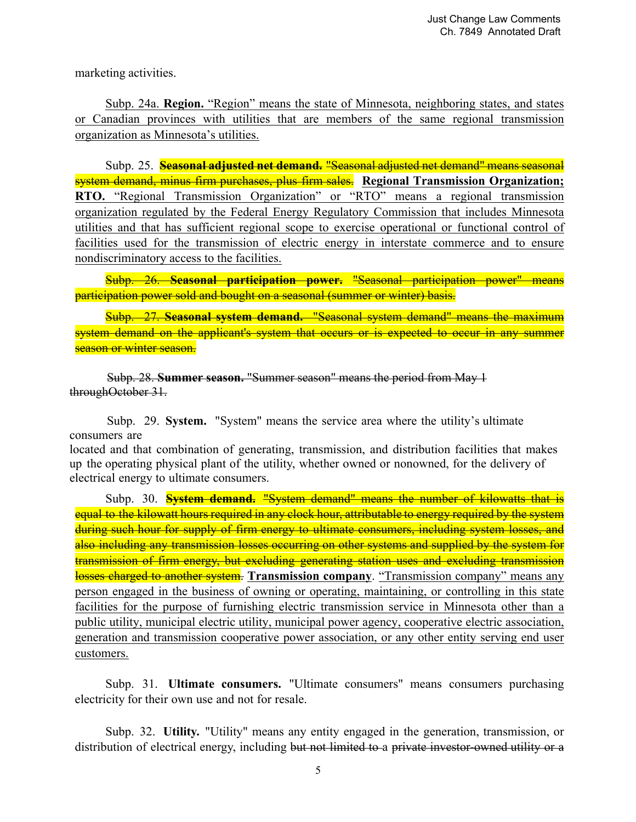marketing activities.

Subp. 24a. **Region.** "Region" means the state of Minnesota, neighboring states, and states or Canadian provinces with utilities that are members of the same regional transmission organization as Minnesota's utilities.

Subp. 25. **Seasonal adjusted net demand.** "Seasonal adjusted net demand" means seasonal system demand, minus firm purchases, plus firm sales. **Regional Transmission Organization; RTO.** "Regional Transmission Organization" or "RTO" means a regional transmission organization regulated by the Federal Energy Regulatory Commission that includes Minnesota utilities and that has sufficient regional scope to exercise operational or functional control of facilities used for the transmission of electric energy in interstate commerce and to ensure nondiscriminatory access to the facilities.

Subp. 26. **Seasonal participation power.** "Seasonal participation power" means participation power sold and bought on a seasonal (summer or winter) basis.

Subp. 27. **Seasonal system demand.** "Seasonal system demand" means the maximum system demand on the applicant's system that occurs or is expected to occur in any summer season or winter season.

 Subp. 28. **Summer season.** "Summer season" means the period from May 1 throughOctober 31.

 Subp. 29. **System.** "System" means the service area where the utility's ultimate consumers are

located and that combination of generating, transmission, and distribution facilities that makes up the operating physical plant of the utility, whether owned or nonowned, for the delivery of electrical energy to ultimate consumers.

Subp. 30. **System demand.** "System demand" means the number of kilowatts that is equal to the kilowatt hours required in any clock hour, attributable to energy required by the system during such hour for supply of firm energy to ultimate consumers, including system losses, and also including any transmission losses occurring on other systems and supplied by the system for transmission of firm energy, but excluding generating station uses and excluding transmission losses charged to another system. **Transmission company**. "Transmission company" means any person engaged in the business of owning or operating, maintaining, or controlling in this state facilities for the purpose of furnishing electric transmission service in Minnesota other than a public utility, municipal electric utility, municipal power agency, cooperative electric association, generation and transmission cooperative power association, or any other entity serving end user customers.

Subp. 31. **Ultimate consumers.** "Ultimate consumers" means consumers purchasing electricity for their own use and not for resale.

Subp. 32. **Utility.** "Utility" means any entity engaged in the generation, transmission, or distribution of electrical energy, including but not limited to a private investor-owned utility or a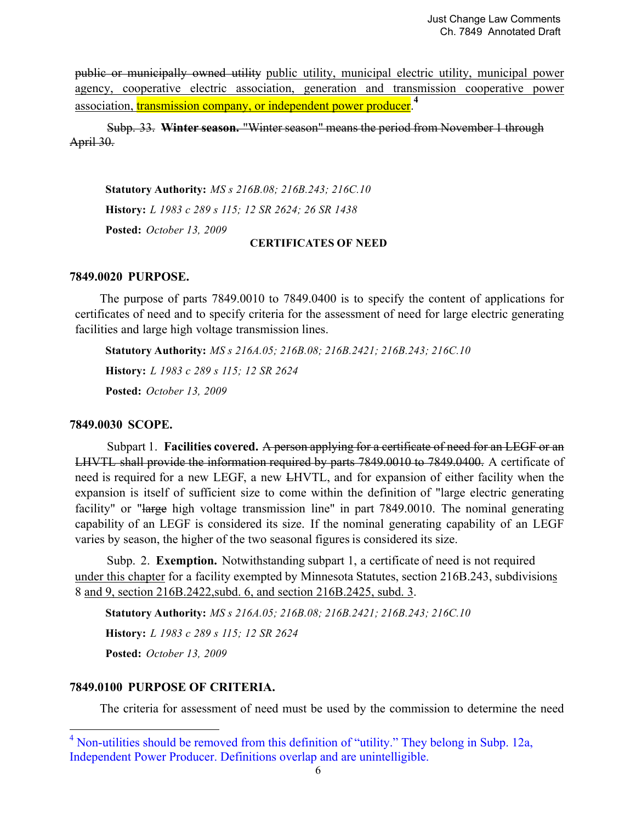public or municipally owned utility public utility, municipal electric utility, municipal power agency, cooperative electric association, generation and transmission cooperative power association, *transmission company*, or independent power producer.<sup>4</sup>

 Subp. 33. **Winter season.** "Winter season" means the period from November 1 through April 30.

**Statutory Authority:** *MS s 216B.08; 216B.243; 216C.10* **History:** *L 1983 c 289 s 115; 12 SR 2624; 26 SR 1438* **Posted:** *October 13, 2009* **CERTIFICATES OF NEED**

#### **7849.0020 PURPOSE.**

The purpose of parts 7849.0010 to 7849.0400 is to specify the content of applications for certificates of need and to specify criteria for the assessment of need for large electric generating facilities and large high voltage transmission lines.

**Statutory Authority:** *MS s 216A.05; 216B.08; 216B.2421; 216B.243; 216C.10* **History:** *L 1983 c 289 s 115; 12 SR 2624* **Posted:** *October 13, 2009*

#### **7849.0030 SCOPE.**

Subpart 1. **Facilities covered.** A person applying for a certificate of need for an LEGF or an LHVTL shall provide the information required by parts 7849.0010 to 7849.0400. A certificate of need is required for a new LEGF, a new LHVTL, and for expansion of either facility when the expansion is itself of sufficient size to come within the definition of "large electric generating facility" or "large high voltage transmission line" in part 7849.0010. The nominal generating capability of an LEGF is considered its size. If the nominal generating capability of an LEGF varies by season, the higher of the two seasonal figures is considered its size.

Subp. 2. **Exemption.** Notwithstanding subpart 1, a certificate of need is not required under this chapter for a facility exempted by Minnesota Statutes, section 216B.243, subdivisions 8 and 9, section 216B.2422,subd. 6, and section 216B.2425, subd. 3.

**Statutory Authority:** *MS s 216A.05; 216B.08; 216B.2421; 216B.243; 216C.10* **History:** *L 1983 c 289 s 115; 12 SR 2624* **Posted:** *October 13, 2009*

## **7849.0100 PURPOSE OF CRITERIA.**

-

The criteria for assessment of need must be used by the commission to determine the need

<sup>&</sup>lt;sup>4</sup> Non-utilities should be removed from this definition of "utility." They belong in Subp. 12a, Independent Power Producer. Definitions overlap and are unintelligible.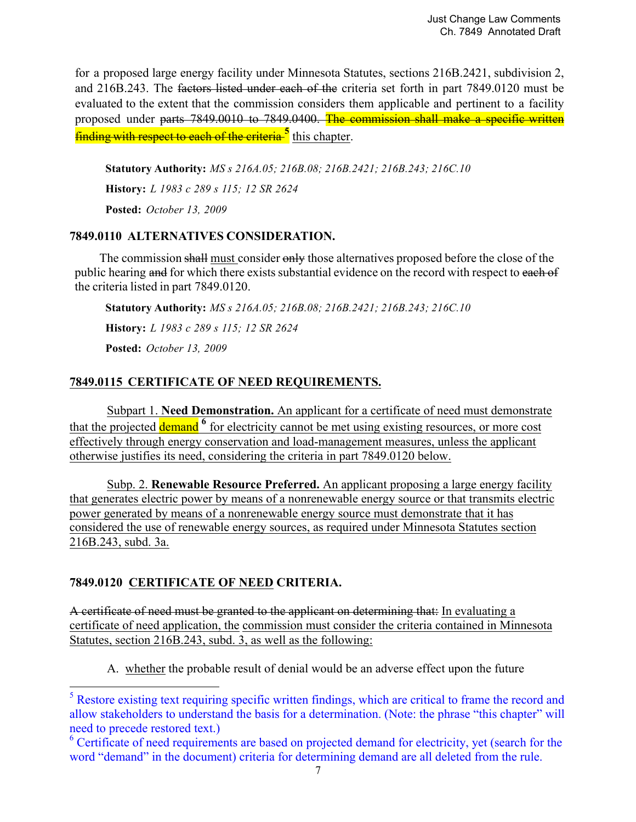for a proposed large energy facility under Minnesota Statutes, sections 216B.2421, subdivision 2, and 216B.243. The factors listed under each of the criteria set forth in part 7849.0120 must be evaluated to the extent that the commission considers them applicable and pertinent to a facility proposed under parts 7849.0010 to 7849.0400. The commission shall make a specific written **finding with respect to each of the criteria<sup>5</sup> this chapter.** 

**Statutory Authority:** *MS s 216A.05; 216B.08; 216B.2421; 216B.243; 216C.10* **History:** *L 1983 c 289 s 115; 12 SR 2624*

**Posted:** *October 13, 2009*

## **7849.0110 ALTERNATIVES CONSIDERATION.**

The commission shall must consider only those alternatives proposed before the close of the public hearing and for which there exists substantial evidence on the record with respect to each of the criteria listed in part 7849.0120.

**Statutory Authority:** *MS s 216A.05; 216B.08; 216B.2421; 216B.243; 216C.10*

**History:** *L 1983 c 289 s 115; 12 SR 2624*

**Posted:** *October 13, 2009*

# **7849.0115 CERTIFICATE OF NEED REQUIREMENTS.**

 Subpart 1. **Need Demonstration.** An applicant for a certificate of need must demonstrate that the projected demand **<sup>6</sup>** for electricity cannot be met using existing resources, or more cost effectively through energy conservation and load-management measures, unless the applicant otherwise justifies its need, considering the criteria in part 7849.0120 below.

 Subp. 2. **Renewable Resource Preferred.** An applicant proposing a large energy facility that generates electric power by means of a nonrenewable energy source or that transmits electric power generated by means of a nonrenewable energy source must demonstrate that it has considered the use of renewable energy sources, as required under Minnesota Statutes section 216B.243, subd. 3a.

# **7849.0120 CERTIFICATE OF NEED CRITERIA.**

**.** 

A certificate of need must be granted to the applicant on determining that: In evaluating a certificate of need application, the commission must consider the criteria contained in Minnesota Statutes, section 216B.243, subd. 3, as well as the following:

A. whether the probable result of denial would be an adverse effect upon the future

<sup>&</sup>lt;sup>5</sup> Restore existing text requiring specific written findings, which are critical to frame the record and allow stakeholders to understand the basis for a determination. (Note: the phrase "this chapter" will need to precede restored text.)

<sup>&</sup>lt;sup>6</sup> Certificate of need requirements are based on projected demand for electricity, yet (search for the word "demand" in the document) criteria for determining demand are all deleted from the rule.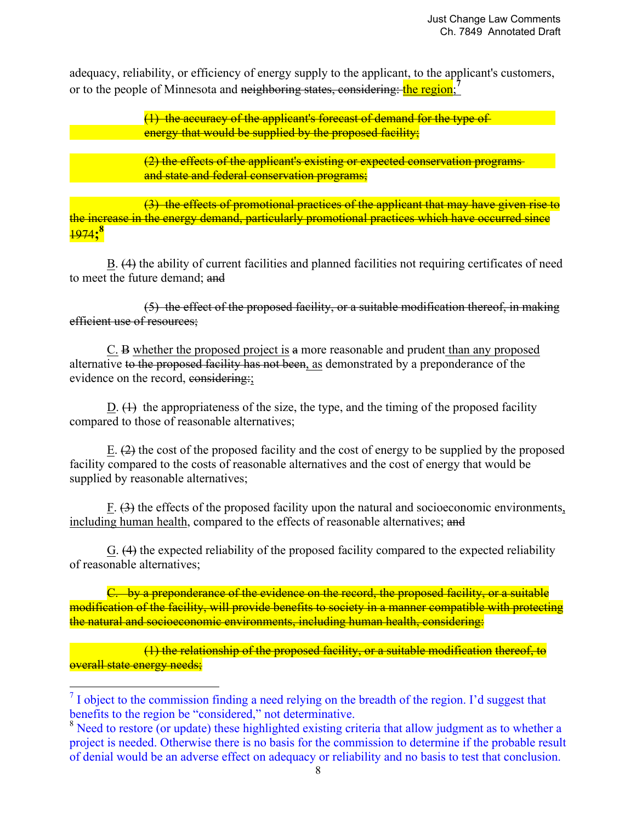adequacy, reliability, or efficiency of energy supply to the applicant, to the applicant's customers, or to the people of Minnesota and neighboring states, considering: the region;

> (1) the accuracy of the applicant's forecast of demand for the type of energy that would be supplied by the proposed facility;

 (2) the effects of the applicant's existing or expected conservation programs and state and federal conservation programs;

 (3) the effects of promotional practices of the applicant that may have given rise to the increase in the energy demand, particularly promotional practices which have occurred since 1974**; 8**

 B. (4) the ability of current facilities and planned facilities not requiring certificates of need to meet the future demand; and

 (5) the effect of the proposed facility, or a suitable modification thereof, in making efficient use of resources;

 C. B whether the proposed project is a more reasonable and prudent than any proposed alternative to the proposed facility has not been, as demonstrated by a preponderance of the evidence on the record, considering:

D.  $(1)$  the appropriateness of the size, the type, and the timing of the proposed facility compared to those of reasonable alternatives;

 E. (2) the cost of the proposed facility and the cost of energy to be supplied by the proposed facility compared to the costs of reasonable alternatives and the cost of energy that would be supplied by reasonable alternatives;

 F. (3) the effects of the proposed facility upon the natural and socioeconomic environments, including human health, compared to the effects of reasonable alternatives; and

 G. (4) the expected reliability of the proposed facility compared to the expected reliability of reasonable alternatives;

 C. by a preponderance of the evidence on the record, the proposed facility, or a suitable modification of the facility, will provide benefits to society in a manner compatible with protecting the natural and socioeconomic environments, including human health, considering:

 (1) the relationship of the proposed facility, or a suitable modification thereof, to overall state energy needs;

**.** 

 $<sup>7</sup>$  I object to the commission finding a need relying on the breadth of the region. I'd suggest that</sup> benefits to the region be "considered," not determinative.

<sup>&</sup>lt;sup>8</sup> Need to restore (or update) these highlighted existing criteria that allow judgment as to whether a project is needed. Otherwise there is no basis for the commission to determine if the probable result of denial would be an adverse effect on adequacy or reliability and no basis to test that conclusion.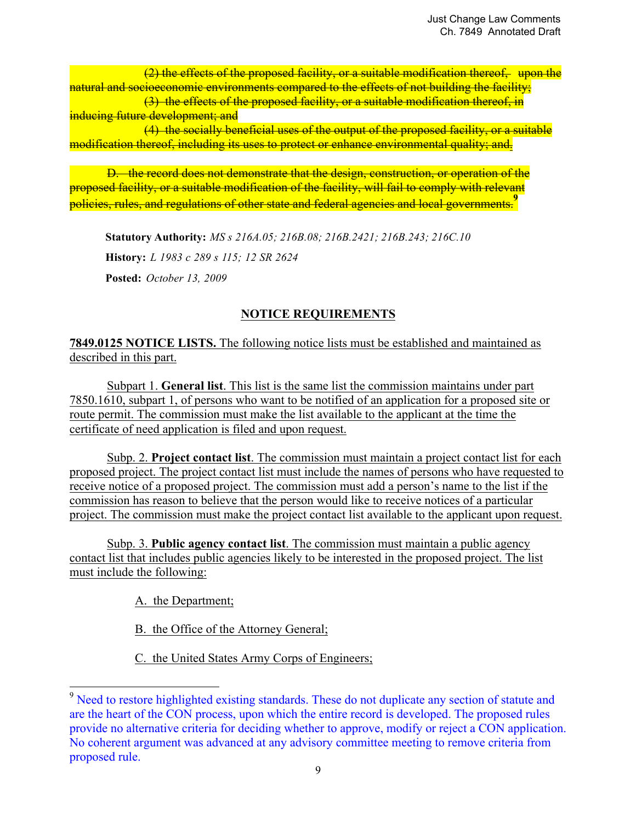(2) the effects of the proposed facility, or a suitable modification thereof, upon the natural and socioeconomic environments compared to the effects of not building the facility;

 (3) the effects of the proposed facility, or a suitable modification thereof, in inducing future development; and

 (4) the socially beneficial uses of the output of the proposed facility, or a suitable modification thereof, including its uses to protect or enhance environmental quality; and.

 D. the record does not demonstrate that the design, construction, or operation of the proposed facility, or a suitable modification of the facility, will fail to comply with relevant policies, rules, and regulations of other state and federal agencies and local governments.**<sup>9</sup>**

**Statutory Authority:** *MS s 216A.05; 216B.08; 216B.2421; 216B.243; 216C.10* **History:** *L 1983 c 289 s 115; 12 SR 2624* **Posted:** *October 13, 2009*

# **NOTICE REQUIREMENTS**

**7849.0125 NOTICE LISTS.** The following notice lists must be established and maintained as described in this part.

 Subpart 1. **General list**. This list is the same list the commission maintains under part 7850.1610, subpart 1, of persons who want to be notified of an application for a proposed site or route permit. The commission must make the list available to the applicant at the time the certificate of need application is filed and upon request.

 Subp. 2. **Project contact list**. The commission must maintain a project contact list for each proposed project. The project contact list must include the names of persons who have requested to receive notice of a proposed project. The commission must add a person's name to the list if the commission has reason to believe that the person would like to receive notices of a particular project. The commission must make the project contact list available to the applicant upon request.

 Subp. 3. **Public agency contact list**. The commission must maintain a public agency contact list that includes public agencies likely to be interested in the proposed project. The list must include the following:

A. the Department;

**.** 

B. the Office of the Attorney General;

C. the United States Army Corps of Engineers;

<sup>&</sup>lt;sup>9</sup> Need to restore highlighted existing standards. These do not duplicate any section of statute and are the heart of the CON process, upon which the entire record is developed. The proposed rules provide no alternative criteria for deciding whether to approve, modify or reject a CON application. No coherent argument was advanced at any advisory committee meeting to remove criteria from proposed rule.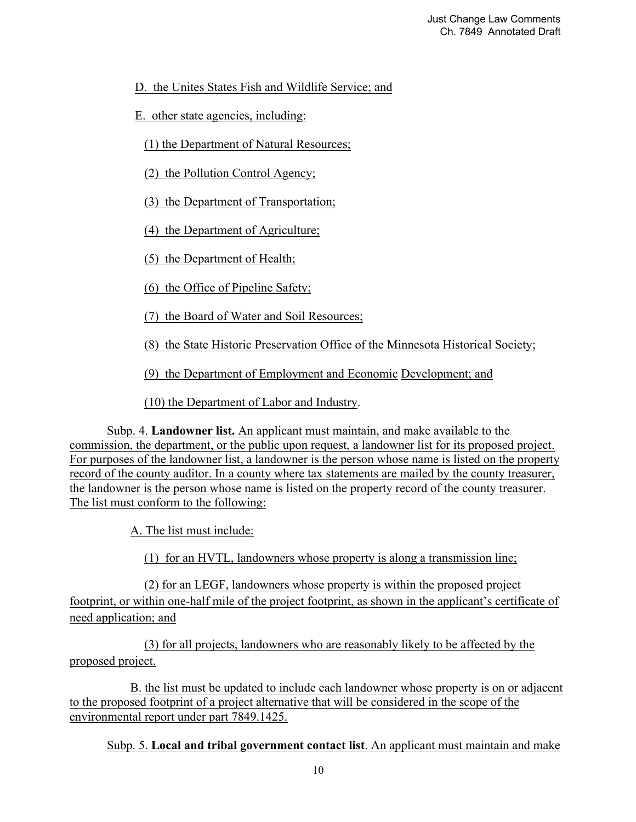D. the Unites States Fish and Wildlife Service; and

E. other state agencies, including:

(1) the Department of Natural Resources;

(2) the Pollution Control Agency;

(3) the Department of Transportation;

(4) the Department of Agriculture;

(5) the Department of Health;

(6) the Office of Pipeline Safety;

(7) the Board of Water and Soil Resources;

(8) the State Historic Preservation Office of the Minnesota Historical Society;

(9) the Department of Employment and Economic Development; and

(10) the Department of Labor and Industry.

 Subp. 4. **Landowner list.** An applicant must maintain, and make available to the commission, the department, or the public upon request, a landowner list for its proposed project. For purposes of the landowner list, a landowner is the person whose name is listed on the property record of the county auditor. In a county where tax statements are mailed by the county treasurer, the landowner is the person whose name is listed on the property record of the county treasurer. The list must conform to the following:

A. The list must include:

(1) for an HVTL, landowners whose property is along a transmission line;

 (2) for an LEGF, landowners whose property is within the proposed project footprint, or within one-half mile of the project footprint, as shown in the applicant's certificate of need application; and

 (3) for all projects, landowners who are reasonably likely to be affected by the proposed project.

 B. the list must be updated to include each landowner whose property is on or adjacent to the proposed footprint of a project alternative that will be considered in the scope of the environmental report under part 7849.1425.

Subp. 5. **Local and tribal government contact list**. An applicant must maintain and make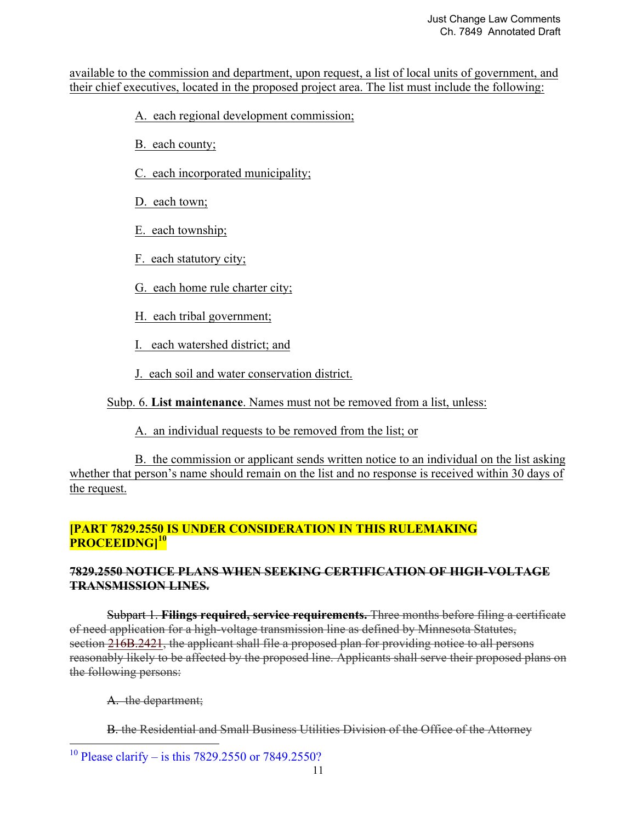available to the commission and department, upon request, a list of local units of government, and their chief executives, located in the proposed project area. The list must include the following:

A. each regional development commission;

B. each county;

C. each incorporated municipality;

D. each town;

E. each township;

F. each statutory city;

G. each home rule charter city;

H. each tribal government;

I. each watershed district; and

J. each soil and water conservation district.

Subp. 6. **List maintenance**. Names must not be removed from a list, unless:

A. an individual requests to be removed from the list; or

 B. the commission or applicant sends written notice to an individual on the list asking whether that person's name should remain on the list and no response is received within 30 days of the request.

# **[PART 7829.2550 IS UNDER CONSIDERATION IN THIS RULEMAKING PROCEEIDNG]<sup>10</sup>**

# **7829.2550 NOTICE PLANS WHEN SEEKING CERTIFICATION OF HIGH-VOLTAGE TRANSMISSION LINES.**

 Subpart 1. **Filings required, service requirements.** Three months before filing a certificate of need application for a high-voltage transmission line as defined by Minnesota Statutes, section 216B.2421, the applicant shall file a proposed plan for providing notice to all persons reasonably likely to be affected by the proposed line. Applicants shall serve their proposed plans on the following persons:

A. the department;

B. the Residential and Small Business Utilities Division of the Office of the Attorney

<sup>&</sup>lt;u>.</u> <sup>10</sup> Please clarify – is this 7829.2550 or 7849.2550?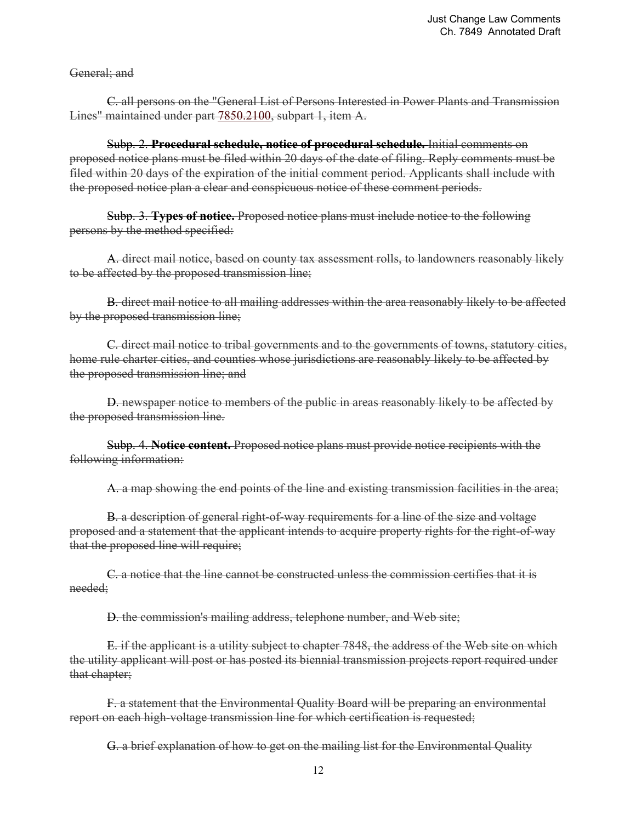General; and

C. all persons on the "General List of Persons Interested in Power Plants and Transmission Lines" maintained under part 7850.2100, subpart 1, item A.

 Subp. 2. **Procedural schedule, notice of procedural schedule.** Initial comments on proposed notice plans must be filed within 20 days of the date of filing. Reply comments must be filed within 20 days of the expiration of the initial comment period. Applicants shall include with the proposed notice plan a clear and conspicuous notice of these comment periods.

 Subp. 3. **Types of notice.** Proposed notice plans must include notice to the following persons by the method specified:

A. direct mail notice, based on county tax assessment rolls, to landowners reasonably likely to be affected by the proposed transmission line;

B. direct mail notice to all mailing addresses within the area reasonably likely to be affected by the proposed transmission line;

 C. direct mail notice to tribal governments and to the governments of towns, statutory cities, home rule charter cities, and counties whose jurisdictions are reasonably likely to be affected by the proposed transmission line; and

D. newspaper notice to members of the public in areas reasonably likely to be affected by the proposed transmission line.

Subp. 4. **Notice content.** Proposed notice plans must provide notice recipients with the following information:

A. a map showing the end points of the line and existing transmission facilities in the area;

B. a description of general right-of-way requirements for a line of the size and voltage proposed and a statement that the applicant intends to acquire property rights for the right-of-way that the proposed line will require;

C. a notice that the line cannot be constructed unless the commission certifies that it is needed;

D. the commission's mailing address, telephone number, and Web site;

E. if the applicant is a utility subject to chapter 7848, the address of the Web site on which the utility applicant will post or has posted its biennial transmission projects report required under that chapter;

F. a statement that the Environmental Quality Board will be preparing an environmental report on each high-voltage transmission line for which certification is requested;

G. a brief explanation of how to get on the mailing list for the Environmental Quality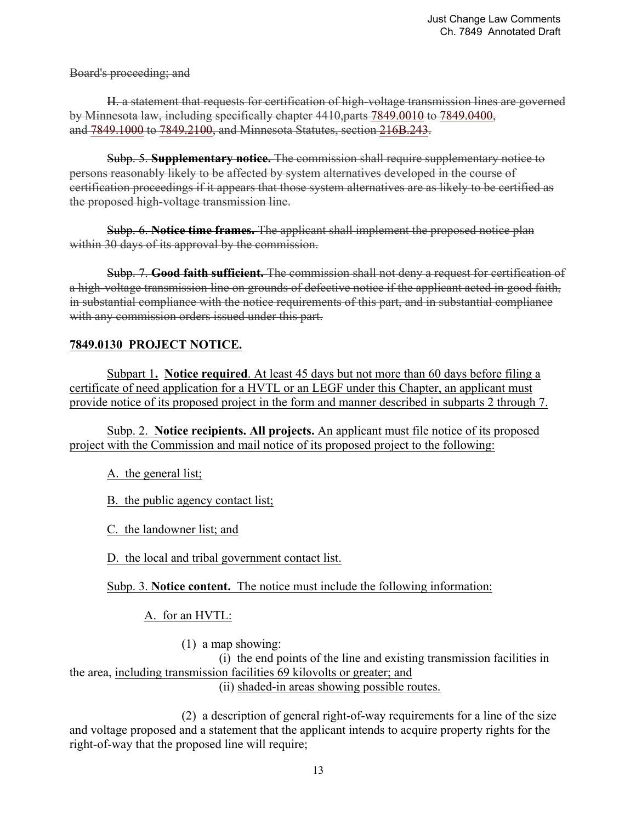Board's proceeding; and

H. a statement that requests for certification of high-voltage transmission lines are governed by Minnesota law, including specifically chapter 4410,parts 7849.0010 to 7849.0400, and 7849.1000 to 7849.2100, and Minnesota Statutes, section 216B.243.

Subp. 5. **Supplementary notice.** The commission shall require supplementary notice to persons reasonably likely to be affected by system alternatives developed in the course of certification proceedings if it appears that those system alternatives are as likely to be certified as the proposed high-voltage transmission line.

Subp. 6. **Notice time frames.** The applicant shall implement the proposed notice plan within 30 days of its approval by the commission.

Subp. 7. **Good faith sufficient.** The commission shall not deny a request for certification of a high-voltage transmission line on grounds of defective notice if the applicant acted in good faith, in substantial compliance with the notice requirements of this part, and in substantial compliance with any commission orders issued under this part.

# **7849.0130 PROJECT NOTICE.**

Subpart 1**. Notice required**. At least 45 days but not more than 60 days before filing a certificate of need application for a HVTL or an LEGF under this Chapter, an applicant must provide notice of its proposed project in the form and manner described in subparts 2 through 7.

Subp. 2. **Notice recipients. All projects.** An applicant must file notice of its proposed project with the Commission and mail notice of its proposed project to the following:

A. the general list;

B. the public agency contact list;

C. the landowner list; and

D. the local and tribal government contact list.

Subp. 3. **Notice content.** The notice must include the following information:

A. for an HVTL:

(1) a map showing:

 (i) the end points of the line and existing transmission facilities in the area, including transmission facilities 69 kilovolts or greater; and

(ii) shaded-in areas showing possible routes.

 (2) a description of general right-of-way requirements for a line of the size and voltage proposed and a statement that the applicant intends to acquire property rights for the right-of-way that the proposed line will require;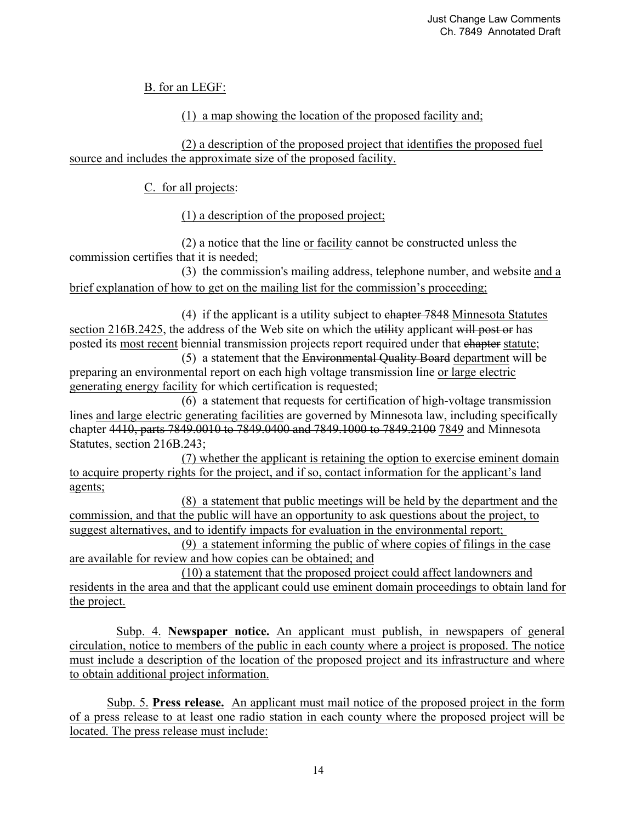B. for an LEGF:

# (1) a map showing the location of the proposed facility and;

 (2) a description of the proposed project that identifies the proposed fuel source and includes the approximate size of the proposed facility.

C. for all projects:

(1) a description of the proposed project;

 (2) a notice that the line or facility cannot be constructed unless the commission certifies that it is needed;

 (3) the commission's mailing address, telephone number, and website and a brief explanation of how to get on the mailing list for the commission's proceeding;

 (4) if the applicant is a utility subject to chapter 7848 Minnesota Statutes section 216B.2425, the address of the Web site on which the utility applicant will post or has posted its most recent biennial transmission projects report required under that chapter statute;

 (5) a statement that the Environmental Quality Board department will be preparing an environmental report on each high voltage transmission line or large electric generating energy facility for which certification is requested;

 (6) a statement that requests for certification of high-voltage transmission lines and large electric generating facilities are governed by Minnesota law, including specifically chapter 4410, parts 7849.0010 to 7849.0400 and 7849.1000 to 7849.2100 7849 and Minnesota Statutes, section 216B.243;

 (7) whether the applicant is retaining the option to exercise eminent domain to acquire property rights for the project, and if so, contact information for the applicant's land agents;

 (8) a statement that public meetings will be held by the department and the commission, and that the public will have an opportunity to ask questions about the project, to suggest alternatives, and to identify impacts for evaluation in the environmental report;

 (9) a statement informing the public of where copies of filings in the case are available for review and how copies can be obtained; and

 (10) a statement that the proposed project could affect landowners and residents in the area and that the applicant could use eminent domain proceedings to obtain land for the project.

 Subp. 4. **Newspaper notice.** An applicant must publish, in newspapers of general circulation, notice to members of the public in each county where a project is proposed. The notice must include a description of the location of the proposed project and its infrastructure and where to obtain additional project information.

 Subp. 5. **Press release.** An applicant must mail notice of the proposed project in the form of a press release to at least one radio station in each county where the proposed project will be located. The press release must include: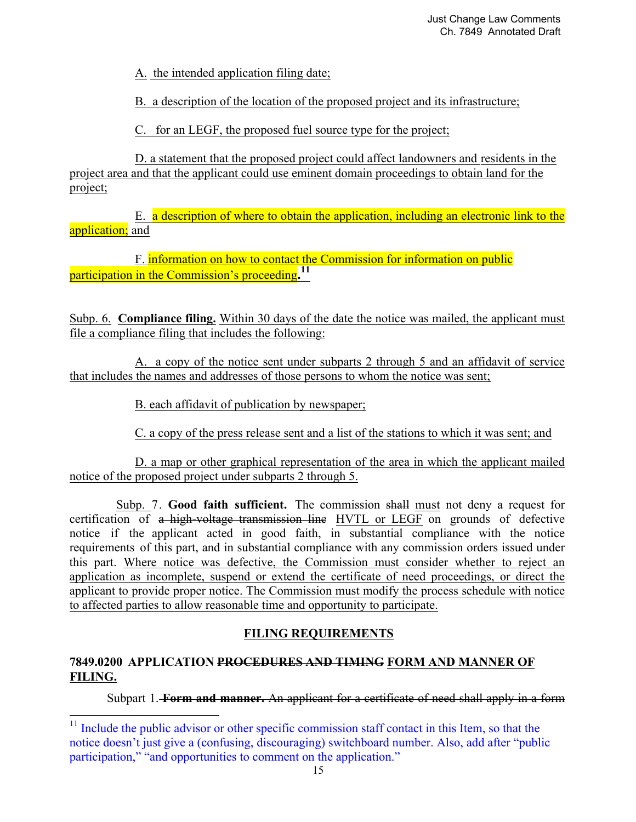A. the intended application filing date;

B. a description of the location of the proposed project and its infrastructure;

C. for an LEGF, the proposed fuel source type for the project;

 D. a statement that the proposed project could affect landowners and residents in the project area and that the applicant could use eminent domain proceedings to obtain land for the project;

 E. a description of where to obtain the application, including an electronic link to the application; and

 F. information on how to contact the Commission for information on public participation in the Commission's proceeding**. 11**

Subp. 6. **Compliance filing.** Within 30 days of the date the notice was mailed, the applicant must file a compliance filing that includes the following:

 A. a copy of the notice sent under subparts 2 through 5 and an affidavit of service that includes the names and addresses of those persons to whom the notice was sent;

B. each affidavit of publication by newspaper;

C. a copy of the press release sent and a list of the stations to which it was sent; and

 D. a map or other graphical representation of the area in which the applicant mailed notice of the proposed project under subparts 2 through 5.

 Subp. 7. **Good faith sufficient.** The commission shall must not deny a request for certification of a high-voltage transmission line HVTL or LEGF on grounds of defective notice if the applicant acted in good faith, in substantial compliance with the notice requirements of this part, and in substantial compliance with any commission orders issued under this part. Where notice was defective, the Commission must consider whether to reject an application as incomplete, suspend or extend the certificate of need proceedings, or direct the applicant to provide proper notice. The Commission must modify the process schedule with notice to affected parties to allow reasonable time and opportunity to participate.

# **FILING REQUIREMENTS**

# **7849.0200 APPLICATION PROCEDURES AND TIMING FORM AND MANNER OF FILING.**

<u>.</u>

Subpart 1. **Form and manner.** An applicant for a certificate of need shall apply in a form

 $11$  Include the public advisor or other specific commission staff contact in this Item, so that the notice doesn't just give a (confusing, discouraging) switchboard number. Also, add after "public participation," "and opportunities to comment on the application."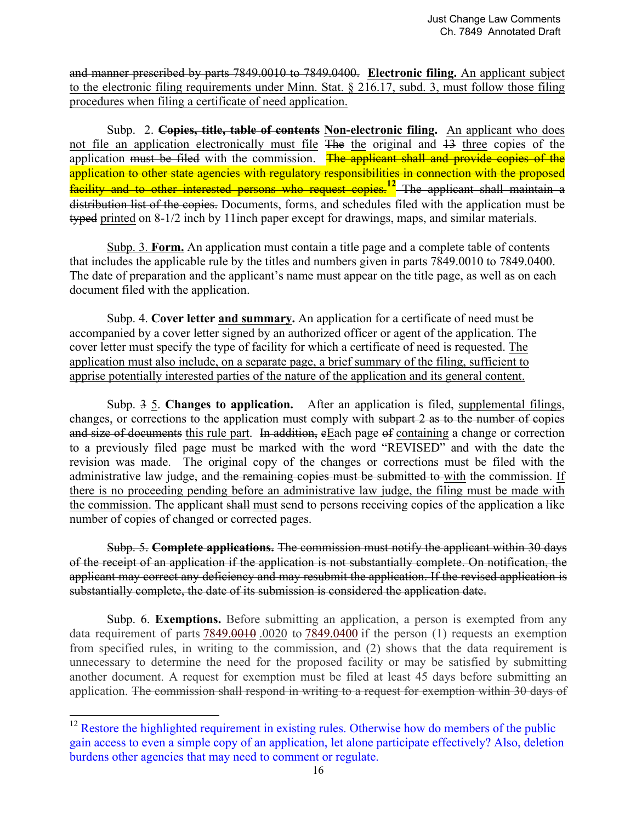and manner prescribed by parts 7849.0010 to 7849.0400. **Electronic filing.** An applicant subject to the electronic filing requirements under Minn. Stat. § 216.17, subd. 3, must follow those filing procedures when filing a certificate of need application.

 Subp. 2. **Copies, title, table of contents Non-electronic filing.** An applicant who does not file an application electronically must file The the original and 13 three copies of the application must be filed with the commission. The applicant shall and provide copies of the application to other state agencies with regulatory responsibilities in connection with the proposed facility and to other interested persons who request copies.**12** The applicant shall maintain a distribution list of the copies. Documents, forms, and schedules filed with the application must be typed printed on 8-1/2 inch by 11inch paper except for drawings, maps, and similar materials.

 Subp. 3. **Form.** An application must contain a title page and a complete table of contents that includes the applicable rule by the titles and numbers given in parts 7849.0010 to 7849.0400. The date of preparation and the applicant's name must appear on the title page, as well as on each document filed with the application.

Subp. 4. **Cover letter and summary.** An application for a certificate of need must be accompanied by a cover letter signed by an authorized officer or agent of the application. The cover letter must specify the type of facility for which a certificate of need is requested. The application must also include, on a separate page, a brief summary of the filing, sufficient to apprise potentially interested parties of the nature of the application and its general content.

 Subp. 3 5. **Changes to application.** After an application is filed, supplemental filings, changes, or corrections to the application must comply with subpart 2 as to the number of copies and size of documents this rule part. In addition, eEach page of containing a change or correction to a previously filed page must be marked with the word "REVISED" and with the date the revision was made. The original copy of the changes or corrections must be filed with the administrative law judge, and the remaining copies must be submitted to with the commission. If there is no proceeding pending before an administrative law judge, the filing must be made with the commission. The applicant shall must send to persons receiving copies of the application a like number of copies of changed or corrected pages.

 Subp. 5. **Complete applications.** The commission must notify the applicant within 30 days of the receipt of an application if the application is not substantially complete. On notification, the applicant may correct any deficiency and may resubmit the application. If the revised application is substantially complete, the date of its submission is considered the application date.

 Subp. 6. **Exemptions.** Before submitting an application, a person is exempted from any data requirement of parts 7849.0010.0020 to 7849.0400 if the person (1) requests an exemption from specified rules, in writing to the commission, and (2) shows that the data requirement is unnecessary to determine the need for the proposed facility or may be satisfied by submitting another document. A request for exemption must be filed at least 45 days before submitting an application. The commission shall respond in writing to a request for exemption within 30 days of

<u>.</u>

 $12$  Restore the highlighted requirement in existing rules. Otherwise how do members of the public gain access to even a simple copy of an application, let alone participate effectively? Also, deletion burdens other agencies that may need to comment or regulate.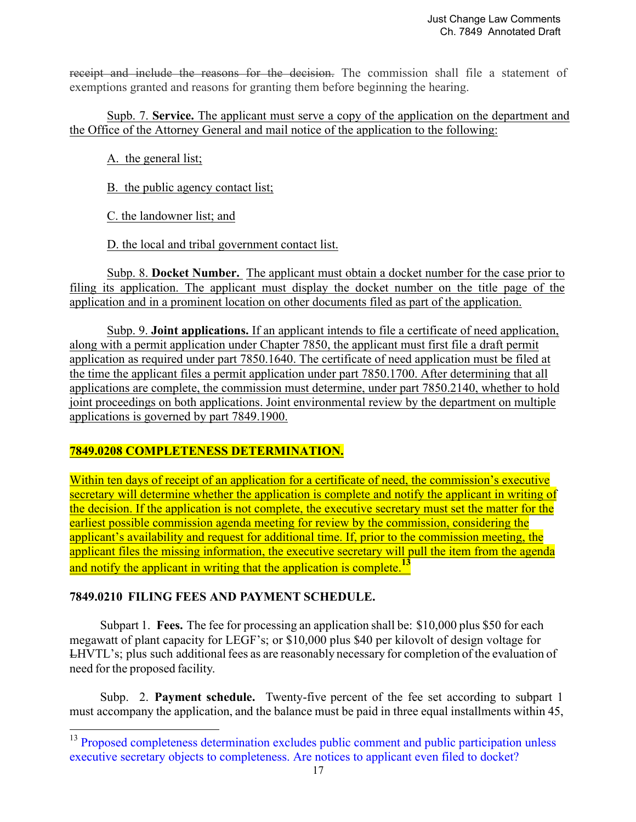receipt and include the reasons for the decision. The commission shall file a statement of exemptions granted and reasons for granting them before beginning the hearing.

 Supb. 7. **Service.** The applicant must serve a copy of the application on the department and the Office of the Attorney General and mail notice of the application to the following:

A. the general list;

B. the public agency contact list;

C. the landowner list; and

D. the local and tribal government contact list.

 Subp. 8. **Docket Number.** The applicant must obtain a docket number for the case prior to filing its application. The applicant must display the docket number on the title page of the application and in a prominent location on other documents filed as part of the application.

Subp. 9. **Joint applications.** If an applicant intends to file a certificate of need application, along with a permit application under Chapter 7850, the applicant must first file a draft permit application as required under part 7850.1640. The certificate of need application must be filed at the time the applicant files a permit application under part 7850.1700. After determining that all applications are complete, the commission must determine, under part 7850.2140, whether to hold joint proceedings on both applications. Joint environmental review by the department on multiple applications is governed by part 7849.1900.

# **7849.0208 COMPLETENESS DETERMINATION.**

Within ten days of receipt of an application for a certificate of need, the commission's executive secretary will determine whether the application is complete and notify the applicant in writing of the decision. If the application is not complete, the executive secretary must set the matter for the earliest possible commission agenda meeting for review by the commission, considering the applicant's availability and request for additional time. If, prior to the commission meeting, the applicant files the missing information, the executive secretary will pull the item from the agenda and notify the applicant in writing that the application is complete.**<sup>13</sup>**

# **7849.0210 FILING FEES AND PAYMENT SCHEDULE.**

-

Subpart 1. **Fees.** The fee for processing an application shall be: \$10,000 plus \$50 for each megawatt of plant capacity for LEGF's; or \$10,000 plus \$40 per kilovolt of design voltage for LHVTL's; plus such additional fees as are reasonably necessary for completion of the evaluation of need for the proposed facility.

Subp. 2. **Payment schedule.** Twenty-five percent of the fee set according to subpart 1 must accompany the application, and the balance must be paid in three equal installments within 45,

<sup>&</sup>lt;sup>13</sup> Proposed completeness determination excludes public comment and public participation unless executive secretary objects to completeness. Are notices to applicant even filed to docket?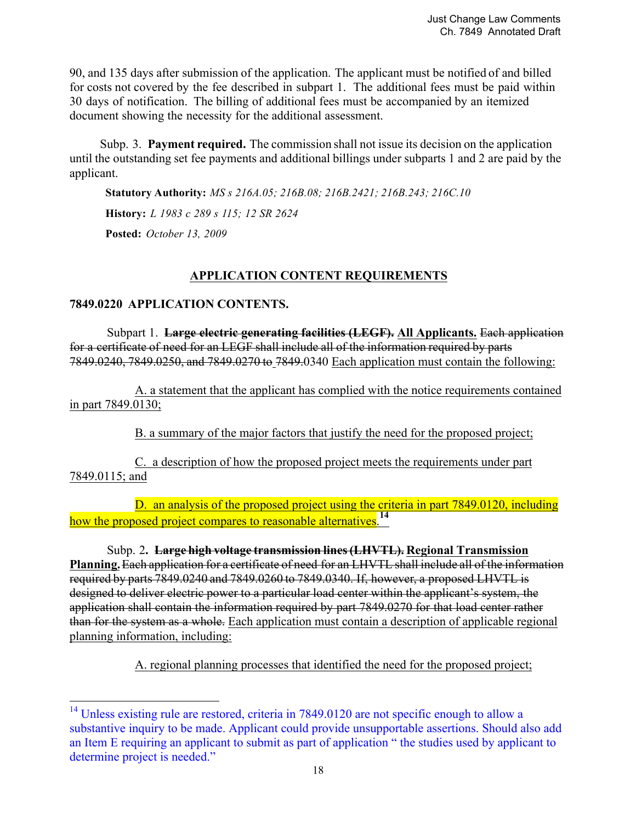90, and 135 days after submission of the application. The applicant must be notified of and billed for costs not covered by the fee described in subpart 1. The additional fees must be paid within 30 days of notification. The billing of additional fees must be accompanied by an itemized document showing the necessity for the additional assessment.

Subp. 3. **Payment required.** The commission shall not issue its decision on the application until the outstanding set fee payments and additional billings under subparts 1 and 2 are paid by the applicant.

**Statutory Authority:** *MS s 216A.05; 216B.08; 216B.2421; 216B.243; 216C.10* **History:** *L 1983 c 289 s 115; 12 SR 2624* **Posted:** *October 13, 2009*

# **APPLICATION CONTENT REQUIREMENTS**

## **7849.0220 APPLICATION CONTENTS.**

<u>.</u>

 Subpart 1. **Large electric generating facilities (LEGF). All Applicants.** Each application for a certificate of need for an LEGF shall include all of the information required by parts 7849.0240, 7849.0250, and 7849.0270 to 7849.0340 Each application must contain the following:

 A. a statement that the applicant has complied with the notice requirements contained in part 7849.0130;

B. a summary of the major factors that justify the need for the proposed project;

 C. a description of how the proposed project meets the requirements under part 7849.0115; and

D. an analysis of the proposed project using the criteria in part 7849.0120, including how the proposed project compares to reasonable alternatives.**<sup>14</sup>**

 Subp. 2**. Large high voltage transmission lines(LHVTL). Regional Transmission Planning.** Each application for a certificate of need for an LHVTL shall include all of the information required by parts 7849.0240 and 7849.0260 to 7849.0340. If, however, a proposed LHVTL is designed to deliver electric power to a particular load center within the applicant's system, the application shall contain the information required by part 7849.0270 for that load center rather than for the system as a whole. Each application must contain a description of applicable regional planning information, including:

A. regional planning processes that identified the need for the proposed project;

 $14$  Unless existing rule are restored, criteria in 7849.0120 are not specific enough to allow a substantive inquiry to be made. Applicant could provide unsupportable assertions. Should also add an Item E requiring an applicant to submit as part of application " the studies used by applicant to determine project is needed."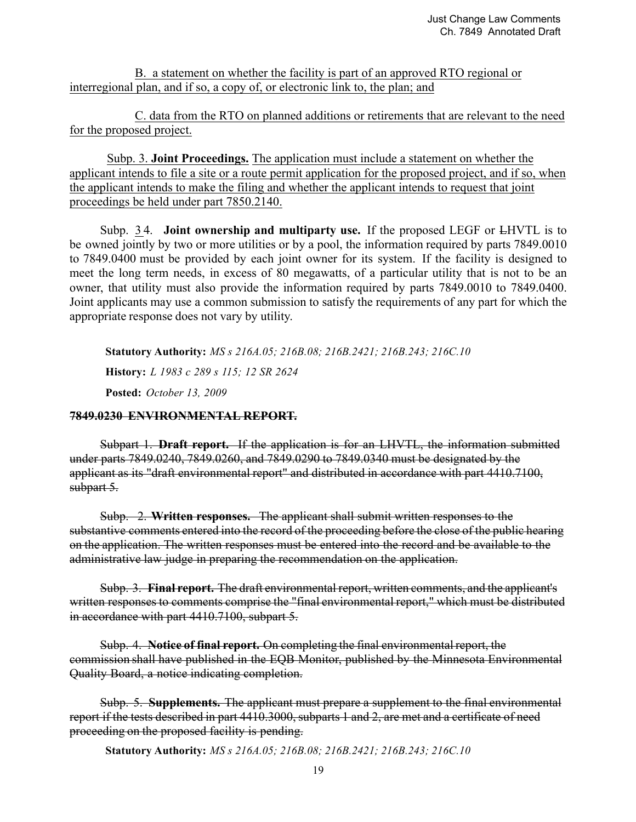B. a statement on whether the facility is part of an approved RTO regional or interregional plan, and if so, a copy of, or electronic link to, the plan; and

 C. data from the RTO on planned additions or retirements that are relevant to the need for the proposed project.

 Subp. 3. **Joint Proceedings.** The application must include a statement on whether the applicant intends to file a site or a route permit application for the proposed project, and if so, when the applicant intends to make the filing and whether the applicant intends to request that joint proceedings be held under part 7850.2140.

Subp. 3 4. **Joint ownership and multiparty use.** If the proposed LEGF or LHVTL is to be owned jointly by two or more utilities or by a pool, the information required by parts 7849.0010 to 7849.0400 must be provided by each joint owner for its system. If the facility is designed to meet the long term needs, in excess of 80 megawatts, of a particular utility that is not to be an owner, that utility must also provide the information required by parts 7849.0010 to 7849.0400. Joint applicants may use a common submission to satisfy the requirements of any part for which the appropriate response does not vary by utility.

**Statutory Authority:** *MS s 216A.05; 216B.08; 216B.2421; 216B.243; 216C.10* **History:** *L 1983 c 289 s 115; 12 SR 2624* **Posted:** *October 13, 2009*

## **7849.0230 ENVIRONMENTAL REPORT.**

Subpart 1. **Draft report.** If the application is for an LHVTL, the information submitted under parts 7849.0240, 7849.0260, and 7849.0290 to 7849.0340 must be designated by the applicant as its "draft environmental report" and distributed in accordance with part 4410.7100, subpart 5.

Subp. 2. **Written responses.** The applicant shall submit written responses to the substantive comments entered into the record of the proceeding before the close of the public hearing on the application. The written responses must be entered into the record and be available to the administrative law judge in preparing the recommendation on the application.

Subp. 3. **Final report.** The draft environmental report, written comments, and the applicant's written responses to comments comprise the "final environmental report," which must be distributed in accordance with part 4410.7100, subpart 5.

Subp. 4. **Notice of final report.** On completing the final environmental report, the commission shall have published in the EQB Monitor, published by the Minnesota Environmental Quality Board, a notice indicating completion.

Subp. 5. **Supplements.** The applicant must prepare a supplement to the final environmental report if the tests described in part 4410.3000, subparts 1 and 2, are met and a certificate of need proceeding on the proposed facility is pending.

**Statutory Authority:** *MS s 216A.05; 216B.08; 216B.2421; 216B.243; 216C.10*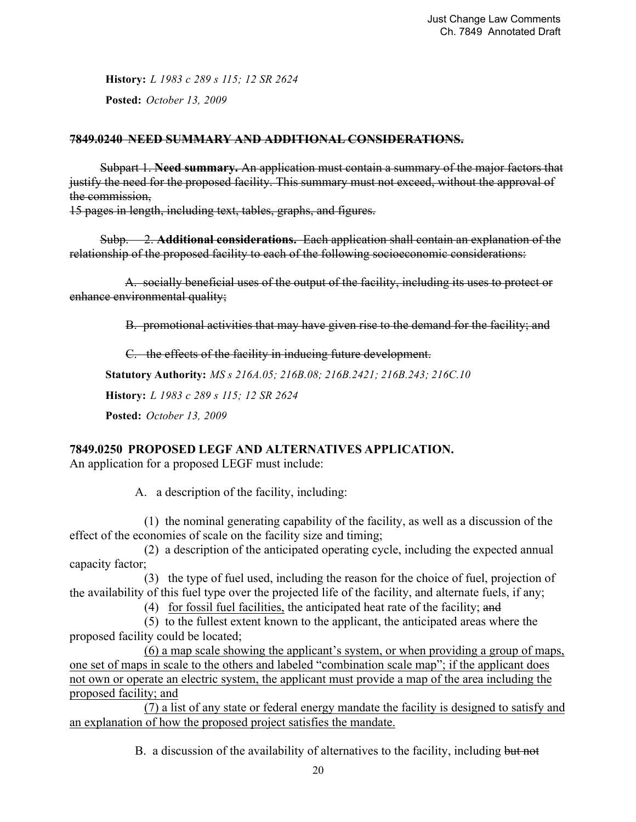**History:** *L 1983 c 289 s 115; 12 SR 2624* **Posted:** *October 13, 2009*

#### **7849.0240 NEED SUMMARY AND ADDITIONAL CONSIDERATIONS.**

Subpart 1. **Need summary.** An application must contain a summary of the major factors that justify the need for the proposed facility. This summary must not exceed, without the approval of the commission,

15 pages in length, including text, tables, graphs, and figures.

Subp. 2. **Additional considerations.** Each application shall contain an explanation of the relationship of the proposed facility to each of the following socioeconomic considerations:

A. socially beneficial uses of the output of the facility, including its uses to protect or enhance environmental quality;

B. promotional activities that may have given rise to the demand for the facility; and

C. the effects of the facility in inducing future development.

**Statutory Authority:** *MS s 216A.05; 216B.08; 216B.2421; 216B.243; 216C.10*

**History:** *L 1983 c 289 s 115; 12 SR 2624*

**Posted:** *October 13, 2009*

# **7849.0250 PROPOSED LEGF AND ALTERNATIVES APPLICATION.**

An application for a proposed LEGF must include:

A. a description of the facility, including:

 (1) the nominal generating capability of the facility, as well as a discussion of the effect of the economies of scale on the facility size and timing;

 (2) a description of the anticipated operating cycle, including the expected annual capacity factor;

 (3) the type of fuel used, including the reason for the choice of fuel, projection of the availability of this fuel type over the projected life of the facility, and alternate fuels, if any;

(4) for fossil fuel facilities, the anticipated heat rate of the facility; and

 (5) to the fullest extent known to the applicant, the anticipated areas where the proposed facility could be located;

 (6) a map scale showing the applicant's system, or when providing a group of maps, one set of maps in scale to the others and labeled "combination scale map"; if the applicant does not own or operate an electric system, the applicant must provide a map of the area including the proposed facility; and

 (7) a list of any state or federal energy mandate the facility is designed to satisfy and an explanation of how the proposed project satisfies the mandate.

B. a discussion of the availability of alternatives to the facility, including but not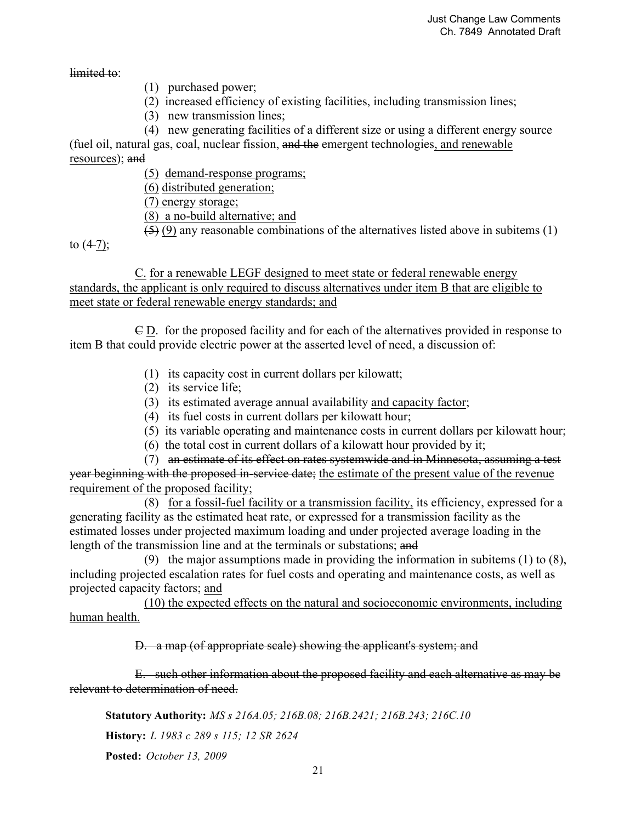limited to:

- (1) purchased power;
- (2) increased efficiency of existing facilities, including transmission lines;
- (3) new transmission lines;
- (4) new generating facilities of a different size or using a different energy source

(fuel oil, natural gas, coal, nuclear fission, and the emergent technologies, and renewable resources); and

(5) demand-response programs;

(6) distributed generation;

(7) energy storage;

(8) a no-build alternative; and

 $(5)$  (9) any reasonable combinations of the alternatives listed above in subitems (1)

to  $(4-7)$ ;

 C. for a renewable LEGF designed to meet state or federal renewable energy standards, the applicant is only required to discuss alternatives under item B that are eligible to meet state or federal renewable energy standards; and

 C D. for the proposed facility and for each of the alternatives provided in response to item B that could provide electric power at the asserted level of need, a discussion of:

- (1) its capacity cost in current dollars per kilowatt;
- (2) its service life;
- (3) its estimated average annual availability and capacity factor;
- (4) its fuel costs in current dollars per kilowatt hour;
- (5) its variable operating and maintenance costs in current dollars per kilowatt hour;
- (6) the total cost in current dollars of a kilowatt hour provided by it;

(7) an estimate of its effect on rates systemwide and in Minnesota, assuming a test year beginning with the proposed in-service date; the estimate of the present value of the revenue requirement of the proposed facility;

(8) for a fossil-fuel facility or a transmission facility, its efficiency, expressed for a generating facility as the estimated heat rate, or expressed for a transmission facility as the estimated losses under projected maximum loading and under projected average loading in the length of the transmission line and at the terminals or substations; and

(9) the major assumptions made in providing the information in subitems (1) to (8), including projected escalation rates for fuel costs and operating and maintenance costs, as well as projected capacity factors; and

 (10) the expected effects on the natural and socioeconomic environments, including human health.

D. a map (of appropriate scale) showing the applicant's system; and

 E. such other information about the proposed facility and each alternative as may be relevant to determination of need.

**Statutory Authority:** *MS s 216A.05; 216B.08; 216B.2421; 216B.243; 216C.10*

**History:** *L 1983 c 289 s 115; 12 SR 2624*

**Posted:** *October 13, 2009*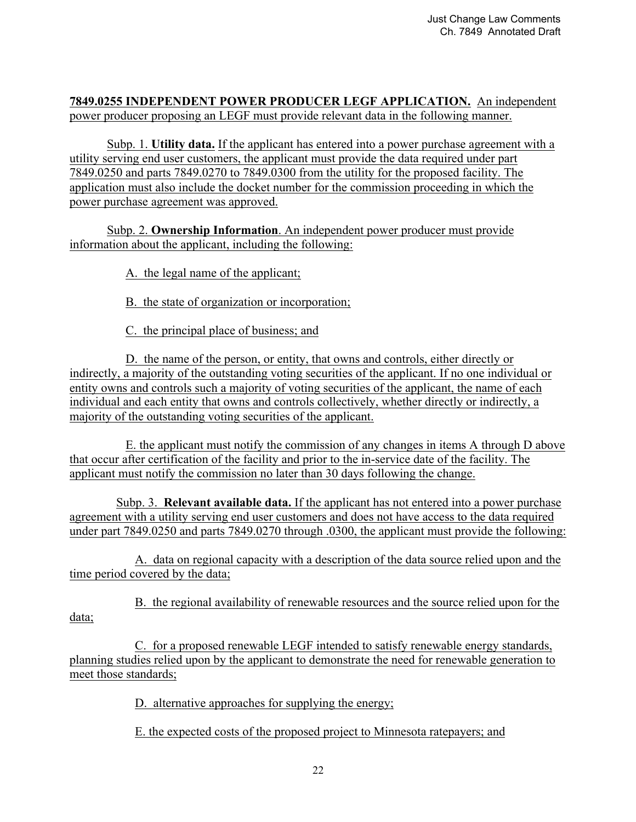## **7849.0255 INDEPENDENT POWER PRODUCER LEGF APPLICATION.** An independent power producer proposing an LEGF must provide relevant data in the following manner.

 Subp. 1. **Utility data.** If the applicant has entered into a power purchase agreement with a utility serving end user customers, the applicant must provide the data required under part 7849.0250 and parts 7849.0270 to 7849.0300 from the utility for the proposed facility. The application must also include the docket number for the commission proceeding in which the power purchase agreement was approved.

 Subp. 2. **Ownership Information**. An independent power producer must provide information about the applicant, including the following:

A. the legal name of the applicant;

B. the state of organization or incorporation;

C. the principal place of business; and

 D. the name of the person, or entity, that owns and controls, either directly or indirectly, a majority of the outstanding voting securities of the applicant. If no one individual or entity owns and controls such a majority of voting securities of the applicant, the name of each individual and each entity that owns and controls collectively, whether directly or indirectly, a majority of the outstanding voting securities of the applicant.

 E. the applicant must notify the commission of any changes in items A through D above that occur after certification of the facility and prior to the in-service date of the facility. The applicant must notify the commission no later than 30 days following the change.

 Subp. 3. **Relevant available data.** If the applicant has not entered into a power purchase agreement with a utility serving end user customers and does not have access to the data required under part 7849.0250 and parts 7849.0270 through .0300, the applicant must provide the following:

 A. data on regional capacity with a description of the data source relied upon and the time period covered by the data;

 B. the regional availability of renewable resources and the source relied upon for the data;

 C. for a proposed renewable LEGF intended to satisfy renewable energy standards, planning studies relied upon by the applicant to demonstrate the need for renewable generation to meet those standards;

D. alternative approaches for supplying the energy;

E. the expected costs of the proposed project to Minnesota ratepayers; and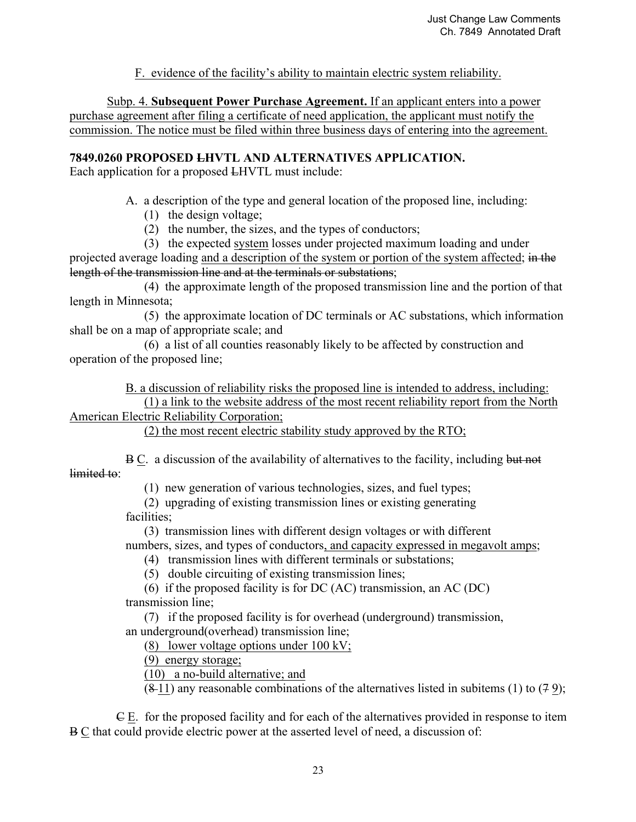F. evidence of the facility's ability to maintain electric system reliability.

 Subp. 4. **Subsequent Power Purchase Agreement.** If an applicant enters into a power purchase agreement after filing a certificate of need application, the applicant must notify the commission. The notice must be filed within three business days of entering into the agreement.

## **7849.0260 PROPOSED LHVTL AND ALTERNATIVES APPLICATION.**

Each application for a proposed LHVTL must include:

A. a description of the type and general location of the proposed line, including:

- (1) the design voltage;
- (2) the number, the sizes, and the types of conductors;

 (3) the expected system losses under projected maximum loading and under projected average loading and a description of the system or portion of the system affected; in the length of the transmission line and at the terminals or substations;

 (4) the approximate length of the proposed transmission line and the portion of that length in Minnesota;

 (5) the approximate location of DC terminals or AC substations, which information shall be on a map of appropriate scale; and

 (6) a list of all counties reasonably likely to be affected by construction and operation of the proposed line;

B. a discussion of reliability risks the proposed line is intended to address, including:

 (1) a link to the website address of the most recent reliability report from the North American Electric Reliability Corporation;

(2) the most recent electric stability study approved by the RTO;

 B C. a discussion of the availability of alternatives to the facility, including but not limited to:

(1) new generation of various technologies, sizes, and fuel types;

 (2) upgrading of existing transmission lines or existing generating facilities;

 (3) transmission lines with different design voltages or with different numbers, sizes, and types of conductors, and capacity expressed in megavolt amps;

(4) transmission lines with different terminals or substations;

(5) double circuiting of existing transmission lines;

 (6) if the proposed facility is for DC (AC) transmission, an AC (DC) transmission line;

 (7) if the proposed facility is for overhead (underground) transmission, an underground(overhead) transmission line;

(8) lower voltage options under 100 kV;

(9) energy storage;

(10) a no-build alternative; and

 $(8-11)$  any reasonable combinations of the alternatives listed in subitems (1) to (7 9);

 $E$ . for the proposed facility and for each of the alternatives provided in response to item B C that could provide electric power at the asserted level of need, a discussion of: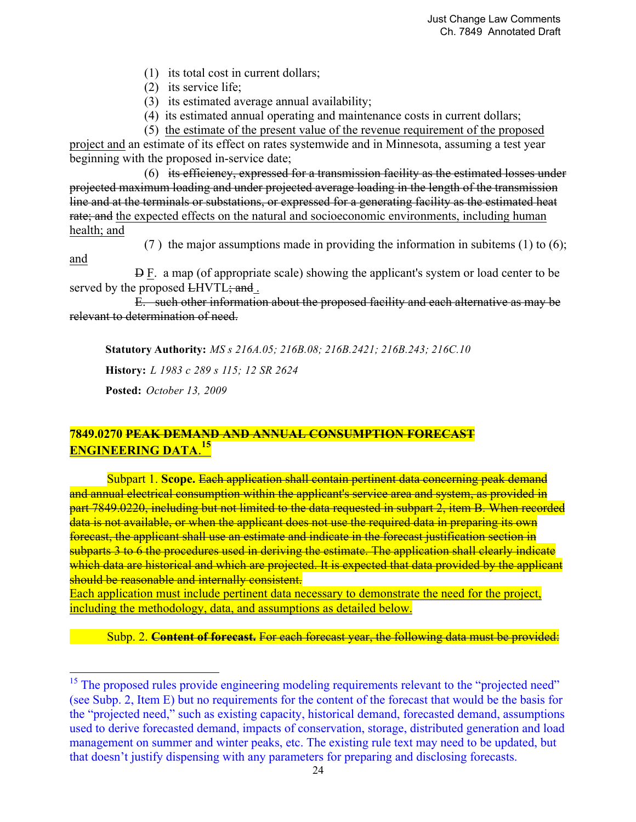- (1) its total cost in current dollars;
- (2) its service life;
- (3) its estimated average annual availability;
- (4) its estimated annual operating and maintenance costs in current dollars;

(5) the estimate of the present value of the revenue requirement of the proposed

project and an estimate of its effect on rates systemwide and in Minnesota, assuming a test year beginning with the proposed in-service date;

 (6) its efficiency, expressed for a transmission facility as the estimated losses under projected maximum loading and under projected average loading in the length of the transmission line and at the terminals or substations, or expressed for a generating facility as the estimated heat rate; and the expected effects on the natural and socioeconomic environments, including human health; and

and

<u>.</u>

(7 ) the major assumptions made in providing the information in subitems (1) to (6);

 D F. a map (of appropriate scale) showing the applicant's system or load center to be served by the proposed LHVTL; and.

 E. such other information about the proposed facility and each alternative as may be relevant to determination of need.

**Statutory Authority:** *MS s 216A.05; 216B.08; 216B.2421; 216B.243; 216C.10* **History:** *L 1983 c 289 s 115; 12 SR 2624* **Posted:** *October 13, 2009*

# **7849.0270 PEAK DEMAND AND ANNUAL CONSUMPTION FORECAST ENGINEERING DATA**. **15**

Subpart 1. **Scope.** Each application shall contain pertinent data concerning peak demand and annual electrical consumption within the applicant's service area and system, as provided in part 7849.0220, including but not limited to the data requested in subpart 2, item B. When recorded data is not available, or when the applicant does not use the required data in preparing its own forecast, the applicant shall use an estimate and indicate in the forecast justification section in subparts 3 to 6 the procedures used in deriving the estimate. The application shall clearly indicate which data are historical and which are projected. It is expected that data provided by the applicant should be reasonable and internally consistent.

Each application must include pertinent data necessary to demonstrate the need for the project, including the methodology, data, and assumptions as detailed below.

Subp. 2. **Content of forecast.** For each forecast year, the following data must be provided:

<sup>&</sup>lt;sup>15</sup> The proposed rules provide engineering modeling requirements relevant to the "projected need" (see Subp. 2, Item E) but no requirements for the content of the forecast that would be the basis for the "projected need," such as existing capacity, historical demand, forecasted demand, assumptions used to derive forecasted demand, impacts of conservation, storage, distributed generation and load management on summer and winter peaks, etc. The existing rule text may need to be updated, but that doesn't justify dispensing with any parameters for preparing and disclosing forecasts.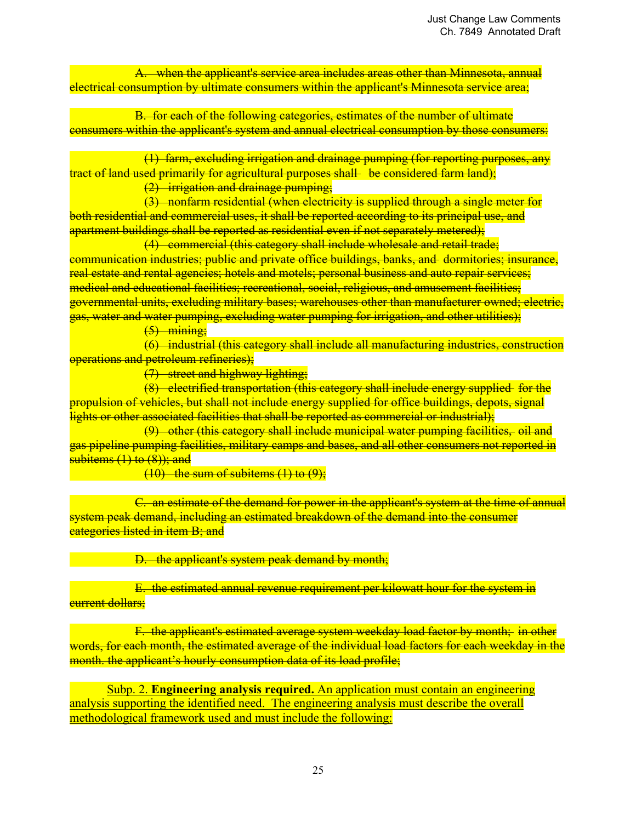A. when the applicant's service area includes areas other than Minnesota, annual electrical consumption by ultimate consumers within the applicant's Minnesota service area;

 B. for each of the following categories, estimates of the number of ultimate consumers within the applicant's system and annual electrical consumption by those consumers:

(1) farm, excluding irrigation and drainage pumping (for reporting purposes, any tract of land used primarily for agricultural purposes shall be considered farm land);

(2) irrigation and drainage pumping;

 (3) nonfarm residential (when electricity is supplied through a single meter for both residential and commercial uses, it shall be reported according to its principal use, and apartment buildings shall be reported as residential even if not separately metered);

(4) commercial (this category shall include wholesale and retail trade; communication industries; public and private office buildings, banks, and dormitories; insurance, real estate and rental agencies; hotels and motels; personal business and auto repair services; medical and educational facilities; recreational, social, religious, and amusement facilities; governmental units, excluding military bases; warehouses other than manufacturer owned; electric, gas, water and water pumping, excluding water pumping for irrigation, and other utilities);

 $(5)$  mining;

 (6) industrial (this category shall include all manufacturing industries, construction operations and petroleum refineries);

(7) street and highway lighting;

 (8) electrified transportation (this category shall include energy supplied for the propulsion of vehicles, but shall not include energy supplied for office buildings, depots, signal lights or other associated facilities that shall be reported as commercial or industrial);

 (9) other (this category shall include municipal water pumping facilities, oil and gas pipeline pumping facilities, military camps and bases, and all other consumers not reported in subitems (1) to (8)); and

 $(10)$  the sum of subitems  $(1)$  to  $(9)$ ;

 C. an estimate of the demand for power in the applicant's system at the time of annual system peak demand, including an estimated breakdown of the demand into the consumer categories listed in item B; and

D. the applicant's system peak demand by month;

 E. the estimated annual revenue requirement per kilowatt hour for the system in <del>current dollars;</del>

F. the applicant's estimated average system weekday load factor by month; in other words, for each month, the estimated average of the individual load factors for each weekday in the month. the applicant's hourly consumption data of its load profile;

Subp. 2. **Engineering analysis required.** An application must contain an engineering analysis supporting the identified need. The engineering analysis must describe the overall methodological framework used and must include the following: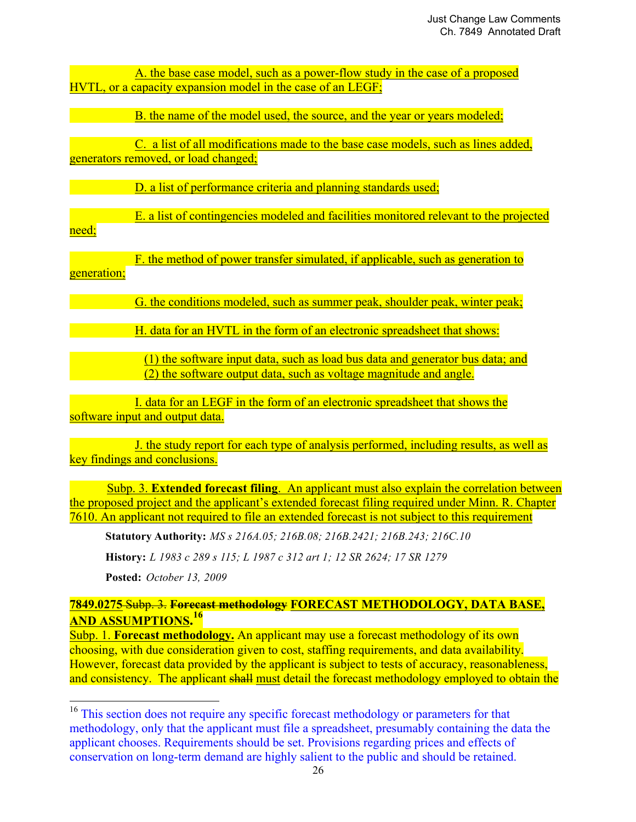A. the base case model, such as a power-flow study in the case of a proposed HVTL, or a capacity expansion model in the case of an LEGF;

B. the name of the model used, the source, and the year or years modeled;

 C. a list of all modifications made to the base case models, such as lines added, generators removed, or load changed;

D. a list of performance criteria and planning standards used;

 E. a list of contingencies modeled and facilities monitored relevant to the projected need;

 F. the method of power transfer simulated, if applicable, such as generation to generation;

G. the conditions modeled, such as summer peak, shoulder peak, winter peak;

**EXECUTE:** H. data for an HVTL in the form of an electronic spreadsheet that shows:

(1) the software input data, such as load bus data and generator bus data; and (2) the software output data, such as voltage magnitude and angle.

 I. data for an LEGF in the form of an electronic spreadsheet that shows the software input and output data.

 J. the study report for each type of analysis performed, including results, as well as key findings and conclusions.

 Subp. 3. **Extended forecast filing**. An applicant must also explain the correlation between the proposed project and the applicant's extended forecast filing required under Minn. R. Chapter 7610. An applicant not required to file an extended forecast is not subject to this requirement

**Statutory Authority:** *MS s 216A.05; 216B.08; 216B.2421; 216B.243; 216C.10*

**History:** *L 1983 c 289 s 115; L 1987 c 312 art 1; 12 SR 2624; 17 SR 1279*

**Posted:** *October 13, 2009*

<u>.</u>

**7849.0275** Subp. 3. **Forecast methodology FORECAST METHODOLOGY, DATA BASE, AND ASSUMPTIONS. 16** 

Subp. 1. **Forecast methodology.** An applicant may use a forecast methodology of its own choosing, with due consideration given to cost, staffing requirements, and data availability. However, forecast data provided by the applicant is subject to tests of accuracy, reasonableness, and consistency. The applicant shall must detail the forecast methodology employed to obtain the

<sup>&</sup>lt;sup>16</sup> This section does not require any specific forecast methodology or parameters for that methodology, only that the applicant must file a spreadsheet, presumably containing the data the applicant chooses. Requirements should be set. Provisions regarding prices and effects of conservation on long-term demand are highly salient to the public and should be retained.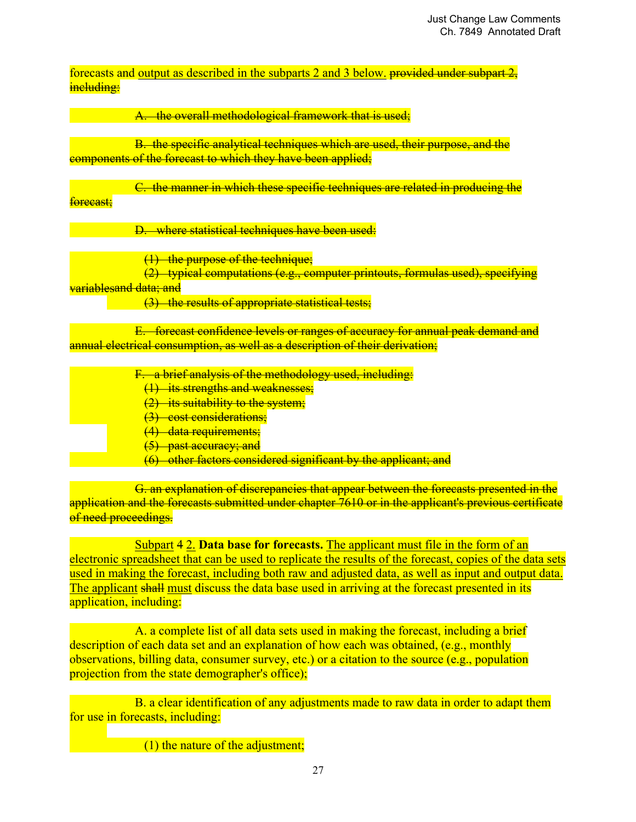forecasts and output as described in the subparts 2 and 3 below. provided under subpart  $2$ , including:

A. the overall methodological framework that is used;

 B. the specific analytical techniques which are used, their purpose, and the components of the forecast to which they have been applied;

 C. the manner in which these specific techniques are related in producing the forecast:

D. where statistical techniques have been used:

(1) the purpose of the technique;

(2) typical computations (e.g., computer printouts, formulas used), specifying

variablesand data; and

(3) the results of appropriate statistical tests;

 E. forecast confidence levels or ranges of accuracy for annual peak demand and annual electrical consumption, as well as a description of their derivation;

- F. a brief analysis of the methodology used, including:
	- (1) its strengths and weaknesses;
	- $(2)$  its suitability to the system;
	- (3) cost considerations;
	- (4) data requirements;
	- (5) past accuracy; and
	- (6) other factors considered significant by the applicant; and

 G. an explanation of discrepancies that appear between the forecasts presented in the application and the forecasts submitted under chapter 7610 or in the applicant's previous certificate of need proceedings.

Subpart 4 2. **Data base for forecasts.** The applicant must file in the form of an electronic spreadsheet that can be used to replicate the results of the forecast, copies of the data sets used in making the forecast, including both raw and adjusted data, as well as input and output data. The applicant shall must discuss the data base used in arriving at the forecast presented in its application, including:

 A. a complete list of all data sets used in making the forecast, including a brief description of each data set and an explanation of how each was obtained, (e.g., monthly observations, billing data, consumer survey, etc.) or a citation to the source (e.g., population projection from the state demographer's office);

 B. a clear identification of any adjustments made to raw data in order to adapt them for use in forecasts, including:

(1) the nature of the adjustment;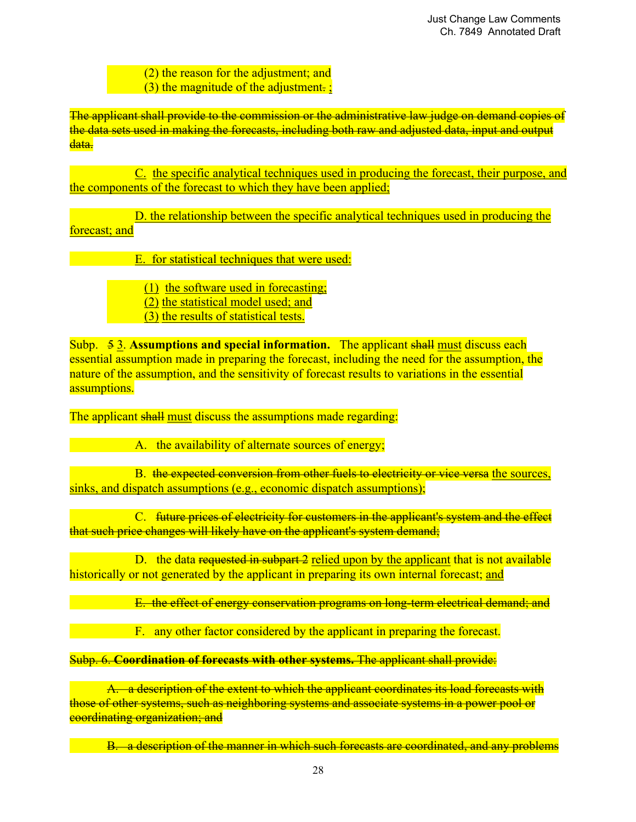- (2) the reason for the adjustment; and
- (3) the magnitude of the adjustment. ;

The applicant shall provide to the commission or the administrative law judge on demand copies of the data sets used in making the forecasts, including both raw and adjusted data, input and output data.

 C. the specific analytical techniques used in producing the forecast, their purpose, and the components of the forecast to which they have been applied;

 D. the relationship between the specific analytical techniques used in producing the forecast; and

E. for statistical techniques that were used:

(1) the software used in forecasting;

- (2) the statistical model used; and
- (3) the results of statistical tests.

Subp. 5 3. **Assumptions and special information.** The applicant shall must discuss each essential assumption made in preparing the forecast, including the need for the assumption, the nature of the assumption, and the sensitivity of forecast results to variations in the essential assumptions.

The applicant shall must discuss the assumptions made regarding:

A. the availability of alternate sources of energy;

B. the expected conversion from other fuels to electricity or vice versa the sources, sinks, and dispatch assumptions (e.g., economic dispatch assumptions);

 C. future prices of electricity for customers in the applicant's system and the effect that such price changes will likely have on the applicant's system demand;

D. the data requested in subpart 2 relied upon by the applicant that is not available historically or not generated by the applicant in preparing its own internal forecast; and

E. the effect of energy conservation programs on long-term electrical demand; and

F. any other factor considered by the applicant in preparing the forecast.

Subp. 6. **Coordination of forecasts with other systems.** The applicant shall provide:

 A. a description of the extent to which the applicant coordinates its load forecasts with those of other systems, such as neighboring systems and associate systems in a power pool or coordinating organization; and

B. a description of the manner in which such forecasts are coordinated, and any problems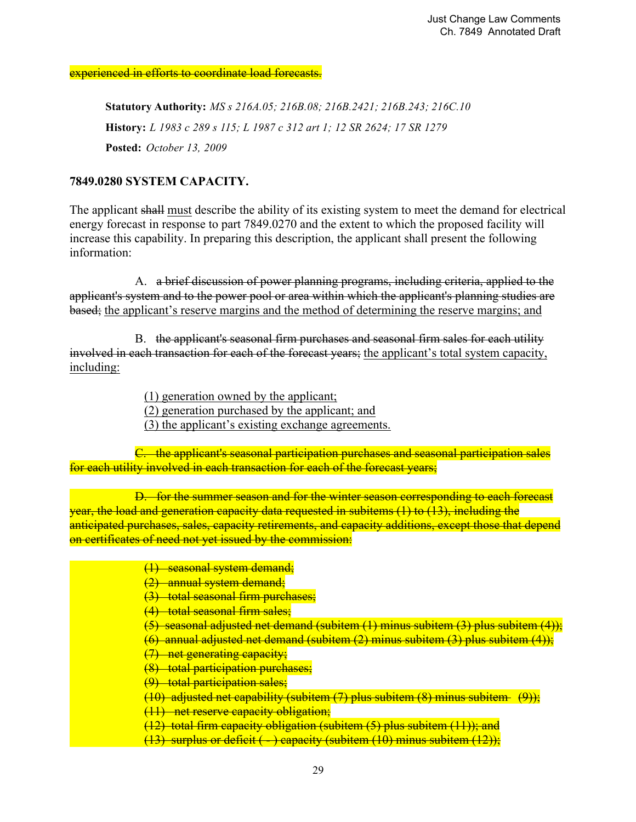experienced in efforts to coordinate load forecasts.

**Statutory Authority:** *MS s 216A.05; 216B.08; 216B.2421; 216B.243; 216C.10* **History:** *L 1983 c 289 s 115; L 1987 c 312 art 1; 12 SR 2624; 17 SR 1279* **Posted:** *October 13, 2009*

## **7849.0280 SYSTEM CAPACITY.**

The applicant shall must describe the ability of its existing system to meet the demand for electrical energy forecast in response to part 7849.0270 and the extent to which the proposed facility will increase this capability. In preparing this description, the applicant shall present the following information:

 A. a brief discussion of power planning programs, including criteria, applied to the applicant's system and to the power pool or area within which the applicant's planning studies are based; the applicant's reserve margins and the method of determining the reserve margins; and

 B. the applicant's seasonal firm purchases and seasonal firm sales for each utility involved in each transaction for each of the forecast years; the applicant's total system capacity, including:

(1) generation owned by the applicant;

(2) generation purchased by the applicant; and

(3) the applicant's existing exchange agreements.

 C. the applicant's seasonal participation purchases and seasonal participation sales for each utility involved in each transaction for each of the forecast years;

 D. for the summer season and for the winter season corresponding to each forecast year, the load and generation capacity data requested in subitems (1) to (13), including the anticipated purchases, sales, capacity retirements, and capacity additions, except those that depend on certificates of need not yet issued by the commission:

- (1) seasonal system demand;
- (2) annual system demand;
- (3) total seasonal firm purchases;
- (4) total seasonal firm sales;
- (5) seasonal adjusted net demand (subitem (1) minus subitem (3) plus subitem (4));
- (6) annual adjusted net demand (subitem (2) minus subitem (3) plus subitem (4));
- (7) net generating capacity;
- (8) total participation purchases;
- (9) total participation sales;

 $(10)$  adjusted net capability (subitem  $(7)$  plus subitem  $(8)$  minus subitem  $(9)$ );

- (11) net reserve capacity obligation;
- (12) total firm capacity obligation (subitem (5) plus subitem (11)); and

 $(13)$  surplus or deficit ( - ) capacity (subitem (10) minus subitem (12));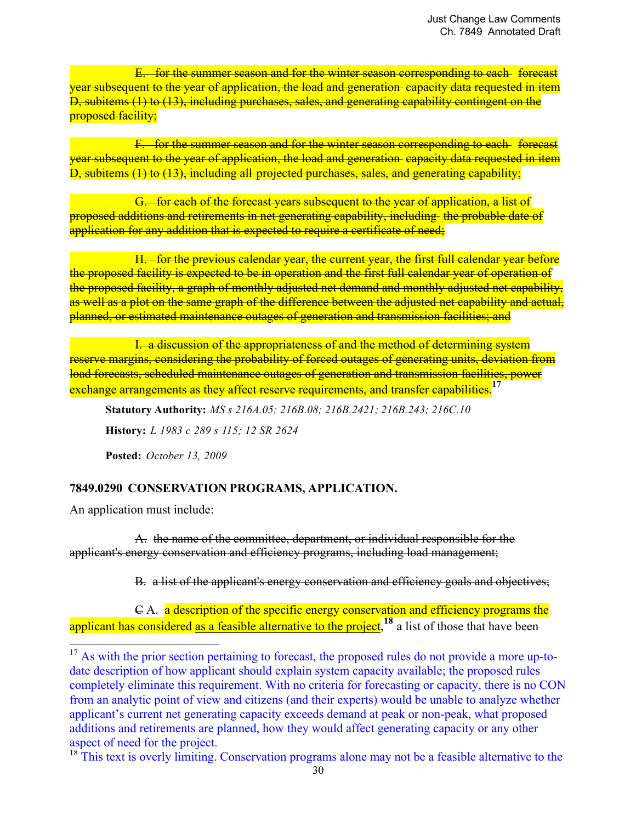E. for the summer season and for the winter season corresponding to each forecast year subsequent to the year of application, the load and generation capacity data requested in item D, subitems (1) to (13), including purchases, sales, and generating capability contingent on the proposed facility;

 F. for the summer season and for the winter season corresponding to each forecast year subsequent to the year of application, the load and generation capacity data requested in item D, subitems (1) to (13), including all projected purchases, sales, and generating capability;

 G. for each of the forecast years subsequent to the year of application, a list of proposed additions and retirements in net generating capability, including the probable date of application for any addition that is expected to require a certificate of need;

 H. for the previous calendar year, the current year, the first full calendar year before the proposed facility is expected to be in operation and the first full calendar year of operation of the proposed facility, a graph of monthly adjusted net demand and monthly adjusted net capability, as well as a plot on the same graph of the difference between the adjusted net capability and actual, planned, or estimated maintenance outages of generation and transmission facilities; and

 I. a discussion of the appropriateness of and the method of determining system reserve margins, considering the probability of forced outages of generating units, deviation from load forecasts, scheduled maintenance outages of generation and transmission facilities, power exchange arrangements as they affect reserve requirements, and transfer capabilities.**<sup>17</sup>**

**Statutory Authority:** *MS s 216A.05; 216B.08; 216B.2421; 216B.243; 216C.10* **History:** *L 1983 c 289 s 115; 12 SR 2624*

**Posted:** *October 13, 2009*

# **7849.0290 CONSERVATION PROGRAMS, APPLICATION.**

An application must include:

**.** 

A. the name of the committee, department, or individual responsible for the applicant's energy conservation and efficiency programs, including load management;

B. a list of the applicant's energy conservation and efficiency goals and objectives;

 C A. a description of the specific energy conservation and efficiency programs the applicant has considered as a feasible alternative to the project,<sup>18</sup> a list of those that have been

<sup>18</sup> This text is overly limiting. Conservation programs alone may not be a feasible alternative to the

 $17$  As with the prior section pertaining to forecast, the proposed rules do not provide a more up-todate description of how applicant should explain system capacity available; the proposed rules completely eliminate this requirement. With no criteria for forecasting or capacity, there is no CON from an analytic point of view and citizens (and their experts) would be unable to analyze whether applicant's current net generating capacity exceeds demand at peak or non-peak, what proposed additions and retirements are planned, how they would affect generating capacity or any other aspect of need for the project.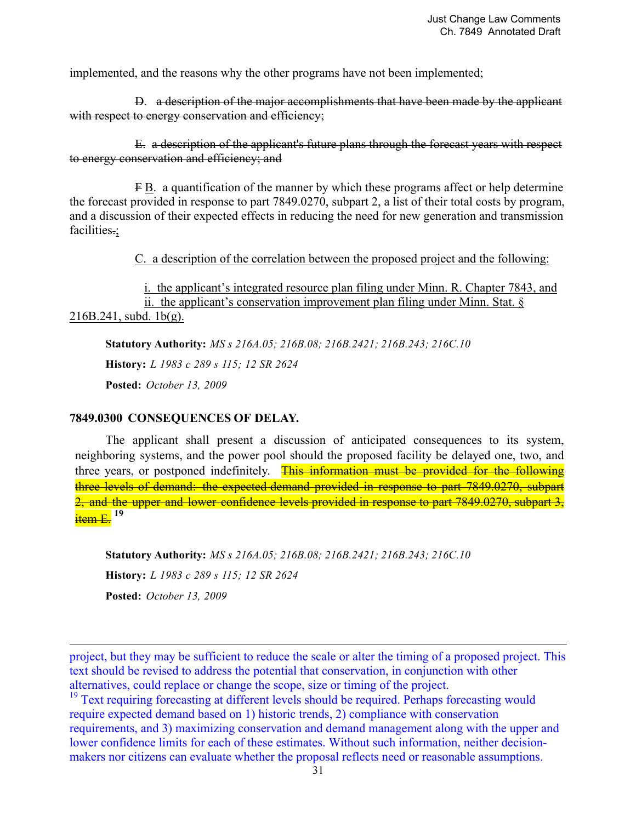implemented, and the reasons why the other programs have not been implemented;

 D. a description of the major accomplishments that have been made by the applicant with respect to energy conservation and efficiency:

E. a description of the applicant's future plans through the forecast years with respect to energy conservation and efficiency; and

 F B. a quantification of the manner by which these programs affect or help determine the forecast provided in response to part 7849.0270, subpart 2, a list of their total costs by program, and a discussion of their expected effects in reducing the need for new generation and transmission facilities.;

C. a description of the correlation between the proposed project and the following:

 i. the applicant's integrated resource plan filing under Minn. R. Chapter 7843, and ii. the applicant's conservation improvement plan filing under Minn. Stat. § 216B.241, subd. 1b(g).

**Statutory Authority:** *MS s 216A.05; 216B.08; 216B.2421; 216B.243; 216C.10* **History:** *L 1983 c 289 s 115; 12 SR 2624* **Posted:** *October 13, 2009*

#### **7849.0300 CONSEQUENCES OF DELAY.**

 $\overline{a}$ 

The applicant shall present a discussion of anticipated consequences to its system, neighboring systems, and the power pool should the proposed facility be delayed one, two, and three years, or postponed indefinitely. This information must be provided for the following three levels of demand: the expected demand provided in response to part 7849.0270, subpart 2, and the upper and lower confidence levels provided in response to part 7849,0270, subpart 3, item E. **<sup>19</sup>**

**Statutory Authority:** *MS s 216A.05; 216B.08; 216B.2421; 216B.243; 216C.10* **History:** *L 1983 c 289 s 115; 12 SR 2624* **Posted:** *October 13, 2009*

project, but they may be sufficient to reduce the scale or alter the timing of a proposed project. This text should be revised to address the potential that conservation, in conjunction with other alternatives, could replace or change the scope, size or timing of the project.

<sup>19</sup> Text requiring forecasting at different levels should be required. Perhaps forecasting would require expected demand based on 1) historic trends, 2) compliance with conservation requirements, and 3) maximizing conservation and demand management along with the upper and lower confidence limits for each of these estimates. Without such information, neither decisionmakers nor citizens can evaluate whether the proposal reflects need or reasonable assumptions.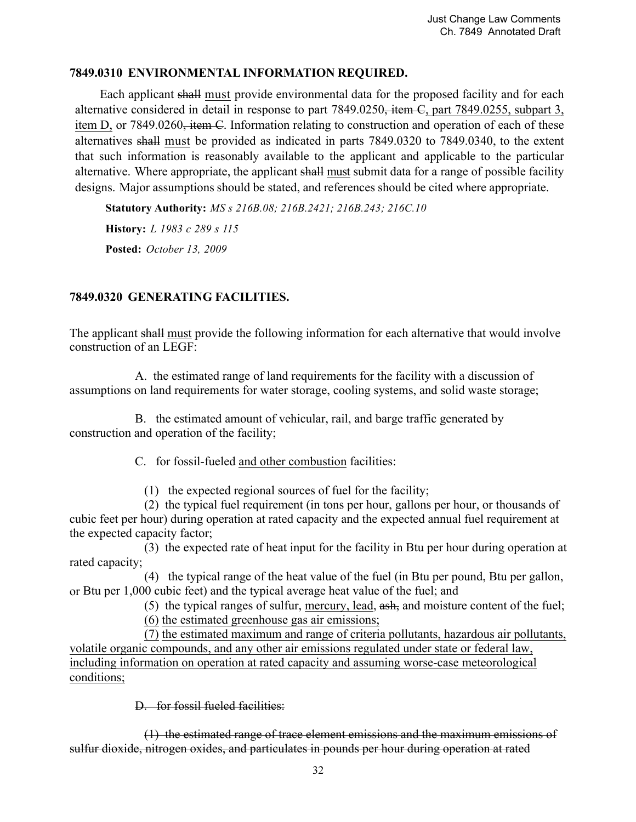## **7849.0310 ENVIRONMENTAL INFORMATION REQUIRED.**

Each applicant shall must provide environmental data for the proposed facility and for each alternative considered in detail in response to part 7849.0250, item C, part 7849.0255, subpart 3, item D, or 7849.0260, item C. Information relating to construction and operation of each of these alternatives shall must be provided as indicated in parts 7849.0320 to 7849.0340, to the extent that such information is reasonably available to the applicant and applicable to the particular alternative. Where appropriate, the applicant shall must submit data for a range of possible facility designs. Major assumptions should be stated, and references should be cited where appropriate.

**Statutory Authority:** *MS s 216B.08; 216B.2421; 216B.243; 216C.10*

**History:** *L 1983 c 289 s 115* **Posted:** *October 13, 2009*

# **7849.0320 GENERATING FACILITIES.**

The applicant shall must provide the following information for each alternative that would involve construction of an LEGF:

 A. the estimated range of land requirements for the facility with a discussion of assumptions on land requirements for water storage, cooling systems, and solid waste storage;

 B. the estimated amount of vehicular, rail, and barge traffic generated by construction and operation of the facility;

C. for fossil-fueled and other combustion facilities:

(1) the expected regional sources of fuel for the facility;

 (2) the typical fuel requirement (in tons per hour, gallons per hour, or thousands of cubic feet per hour) during operation at rated capacity and the expected annual fuel requirement at the expected capacity factor;

 (3) the expected rate of heat input for the facility in Btu per hour during operation at rated capacity;

 (4) the typical range of the heat value of the fuel (in Btu per pound, Btu per gallon, or Btu per 1,000 cubic feet) and the typical average heat value of the fuel; and

(5) the typical ranges of sulfur, mercury, lead, ash, and moisture content of the fuel;

(6) the estimated greenhouse gas air emissions;

 (7) the estimated maximum and range of criteria pollutants, hazardous air pollutants, volatile organic compounds, and any other air emissions regulated under state or federal law, including information on operation at rated capacity and assuming worse-case meteorological conditions;

D for fossil fueled facilities:

 (1) the estimated range of trace element emissions and the maximum emissions of sulfur dioxide, nitrogen oxides, and particulates in pounds per hour during operation at rated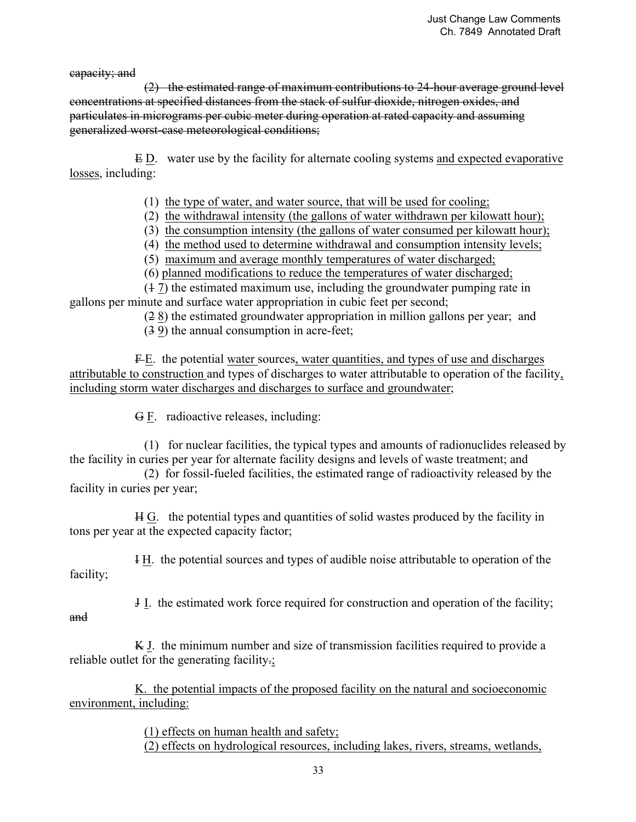capacity; and

 (2) the estimated range of maximum contributions to 24-hour average ground level concentrations at specified distances from the stack of sulfur dioxide, nitrogen oxides, and particulates in micrograms per cubic meter during operation at rated capacity and assuming generalized worst-case meteorological conditions;

 E D. water use by the facility for alternate cooling systems and expected evaporative losses, including:

- (1) the type of water, and water source, that will be used for cooling;
- (2) the withdrawal intensity (the gallons of water withdrawn per kilowatt hour);
- (3) the consumption intensity (the gallons of water consumed per kilowatt hour);
- (4) the method used to determine withdrawal and consumption intensity levels;
- (5) maximum and average monthly temperatures of water discharged;
- (6) planned modifications to reduce the temperatures of water discharged;

 (1 7) the estimated maximum use, including the groundwater pumping rate in gallons per minute and surface water appropriation in cubic feet per second;

(2 8) the estimated groundwater appropriation in million gallons per year; and

(3 9) the annual consumption in acre-feet;

F-E. the potential water sources, water quantities, and types of use and discharges attributable to construction and types of discharges to water attributable to operation of the facility, including storm water discharges and discharges to surface and groundwater;

G F. radioactive releases, including:

 (1) for nuclear facilities, the typical types and amounts of radionuclides released by the facility in curies per year for alternate facility designs and levels of waste treatment; and

 (2) for fossil-fueled facilities, the estimated range of radioactivity released by the facility in curies per year;

 H G. the potential types and quantities of solid wastes produced by the facility in tons per year at the expected capacity factor;

 I H. the potential sources and types of audible noise attributable to operation of the facility;

J I. the estimated work force required for construction and operation of the facility;

and

 K J. the minimum number and size of transmission facilities required to provide a reliable outlet for the generating facility.;

 K. the potential impacts of the proposed facility on the natural and socioeconomic environment, including:

(1) effects on human health and safety;

(2) effects on hydrological resources, including lakes, rivers, streams, wetlands,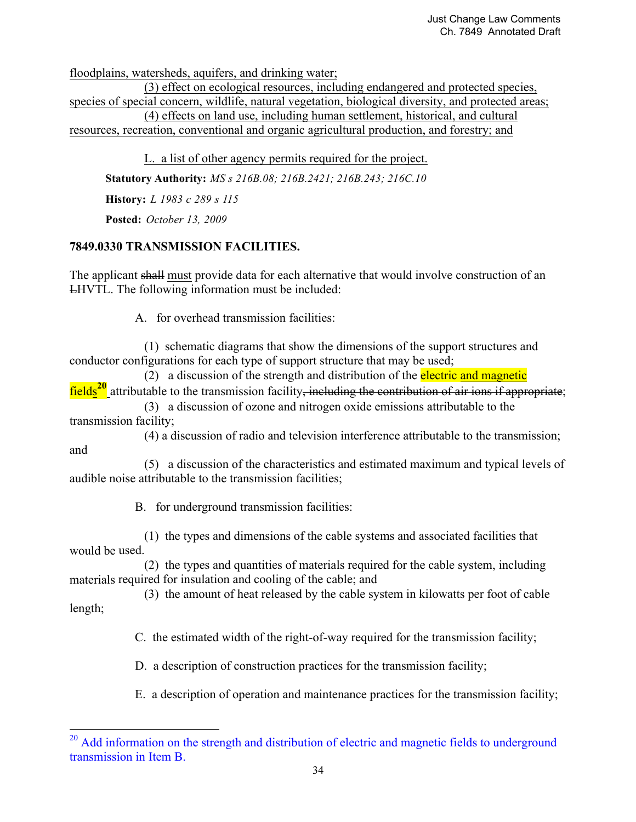floodplains, watersheds, aquifers, and drinking water;

 (3) effect on ecological resources, including endangered and protected species, species of special concern, wildlife, natural vegetation, biological diversity, and protected areas; (4) effects on land use, including human settlement, historical, and cultural resources, recreation, conventional and organic agricultural production, and forestry; and

 L. a list of other agency permits required for the project. **Statutory Authority:** *MS s 216B.08; 216B.2421; 216B.243; 216C.10* **History:** *L 1983 c 289 s 115*

**Posted:** *October 13, 2009*

-

## **7849.0330 TRANSMISSION FACILITIES.**

The applicant shall must provide data for each alternative that would involve construction of an LHVTL. The following information must be included:

A. for overhead transmission facilities:

 (1) schematic diagrams that show the dimensions of the support structures and conductor configurations for each type of support structure that may be used;

(2) a discussion of the strength and distribution of the electric and magnetic fields<sup>20</sup> attributable to the transmission facility<del>, including the contribution of air ions if appropriate;</del>

 (3) a discussion of ozone and nitrogen oxide emissions attributable to the transmission facility;

 (4) a discussion of radio and television interference attributable to the transmission; and

 (5) a discussion of the characteristics and estimated maximum and typical levels of audible noise attributable to the transmission facilities;

B. for underground transmission facilities:

 (1) the types and dimensions of the cable systems and associated facilities that would be used.

 (2) the types and quantities of materials required for the cable system, including materials required for insulation and cooling of the cable; and

 (3) the amount of heat released by the cable system in kilowatts per foot of cable length;

C. the estimated width of the right-of-way required for the transmission facility;

D. a description of construction practices for the transmission facility;

E. a description of operation and maintenance practices for the transmission facility;

<sup>&</sup>lt;sup>20</sup> Add information on the strength and distribution of electric and magnetic fields to underground transmission in Item B.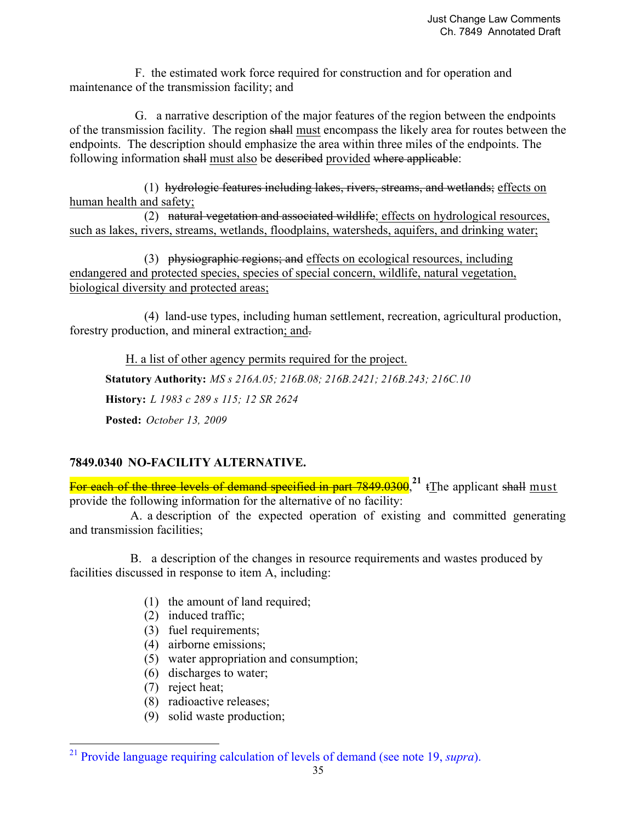F. the estimated work force required for construction and for operation and maintenance of the transmission facility; and

 G. a narrative description of the major features of the region between the endpoints of the transmission facility. The region shall must encompass the likely area for routes between the endpoints. The description should emphasize the area within three miles of the endpoints. The following information shall must also be described provided where applicable:

 (1) hydrologic features including lakes, rivers, streams, and wetlands; effects on human health and safety;

 (2) natural vegetation and associated wildlife; effects on hydrological resources, such as lakes, rivers, streams, wetlands, floodplains, watersheds, aquifers, and drinking water;

 (3) physiographic regions; and effects on ecological resources, including endangered and protected species, species of special concern, wildlife, natural vegetation, biological diversity and protected areas;

 (4) land-use types, including human settlement, recreation, agricultural production, forestry production, and mineral extraction; and.

 H. a list of other agency permits required for the project. **Statutory Authority:** *MS s 216A.05; 216B.08; 216B.2421; 216B.243; 216C.10* **History:** *L 1983 c 289 s 115; 12 SR 2624* **Posted:** *October 13, 2009*

## **7849.0340 NO-FACILITY ALTERNATIVE.**

For each of the three levels of demand specified in part 7849.0300.<sup>21</sup> t The applicant shall must provide the following information for the alternative of no facility:

A. a description of the expected operation of existing and committed generating and transmission facilities;

 B. a description of the changes in resource requirements and wastes produced by facilities discussed in response to item A, including:

- (1) the amount of land required;
- (2) induced traffic;
- (3) fuel requirements;
- (4) airborne emissions;
- (5) water appropriation and consumption;
- (6) discharges to water;
- (7) reject heat;

<u>.</u>

- (8) radioactive releases;
- (9) solid waste production;

<sup>21</sup> Provide language requiring calculation of levels of demand (see note 19, *supra*).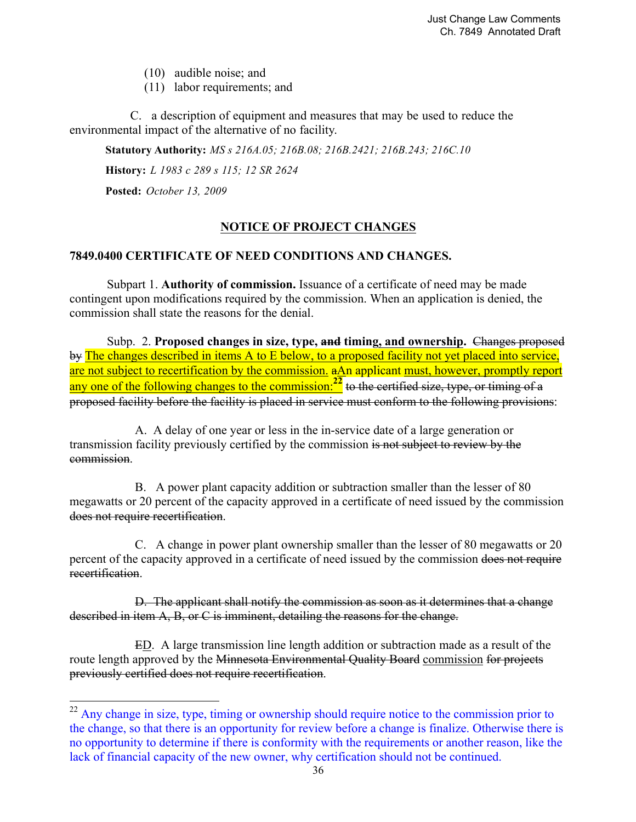(10) audible noise; and

(11) labor requirements; and

 C. a description of equipment and measures that may be used to reduce the environmental impact of the alternative of no facility.

**Statutory Authority:** *MS s 216A.05; 216B.08; 216B.2421; 216B.243; 216C.10*

**History:** *L 1983 c 289 s 115; 12 SR 2624*

**Posted:** *October 13, 2009*

<u>.</u>

### **NOTICE OF PROJECT CHANGES**

### **7849.0400 CERTIFICATE OF NEED CONDITIONS AND CHANGES.**

Subpart 1. **Authority of commission.** Issuance of a certificate of need may be made contingent upon modifications required by the commission. When an application is denied, the commission shall state the reasons for the denial.

Subp. 2. Proposed changes in size, type, and timing, and ownership. Changes proposed by The changes described in items A to E below, to a proposed facility not yet placed into service, are not subject to recertification by the commission. aAn applicant must, however, promptly report any one of the following changes to the commission:**22** to the certified size, type, or timing of a proposed facility before the facility is placed in service must conform to the following provisions:

 A. A delay of one year or less in the in-service date of a large generation or transmission facility previously certified by the commission is not subject to review by the commission.

 B. A power plant capacity addition or subtraction smaller than the lesser of 80 megawatts or 20 percent of the capacity approved in a certificate of need issued by the commission does not require recertification.

 C. A change in power plant ownership smaller than the lesser of 80 megawatts or 20 percent of the capacity approved in a certificate of need issued by the commission does not require recertification.

 D. The applicant shall notify the commission as soon as it determines that a change described in item A, B, or C is imminent, detailing the reasons for the change.

 ED. A large transmission line length addition or subtraction made as a result of the route length approved by the Minnesota Environmental Quality Board commission for projects previously certified does not require recertification.

<sup>&</sup>lt;sup>22</sup> Any change in size, type, timing or ownership should require notice to the commission prior to the change, so that there is an opportunity for review before a change is finalize. Otherwise there is no opportunity to determine if there is conformity with the requirements or another reason, like the lack of financial capacity of the new owner, why certification should not be continued.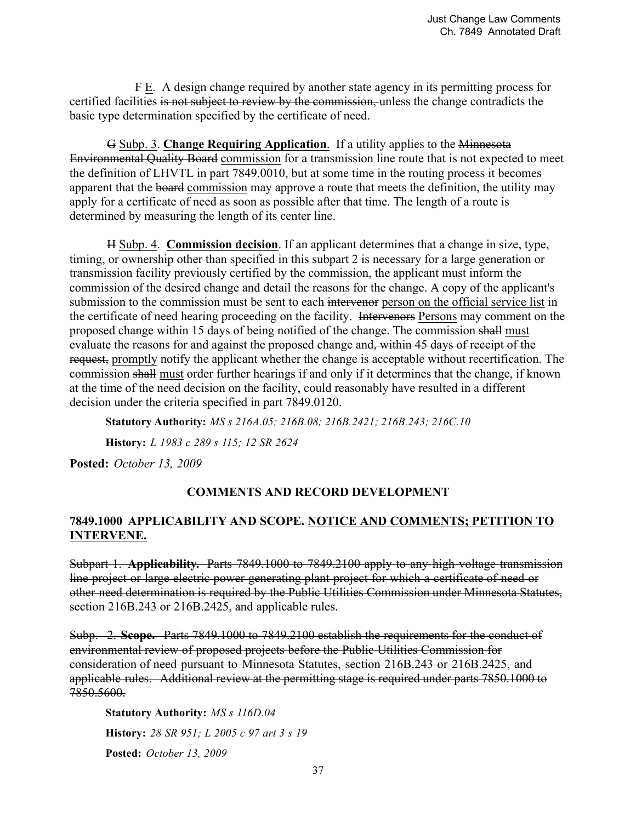F E. A design change required by another state agency in its permitting process for certified facilities is not subject to review by the commission, unless the change contradicts the basic type determination specified by the certificate of need.

 G Subp. 3. **Change Requiring Application**. If a utility applies to the Minnesota Environmental Quality Board commission for a transmission line route that is not expected to meet the definition of LHVTL in part 7849.0010, but at some time in the routing process it becomes apparent that the board commission may approve a route that meets the definition, the utility may apply for a certificate of need as soon as possible after that time. The length of a route is determined by measuring the length of its center line.

 H Subp. 4. **Commission decision**. If an applicant determines that a change in size, type, timing, or ownership other than specified in this subpart 2 is necessary for a large generation or transmission facility previously certified by the commission, the applicant must inform the commission of the desired change and detail the reasons for the change. A copy of the applicant's submission to the commission must be sent to each intervenor person on the official service list in the certificate of need hearing proceeding on the facility. Intervenors Persons may comment on the proposed change within 15 days of being notified of the change. The commission shall must evaluate the reasons for and against the proposed change and, within 45 days of receipt of the request, promptly notify the applicant whether the change is acceptable without recertification. The commission shall must order further hearings if and only if it determines that the change, if known at the time of the need decision on the facility, could reasonably have resulted in a different decision under the criteria specified in part 7849.0120.

**Statutory Authority:** *MS s 216A.05; 216B.08; 216B.2421; 216B.243; 216C.10*

**History:** *L 1983 c 289 s 115; 12 SR 2624*

**Posted:** *October 13, 2009*

## **COMMENTS AND RECORD DEVELOPMENT**

### **7849.1000 APPLICABILITY AND SCOPE. NOTICE AND COMMENTS; PETITION TO INTERVENE.**

Subpart 1. **Applicability.** Parts 7849.1000 to 7849.2100 apply to any high voltage transmission line project or large electric power generating plant project for which a certificate of need or other need determination is required by the Public Utilities Commission under Minnesota Statutes, section 216B.243 or 216B.2425, and applicable rules.

Subp. 2. **Scope.** Parts 7849.1000 to 7849.2100 establish the requirements for the conduct of environmental review of proposed projects before the Public Utilities Commission for consideration of need pursuant to Minnesota Statutes, section 216B.243 or 216B.2425, and applicable rules. Additional review at the permitting stage is required under parts 7850.1000 to 7850.5600.

**Statutory Authority:** *MS s 116D.04* **History:** *28 SR 951; L 2005 c 97 art 3 s 19* **Posted:** *October 13, 2009*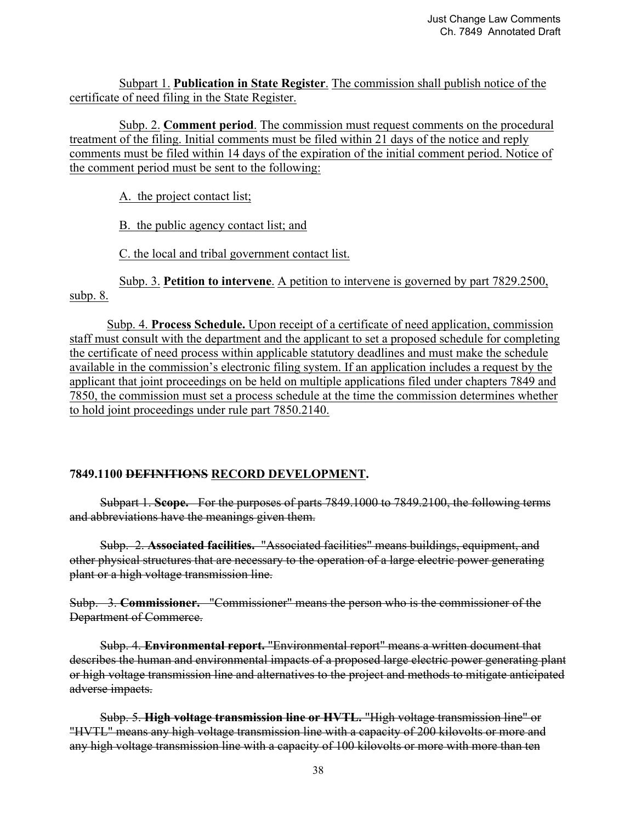Subpart 1. **Publication in State Register**. The commission shall publish notice of the certificate of need filing in the State Register.

Subp. 2. **Comment period**. The commission must request comments on the procedural treatment of the filing. Initial comments must be filed within 21 days of the notice and reply comments must be filed within 14 days of the expiration of the initial comment period. Notice of the comment period must be sent to the following:

A. the project contact list;

B. the public agency contact list; and

C. the local and tribal government contact list.

Subp. 3. **Petition to intervene**. A petition to intervene is governed by part 7829.2500, subp. 8.

Subp. 4. **Process Schedule.** Upon receipt of a certificate of need application, commission staff must consult with the department and the applicant to set a proposed schedule for completing the certificate of need process within applicable statutory deadlines and must make the schedule available in the commission's electronic filing system. If an application includes a request by the applicant that joint proceedings on be held on multiple applications filed under chapters 7849 and 7850, the commission must set a process schedule at the time the commission determines whether to hold joint proceedings under rule part 7850.2140.

### **7849.1100 DEFINITIONS RECORD DEVELOPMENT.**

Subpart 1. **Scope.** For the purposes of parts 7849.1000 to 7849.2100, the following terms and abbreviations have the meanings given them.

Subp. 2. **Associated facilities.** "Associated facilities" means buildings, equipment, and other physical structures that are necessary to the operation of a large electric power generating plant or a high voltage transmission line.

Subp. 3. **Commissioner.** "Commissioner" means the person who is the commissioner of the Department of Commerce.

Subp. 4. **Environmental report.** "Environmental report" means a written document that describes the human and environmental impacts of a proposed large electric power generating plant or high voltage transmission line and alternatives to the project and methods to mitigate anticipated adverse impacts.

Subp. 5. **High voltage transmission line or HVTL.** "High voltage transmission line" or "HVTL" means any high voltage transmission line with a capacity of 200 kilovolts or more and any high voltage transmission line with a capacity of 100 kilovolts or more with more than ten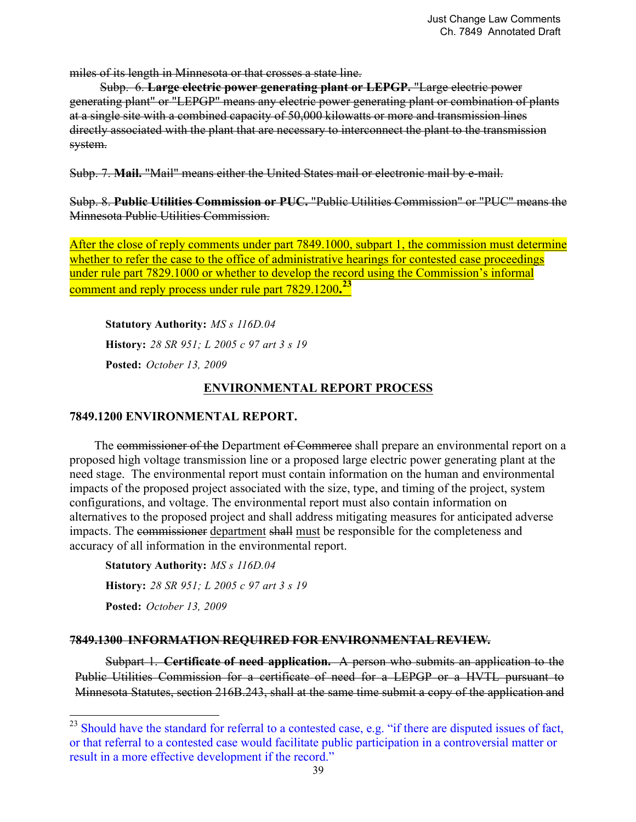miles of its length in Minnesota or that crosses a state line.

Subp. 6. **Large electric power generating plant or LEPGP.** "Large electric power generating plant" or "LEPGP" means any electric power generating plant or combination of plants at a single site with a combined capacity of 50,000 kilowatts or more and transmission lines directly associated with the plant that are necessary to interconnect the plant to the transmission system.

Subp. 7. **Mail.** "Mail" means either the United States mail or electronic mail by e-mail.

Subp. 8. **Public Utilities Commission or PUC.** "Public Utilities Commission" or "PUC" means the Minnesota Public Utilities Commission.

After the close of reply comments under part 7849.1000, subpart 1, the commission must determine whether to refer the case to the office of administrative hearings for contested case proceedings under rule part 7829.1000 or whether to develop the record using the Commission's informal comment and reply process under rule part 7829.1200**. 23**

**Statutory Authority:** *MS s 116D.04* **History:** *28 SR 951; L 2005 c 97 art 3 s 19* **Posted:** *October 13, 2009*

## **ENVIRONMENTAL REPORT PROCESS**

### **7849.1200 ENVIRONMENTAL REPORT.**

The commissioner of the Department of Commerce shall prepare an environmental report on a proposed high voltage transmission line or a proposed large electric power generating plant at the need stage. The environmental report must contain information on the human and environmental impacts of the proposed project associated with the size, type, and timing of the project, system configurations, and voltage. The environmental report must also contain information on alternatives to the proposed project and shall address mitigating measures for anticipated adverse impacts. The commissioner department shall must be responsible for the completeness and accuracy of all information in the environmental report.

**Statutory Authority:** *MS s 116D.04* **History:** *28 SR 951; L 2005 c 97 art 3 s 19* **Posted:** *October 13, 2009*

<u>.</u>

### **7849.1300 INFORMATION REQUIRED FOR ENVIRONMENTAL REVIEW.**

Subpart 1. **Certificate of need application.** A person who submits an application to the Public Utilities Commission for a certificate of need for a LEPGP or a HVTL pursuant to Minnesota Statutes, section 216B.243, shall at the same time submit a copy of the application and

 $^{23}$  Should have the standard for referral to a contested case, e.g. "if there are disputed issues of fact, or that referral to a contested case would facilitate public participation in a controversial matter or result in a more effective development if the record."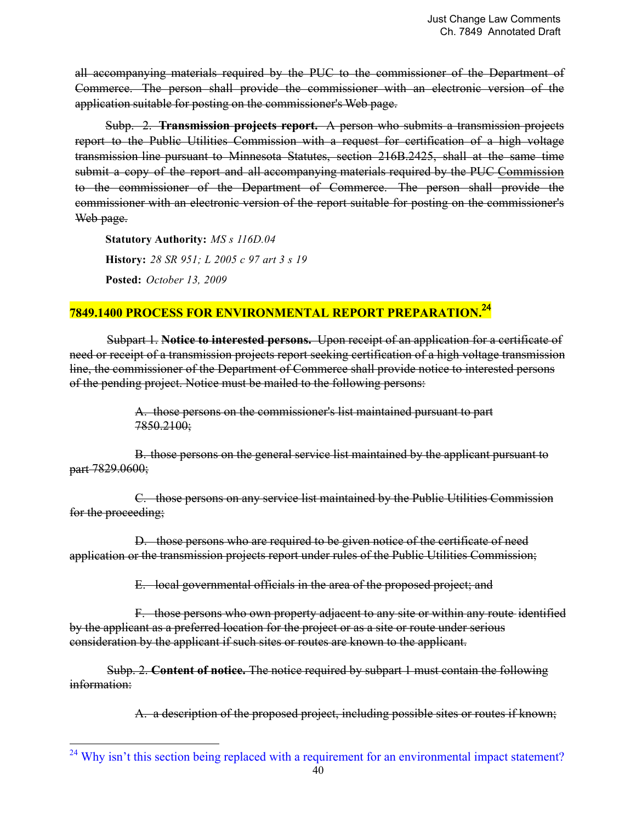all accompanying materials required by the PUC to the commissioner of the Department of Commerce. The person shall provide the commissioner with an electronic version of the application suitable for posting on the commissioner's Web page.

Subp. 2. **Transmission projects report.** A person who submits a transmission projects report to the Public Utilities Commission with a request for certification of a high voltage transmission line pursuant to Minnesota Statutes, section 216B.2425, shall at the same time submit a copy of the report and all accompanying materials required by the PUC Commission to the commissioner of the Department of Commerce. The person shall provide the commissioner with an electronic version of the report suitable for posting on the commissioner's Web page.

**Statutory Authority:** *MS s 116D.04* **History:** *28 SR 951; L 2005 c 97 art 3 s 19* **Posted:** *October 13, 2009*

# **7849.1400 PROCESS FOR ENVIRONMENTAL REPORT PREPARATION.**<sup>24</sup>

Subpart 1. **Notice to interested persons.** Upon receipt of an application for a certificate of need or receipt of a transmission projects report seeking certification of a high voltage transmission line, the commissioner of the Department of Commerce shall provide notice to interested persons of the pending project. Notice must be mailed to the following persons:

> A. those persons on the commissioner's list maintained pursuant to part 7850.2100;

B. those persons on the general service list maintained by the applicant pursuant to part 7829,0600;

C. those persons on any service list maintained by the Public Utilities Commission for the proceeding;

D. those persons who are required to be given notice of the certificate of need application or the transmission projects report under rules of the Public Utilities Commission;

E. local governmental officials in the area of the proposed project; and

F. those persons who own property adjacent to any site or within any route identified by the applicant as a preferred location for the project or as a site or route under serious consideration by the applicant if such sites or routes are known to the applicant.

Subp. 2. **Content of notice.** The notice required by subpart 1 must contain the following information:

A. a description of the proposed project, including possible sites or routes if known;

<sup>&</sup>lt;sup>24</sup> Why isn't this section being replaced with a requirement for an environmental impact statement?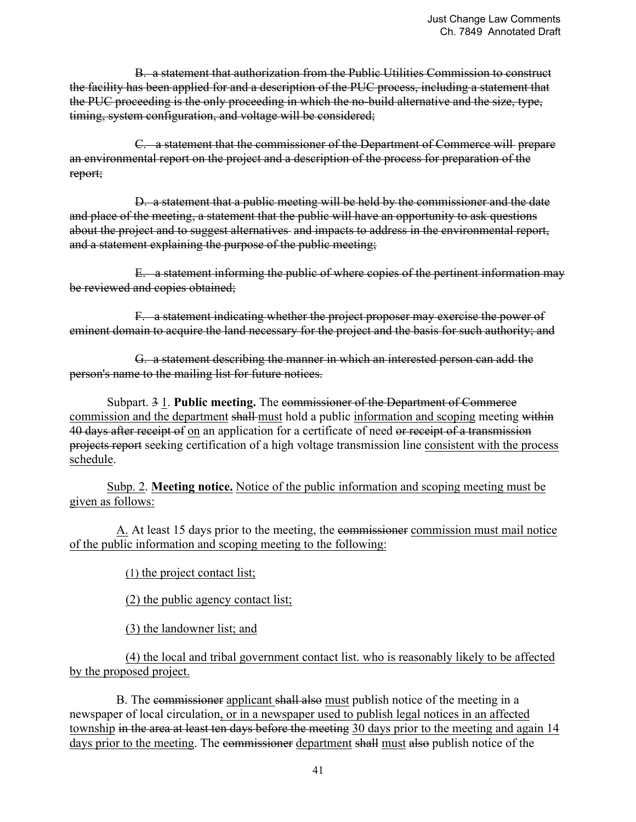B. a statement that authorization from the Public Utilities Commission to construct the facility has been applied for and a description of the PUC process, including a statement that the PUC proceeding is the only proceeding in which the no-build alternative and the size, type, timing, system configuration, and voltage will be considered;

 C. a statement that the commissioner of the Department of Commerce will prepare an environmental report on the project and a description of the process for preparation of the report;

 D. a statement that a public meeting will be held by the commissioner and the date and place of the meeting, a statement that the public will have an opportunity to ask questions about the project and to suggest alternatives and impacts to address in the environmental report, and a statement explaining the purpose of the public meeting;

 E. a statement informing the public of where copies of the pertinent information may be reviewed and copies obtained;

 F. a statement indicating whether the project proposer may exercise the power of eminent domain to acquire the land necessary for the project and the basis for such authority; and

 G. a statement describing the manner in which an interested person can add the person's name to the mailing list for future notices.

 Subpart. 3 1. **Public meeting.** The commissioner of the Department of Commerce commission and the department shall-must hold a public information and scoping meeting within 40 days after receipt of on an application for a certificate of need or receipt of a transmission projects report seeking certification of a high voltage transmission line consistent with the process schedule.

Subp. 2. **Meeting notice.** Notice of the public information and scoping meeting must be given as follows:

A. At least 15 days prior to the meeting, the commissioner commission must mail notice of the public information and scoping meeting to the following:

(1) the project contact list;

(2) the public agency contact list;

(3) the landowner list; and

 (4) the local and tribal government contact list. who is reasonably likely to be affected by the proposed project.

B. The commissioner applicant shall also must publish notice of the meeting in a newspaper of local circulation, or in a newspaper used to publish legal notices in an affected township in the area at least ten days before the meeting 30 days prior to the meeting and again 14 days prior to the meeting. The commissioner department shall must also publish notice of the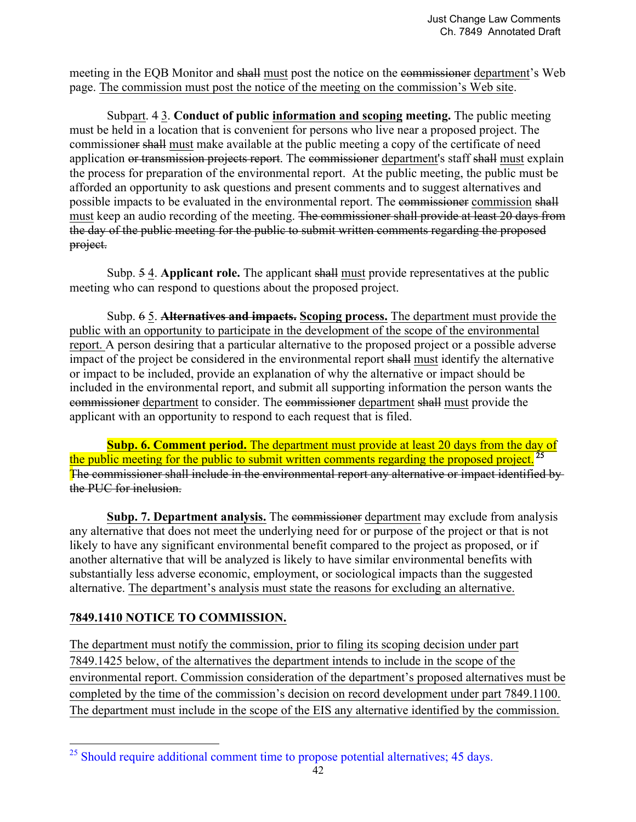meeting in the EQB Monitor and shall must post the notice on the commissioner department's Web page. The commission must post the notice of the meeting on the commission's Web site.

Subpart. 4 3. **Conduct of public information and scoping meeting.** The public meeting must be held in a location that is convenient for persons who live near a proposed project. The commissioner shall must make available at the public meeting a copy of the certificate of need application or transmission projects report. The commissioner department's staff shall must explain the process for preparation of the environmental report. At the public meeting, the public must be afforded an opportunity to ask questions and present comments and to suggest alternatives and possible impacts to be evaluated in the environmental report. The commissioner commission shall must keep an audio recording of the meeting. The commissioner shall provide at least 20 days from the day of the public meeting for the public to submit written comments regarding the proposed project.

Subp. 5 4. **Applicant role.** The applicant shall must provide representatives at the public meeting who can respond to questions about the proposed project.

Subp. 6 5. **Alternatives and impacts. Scoping process.** The department must provide the public with an opportunity to participate in the development of the scope of the environmental report. A person desiring that a particular alternative to the proposed project or a possible adverse impact of the project be considered in the environmental report shall must identify the alternative or impact to be included, provide an explanation of why the alternative or impact should be included in the environmental report, and submit all supporting information the person wants the commissioner department to consider. The commissioner department shall must provide the applicant with an opportunity to respond to each request that is filed.

**Subp. 6. Comment period.** The department must provide at least 20 days from the day of the public meeting for the public to submit written comments regarding the proposed project.<sup>25</sup> The commissioner shall include in the environmental report any alternative or impact identified by the PUC for inclusion.

**Subp. 7. Department analysis.** The commissioner department may exclude from analysis any alternative that does not meet the underlying need for or purpose of the project or that is not likely to have any significant environmental benefit compared to the project as proposed, or if another alternative that will be analyzed is likely to have similar environmental benefits with substantially less adverse economic, employment, or sociological impacts than the suggested alternative. The department's analysis must state the reasons for excluding an alternative.

## **7849.1410 NOTICE TO COMMISSION.**

The department must notify the commission, prior to filing its scoping decision under part 7849.1425 below, of the alternatives the department intends to include in the scope of the environmental report. Commission consideration of the department's proposed alternatives must be completed by the time of the commission's decision on record development under part 7849.1100. The department must include in the scope of the EIS any alternative identified by the commission.

<sup>&</sup>lt;sup>25</sup> Should require additional comment time to propose potential alternatives; 45 days.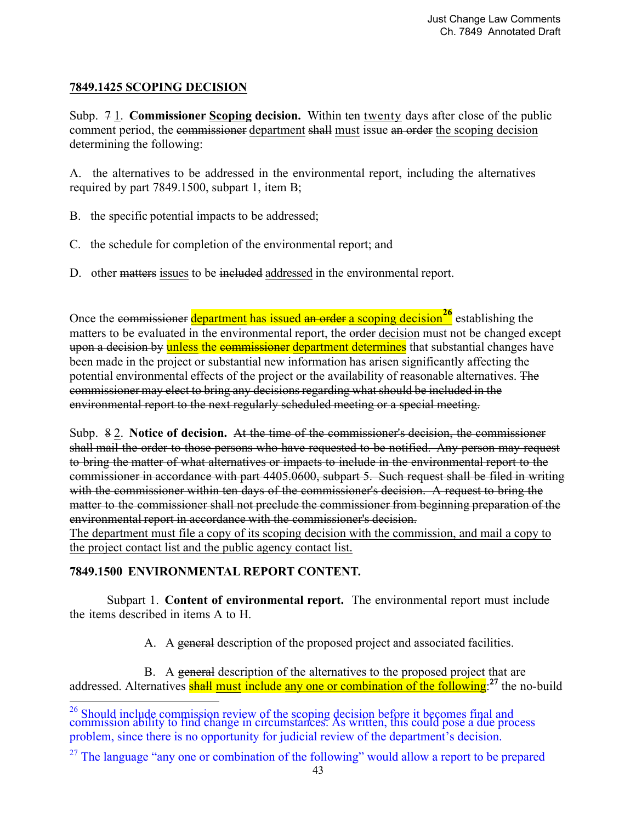## **7849.1425 SCOPING DECISION**

Subp. 7 1. **Commissioner Scoping decision.** Within ten twenty days after close of the public comment period, the commissioner department shall must issue an order the scoping decision determining the following:

A. the alternatives to be addressed in the environmental report, including the alternatives required by part 7849.1500, subpart 1, item B;

- B. the specific potential impacts to be addressed;
- C. the schedule for completion of the environmental report; and
- D. other matters issues to be included addressed in the environmental report.

Once the commissioner department has issued an order a scoping decision<sup>26</sup> establishing the matters to be evaluated in the environmental report, the order decision must not be changed except upon a decision by unless the commissioner department determines that substantial changes have been made in the project or substantial new information has arisen significantly affecting the potential environmental effects of the project or the availability of reasonable alternatives. The commissioner may elect to bring any decisions regarding what should be included in the environmental report to the next regularly scheduled meeting or a special meeting.

Subp. 8 2. **Notice of decision.** At the time of the commissioner's decision, the commissioner shall mail the order to those persons who have requested to be notified. Any person may request to bring the matter of what alternatives or impacts to include in the environmental report to the commissioner in accordance with part 4405.0600, subpart 5. Such request shall be filed in writing with the commissioner within ten days of the commissioner's decision. A request to bring the matter to the commissioner shall not preclude the commissioner from beginning preparation of the environmental report in accordance with the commissioner's decision.

The department must file a copy of its scoping decision with the commission, and mail a copy to the project contact list and the public agency contact list.

### **7849.1500 ENVIRONMENTAL REPORT CONTENT.**

Subpart 1. **Content of environmental report.** The environmental report must include the items described in items A to H.

A. A general description of the proposed project and associated facilities.

B. A general description of the alternatives to the proposed project that are addressed. Alternatives shall must include any one or combination of the following:<sup>27</sup> the no-build

 $^{26}$  Should include commission review of the scoping decision before it becomes final and commission ability to find change in circumstances. As written, this could pose a due process problem, since there is no opportunity for judicial review of the department's decision.

 $27$  The language "any one or combination of the following" would allow a report to be prepared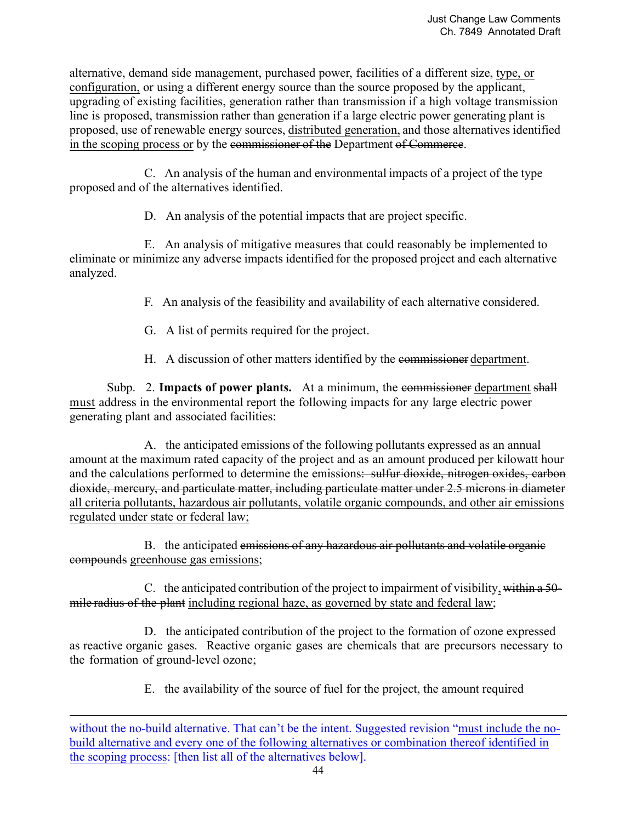alternative, demand side management, purchased power, facilities of a different size, type, or configuration, or using a different energy source than the source proposed by the applicant, upgrading of existing facilities, generation rather than transmission if a high voltage transmission line is proposed, transmission rather than generation if a large electric power generating plant is proposed, use of renewable energy sources, distributed generation, and those alternatives identified in the scoping process or by the commissioner of the Department of Commerce.

 C. An analysis of the human and environmental impacts of a project of the type proposed and of the alternatives identified.

D. An analysis of the potential impacts that are project specific.

 E. An analysis of mitigative measures that could reasonably be implemented to eliminate or minimize any adverse impacts identified for the proposed project and each alternative analyzed.

F. An analysis of the feasibility and availability of each alternative considered.

- G. A list of permits required for the project.
- H. A discussion of other matters identified by the commissioner department.

Subp. 2. **Impacts of power plants.** At a minimum, the commissioner department shall must address in the environmental report the following impacts for any large electric power generating plant and associated facilities:

 A. the anticipated emissions of the following pollutants expressed as an annual amount at the maximum rated capacity of the project and as an amount produced per kilowatt hour and the calculations performed to determine the emissions: sulfur dioxide, nitrogen oxides, carbon dioxide, mercury, and particulate matter, including particulate matter under 2.5 microns in diameter all criteria pollutants, hazardous air pollutants, volatile organic compounds, and other air emissions regulated under state or federal law;

B. the anticipated emissions of any hazardous air pollutants and volatile organic compounds greenhouse gas emissions;

 C. the anticipated contribution of the project to impairment of visibility, within a 50 mile radius of the plant including regional haze, as governed by state and federal law;

 D. the anticipated contribution of the project to the formation of ozone expressed as reactive organic gases. Reactive organic gases are chemicals that are precursors necessary to the formation of ground-level ozone;

E. the availability of the source of fuel for the project, the amount required

l

without the no-build alternative. That can't be the intent. Suggested revision "must include the nobuild alternative and every one of the following alternatives or combination thereof identified in the scoping process: [then list all of the alternatives below].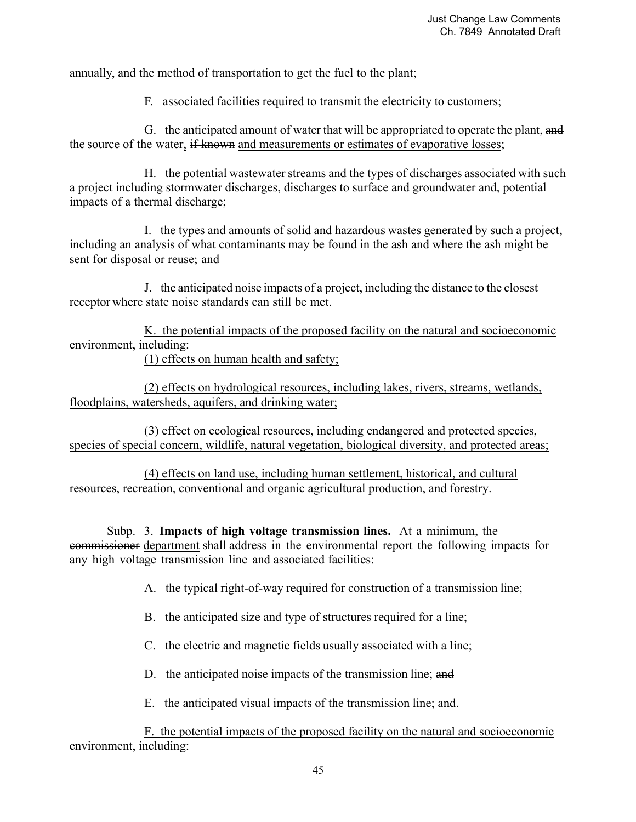annually, and the method of transportation to get the fuel to the plant;

F. associated facilities required to transmit the electricity to customers;

 G. the anticipated amount of water that will be appropriated to operate the plant, and the source of the water, if known and measurements or estimates of evaporative losses;

 H. the potential wastewater streams and the types of discharges associated with such a project including stormwater discharges, discharges to surface and groundwater and, potential impacts of a thermal discharge;

 I. the types and amounts of solid and hazardous wastes generated by such a project, including an analysis of what contaminants may be found in the ash and where the ash might be sent for disposal or reuse; and

 J. the anticipated noise impacts of a project, including the distance to the closest receptor where state noise standards can still be met.

 K. the potential impacts of the proposed facility on the natural and socioeconomic environment, including:

(1) effects on human health and safety;

 (2) effects on hydrological resources, including lakes, rivers, streams, wetlands, floodplains, watersheds, aquifers, and drinking water;

 (3) effect on ecological resources, including endangered and protected species, species of special concern, wildlife, natural vegetation, biological diversity, and protected areas;

 (4) effects on land use, including human settlement, historical, and cultural resources, recreation, conventional and organic agricultural production, and forestry.

 Subp. 3. **Impacts of high voltage transmission lines.** At a minimum, the commissioner department shall address in the environmental report the following impacts for any high voltage transmission line and associated facilities:

A. the typical right-of-way required for construction of a transmission line;

- B. the anticipated size and type of structures required for a line;
- C. the electric and magnetic fields usually associated with a line;
- D. the anticipated noise impacts of the transmission line; and
- E. the anticipated visual impacts of the transmission line; and.

 F. the potential impacts of the proposed facility on the natural and socioeconomic environment, including: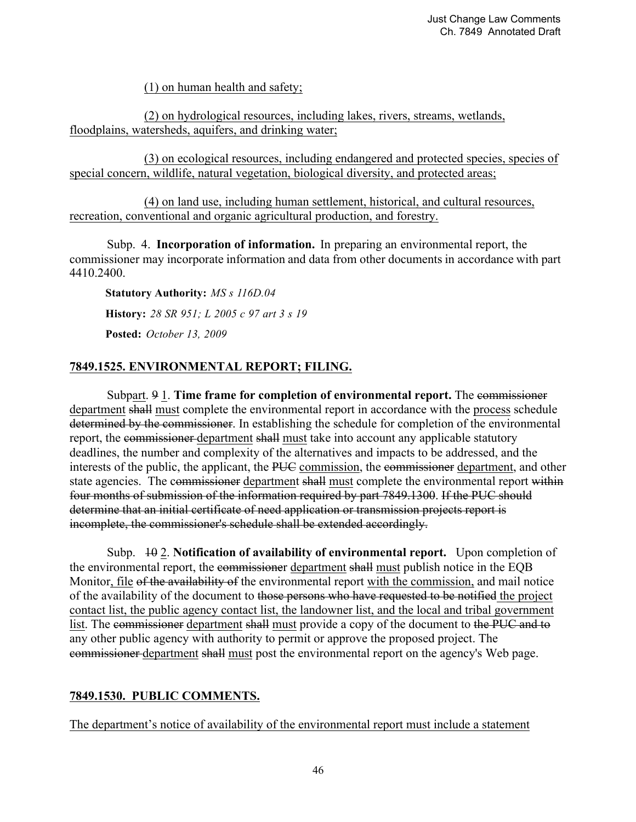(1) on human health and safety;

 (2) on hydrological resources, including lakes, rivers, streams, wetlands, floodplains, watersheds, aquifers, and drinking water;

 (3) on ecological resources, including endangered and protected species, species of special concern, wildlife, natural vegetation, biological diversity, and protected areas;

 (4) on land use, including human settlement, historical, and cultural resources, recreation, conventional and organic agricultural production, and forestry.

 Subp. 4. **Incorporation of information.** In preparing an environmental report, the commissioner may incorporate information and data from other documents in accordance with part 4410.2400.

**Statutory Authority:** *MS s 116D.04* **History:** *28 SR 951; L 2005 c 97 art 3 s 19*

**Posted:** *October 13, 2009*

## **7849.1525. ENVIRONMENTAL REPORT; FILING.**

Subpart. 9 1. **Time frame for completion of environmental report.** The commissioner department shall must complete the environmental report in accordance with the process schedule determined by the commissioner. In establishing the schedule for completion of the environmental report, the commissioner department shall must take into account any applicable statutory deadlines, the number and complexity of the alternatives and impacts to be addressed, and the interests of the public, the applicant, the PUC commission, the commissioner department, and other state agencies. The commissioner department shall must complete the environmental report within four months of submission of the information required by part 7849.1300. If the PUC should determine that an initial certificate of need application or transmission projects report is incomplete, the commissioner's schedule shall be extended accordingly.

 Subp. 10 2. **Notification of availability of environmental report.** Upon completion of the environmental report, the commissioner department shall must publish notice in the EQB Monitor, file of the availability of the environmental report with the commission, and mail notice of the availability of the document to those persons who have requested to be notified the project contact list, the public agency contact list, the landowner list, and the local and tribal government list. The commissioner department shall must provide a copy of the document to the PUC and to any other public agency with authority to permit or approve the proposed project. The commissioner department shall must post the environmental report on the agency's Web page.

### **7849.1530. PUBLIC COMMENTS.**

The department's notice of availability of the environmental report must include a statement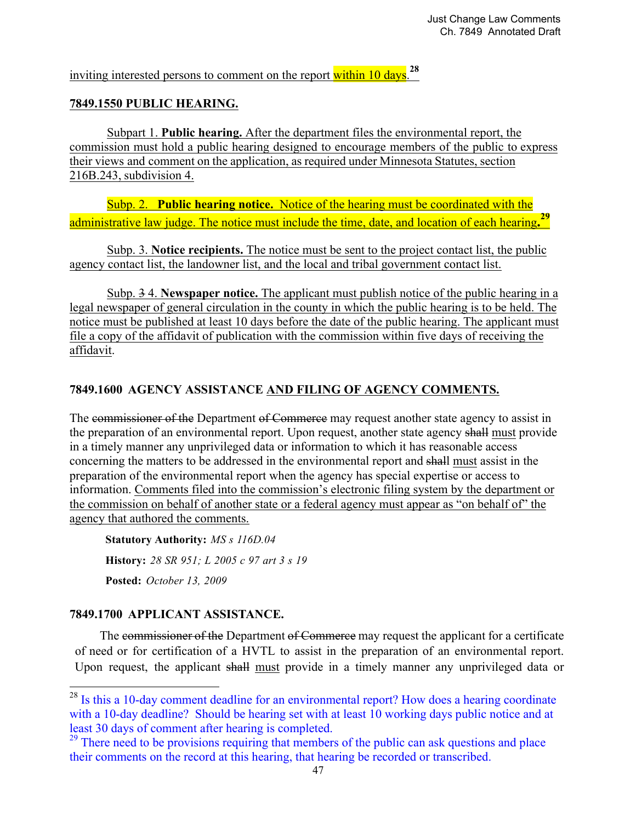inviting interested persons to comment on the report within 10 days.**<sup>28</sup>**

### **7849.1550 PUBLIC HEARING.**

 Subpart 1. **Public hearing.** After the department files the environmental report, the commission must hold a public hearing designed to encourage members of the public to express their views and comment on the application, as required under Minnesota Statutes, section 216B.243, subdivision 4.

 Subp. 2. **Public hearing notice.** Notice of the hearing must be coordinated with the administrative law judge. The notice must include the time, date, and location of each hearing**. 29**

 Subp. 3. **Notice recipients.** The notice must be sent to the project contact list, the public agency contact list, the landowner list, and the local and tribal government contact list.

 Subp. 3 4. **Newspaper notice.** The applicant must publish notice of the public hearing in a legal newspaper of general circulation in the county in which the public hearing is to be held. The notice must be published at least 10 days before the date of the public hearing. The applicant must file a copy of the affidavit of publication with the commission within five days of receiving the affidavit.

### **7849.1600 AGENCY ASSISTANCE AND FILING OF AGENCY COMMENTS.**

The commissioner of the Department of Commerce may request another state agency to assist in the preparation of an environmental report. Upon request, another state agency shall must provide in a timely manner any unprivileged data or information to which it has reasonable access concerning the matters to be addressed in the environmental report and shall must assist in the preparation of the environmental report when the agency has special expertise or access to information. Comments filed into the commission's electronic filing system by the department or the commission on behalf of another state or a federal agency must appear as "on behalf of" the agency that authored the comments.

**Statutory Authority:** *MS s 116D.04* **History:** *28 SR 951; L 2005 c 97 art 3 s 19* **Posted:** *October 13, 2009*

### **7849.1700 APPLICANT ASSISTANCE.**

**.** 

The commissioner of the Department of Commerce may request the applicant for a certificate of need or for certification of a HVTL to assist in the preparation of an environmental report. Upon request, the applicant shall must provide in a timely manner any unprivileged data or

 $2<sup>28</sup>$  Is this a 10-day comment deadline for an environmental report? How does a hearing coordinate with a 10-day deadline? Should be hearing set with at least 10 working days public notice and at least 30 days of comment after hearing is completed.

<sup>&</sup>lt;sup>29</sup> There need to be provisions requiring that members of the public can ask questions and place their comments on the record at this hearing, that hearing be recorded or transcribed.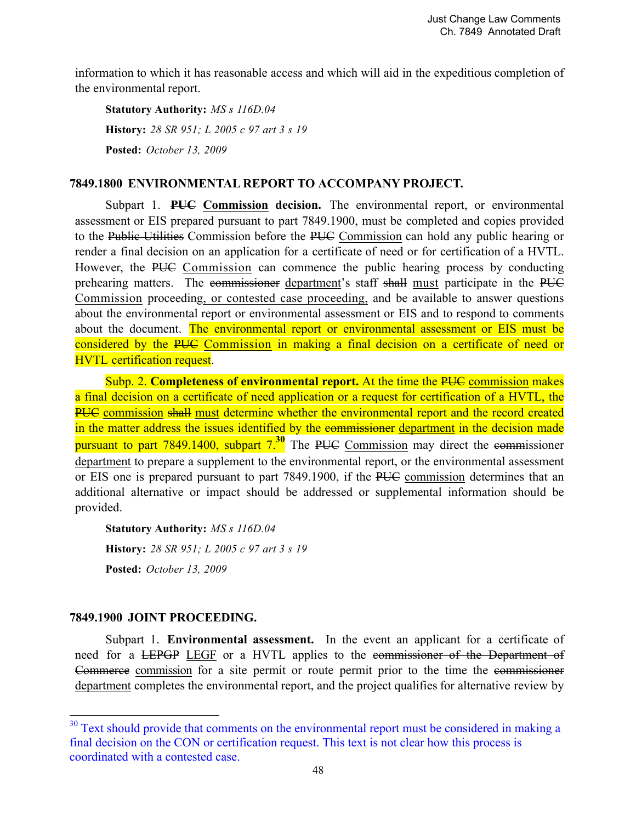information to which it has reasonable access and which will aid in the expeditious completion of the environmental report.

**Statutory Authority:** *MS s 116D.04* **History:** *28 SR 951; L 2005 c 97 art 3 s 19* **Posted:** *October 13, 2009*

### **7849.1800 ENVIRONMENTAL REPORT TO ACCOMPANY PROJECT.**

Subpart 1. **PUC Commission decision.** The environmental report, or environmental assessment or EIS prepared pursuant to part 7849.1900, must be completed and copies provided to the Public Utilities Commission before the PUC Commission can hold any public hearing or render a final decision on an application for a certificate of need or for certification of a HVTL. However, the PUC Commission can commence the public hearing process by conducting prehearing matters. The commissioner department's staff shall must participate in the PUC Commission proceeding, or contested case proceeding, and be available to answer questions about the environmental report or environmental assessment or EIS and to respond to comments about the document. The environmental report or environmental assessment or EIS must be considered by the PUC Commission in making a final decision on a certificate of need or HVTL certification request.

Subp. 2. **Completeness of environmental report.** At the time the PUC commission makes a final decision on a certificate of need application or a request for certification of a HVTL, the PUC commission shall must determine whether the environmental report and the record created in the matter address the issues identified by the commissioner department in the decision made pursuant to part 7849.1400, subpart 7.**30** The PUC Commission may direct the commissioner department to prepare a supplement to the environmental report, or the environmental assessment or EIS one is prepared pursuant to part 7849.1900, if the PUC commission determines that an additional alternative or impact should be addressed or supplemental information should be provided.

**Statutory Authority:** *MS s 116D.04* **History:** *28 SR 951; L 2005 c 97 art 3 s 19* **Posted:** *October 13, 2009*

### **7849.1900 JOINT PROCEEDING.**

<u>.</u>

Subpart 1. **Environmental assessment.** In the event an applicant for a certificate of need for a LEPGP LEGF or a HVTL applies to the commissioner of the Department of Commerce commission for a site permit or route permit prior to the time the commissioner department completes the environmental report, and the project qualifies for alternative review by

 $30$  Text should provide that comments on the environmental report must be considered in making a final decision on the CON or certification request. This text is not clear how this process is coordinated with a contested case.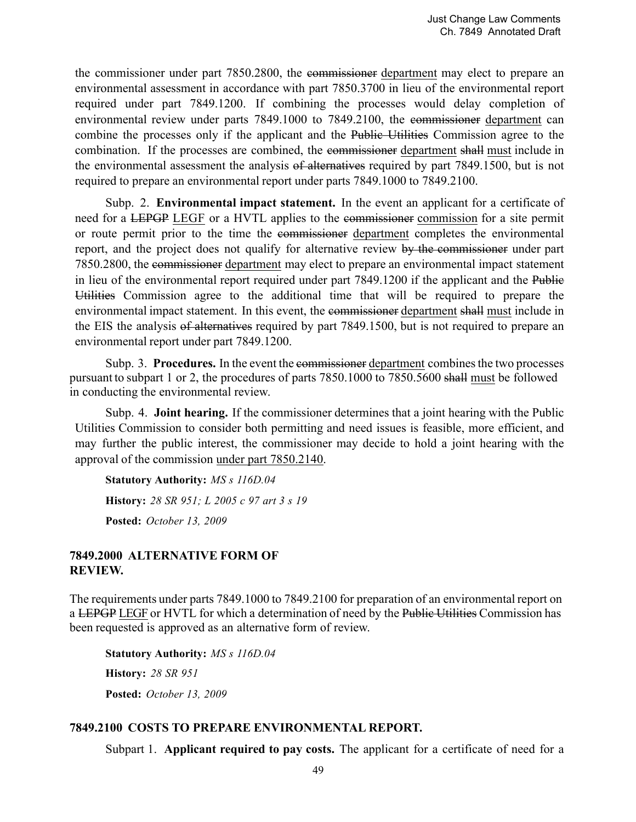the commissioner under part 7850.2800, the commissioner department may elect to prepare an environmental assessment in accordance with part 7850.3700 in lieu of the environmental report required under part 7849.1200. If combining the processes would delay completion of environmental review under parts 7849.1000 to 7849.2100, the commissioner department can combine the processes only if the applicant and the Public Utilities Commission agree to the combination. If the processes are combined, the commissioner department shall must include in the environmental assessment the analysis of alternatives required by part 7849.1500, but is not required to prepare an environmental report under parts 7849.1000 to 7849.2100.

Subp. 2. **Environmental impact statement.** In the event an applicant for a certificate of need for a LEPGP LEGF or a HVTL applies to the commissioner commission for a site permit or route permit prior to the time the commissioner department completes the environmental report, and the project does not qualify for alternative review by the commissioner under part 7850.2800, the commissioner department may elect to prepare an environmental impact statement in lieu of the environmental report required under part 7849.1200 if the applicant and the Public Utilities Commission agree to the additional time that will be required to prepare the environmental impact statement. In this event, the commissioner department shall must include in the EIS the analysis of alternatives required by part 7849.1500, but is not required to prepare an environmental report under part 7849.1200.

Subp. 3. **Procedures.** In the event the commissioner department combines the two processes pursuant to subpart 1 or 2, the procedures of parts 7850.1000 to 7850.5600 shall must be followed in conducting the environmental review.

Subp. 4. **Joint hearing.** If the commissioner determines that a joint hearing with the Public Utilities Commission to consider both permitting and need issues is feasible, more efficient, and may further the public interest, the commissioner may decide to hold a joint hearing with the approval of the commission under part 7850.2140.

**Statutory Authority:** *MS s 116D.04* **History:** *28 SR 951; L 2005 c 97 art 3 s 19* **Posted:** *October 13, 2009*

### **7849.2000 ALTERNATIVE FORM OF REVIEW.**

The requirements under parts 7849.1000 to 7849.2100 for preparation of an environmental report on a LEPGP LEGF or HVTL for which a determination of need by the Public Utilities Commission has been requested is approved as an alternative form of review.

**Statutory Authority:** *MS s 116D.04* **History:** *28 SR 951* **Posted:** *October 13, 2009*

## **7849.2100 COSTS TO PREPARE ENVIRONMENTAL REPORT.**

Subpart 1. **Applicant required to pay costs.** The applicant for a certificate of need for a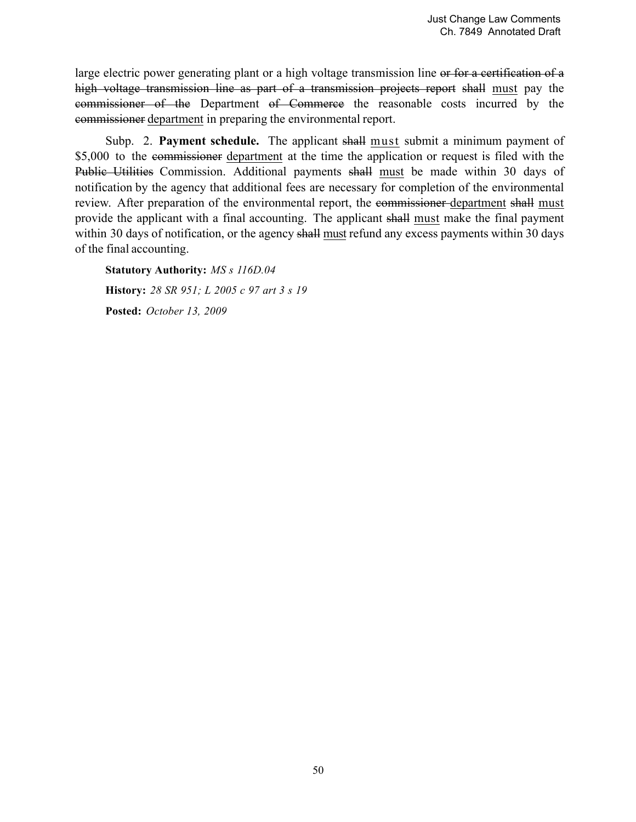large electric power generating plant or a high voltage transmission line or for a certification of a high voltage transmission line as part of a transmission projects report shall must pay the commissioner of the Department of Commerce the reasonable costs incurred by the commissioner department in preparing the environmental report.

Subp. 2. **Payment schedule.** The applicant shall must submit a minimum payment of \$5,000 to the commissioner department at the time the application or request is filed with the Public Utilities Commission. Additional payments shall must be made within 30 days of notification by the agency that additional fees are necessary for completion of the environmental review. After preparation of the environmental report, the commissioner department shall must provide the applicant with a final accounting. The applicant shall must make the final payment within 30 days of notification, or the agency shall must refund any excess payments within 30 days of the final accounting.

**Statutory Authority:** *MS s 116D.04* **History:** *28 SR 951; L 2005 c 97 art 3 s 19* **Posted:** *October 13, 2009*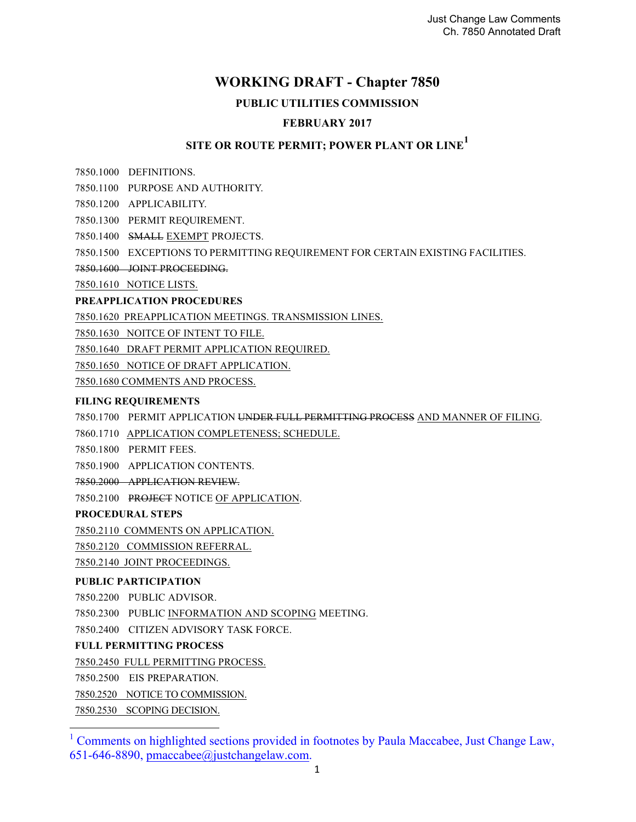## **WORKING DRAFT - Chapter 7850**

### **PUBLIC UTILITIES COMMISSION**

### **FEBRUARY 2017**

# **SITE OR ROUTE PERMIT; POWER PLANT OR LINE<sup>1</sup>**

7850.1000 DEFINITIONS.

7850.1100 PURPOSE AND AUTHORITY.

7850.1200 APPLICABILITY.

7850.1300 PERMIT REQUIREMENT.

7850.1400 SMALL EXEMPT PROJECTS.

7850.1500 EXCEPTIONS TO PERMITTING REQUIREMENT FOR CERTAIN EXISTING FACILITIES.

7850.1600 JOINT PROCEEDING.

7850.1610 NOTICE LISTS.

#### **PREAPPLICATION PROCEDURES**

7850.1620 PREAPPLICATION MEETINGS. TRANSMISSION LINES.

7850.1630 NOITCE OF INTENT TO FILE.

7850.1640 DRAFT PERMIT APPLICATION REQUIRED.

7850.1650 NOTICE OF DRAFT APPLICATION.

7850.1680 COMMENTS AND PROCESS.

#### **FILING REQUIREMENTS**

7850.1700 PERMIT APPLICATION UNDER FULL PERMITTING PROCESS AND MANNER OF FILING.

7860.1710 APPLICATION COMPLETENESS; SCHEDULE.

7850.1800 PERMIT FEES.

7850.1900 APPLICATION CONTENTS.

7850.2000 APPLICATION REVIEW.

7850.2100 PROJECT NOTICE OF APPLICATION.

#### **PROCEDURAL STEPS**

7850.2110 COMMENTS ON APPLICATION.

7850.2120 COMMISSION REFERRAL.

7850.2140 JOINT PROCEEDINGS.

#### **PUBLIC PARTICIPATION**

7850.2200 PUBLIC ADVISOR.

7850.2300 PUBLIC INFORMATION AND SCOPING MEETING.

7850.2400 CITIZEN ADVISORY TASK FORCE.

#### **FULL PERMITTING PROCESS**

7850.2450 FULL PERMITTING PROCESS.

7850.2500 EIS PREPARATION.

7850.2520 NOTICE TO COMMISSION.

7850.2530 SCOPING DECISION. 

<sup>1</sup> Comments on highlighted sections provided in footnotes by Paula Maccabee, Just Change Law, 651-646-8890, pmaccabee@justchangelaw.com.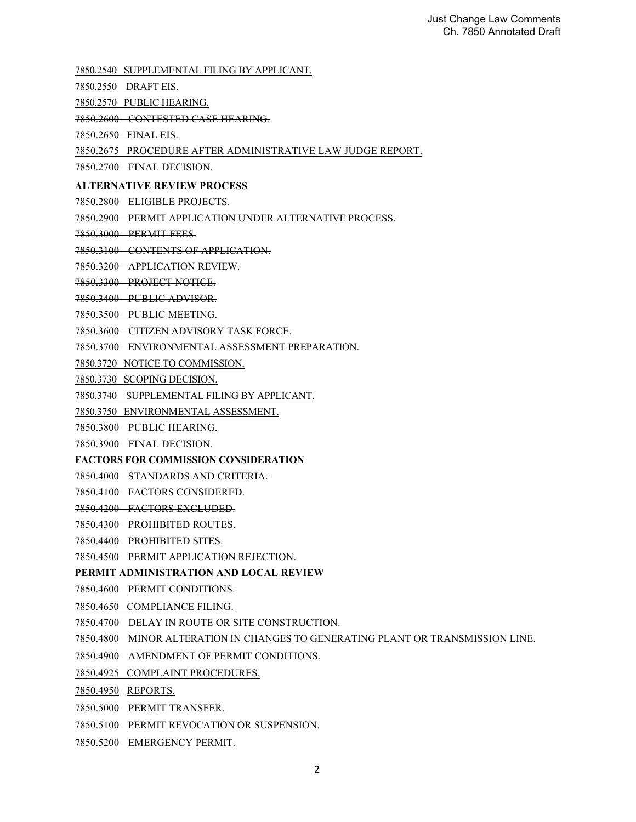7850.2540 SUPPLEMENTAL FILING BY APPLICANT.

- 7850.2550 DRAFT EIS.
- 7850.2570 PUBLIC HEARING.
- 7850.2600 CONTESTED CASE HEARING.
- 7850.2650 FINAL EIS.

7850.2675 PROCEDURE AFTER ADMINISTRATIVE LAW JUDGE REPORT.

7850.2700 FINAL DECISION.

#### **ALTERNATIVE REVIEW PROCESS**

- 7850.2800 ELIGIBLE PROJECTS.
- 7850.2900 PERMIT APPLICATION UNDER ALTERNATIVE PROCESS.
- 7850.3000 PERMIT FEES.
- 7850.3100 CONTENTS OF APPLICATION.
- 7850.3200 APPLICATION REVIEW.
- 7850.3300 PROJECT NOTICE.
- 7850.3400 PUBLIC ADVISOR.
- 7850.3500 PUBLIC MEETING.
- 7850.3600 CITIZEN ADVISORY TASK FORCE.
- 7850.3700 ENVIRONMENTAL ASSESSMENT PREPARATION.
- 7850.3720 NOTICE TO COMMISSION.
- 7850.3730 SCOPING DECISION.
- 7850.3740 SUPPLEMENTAL FILING BY APPLICANT.
- 7850.3750 ENVIRONMENTAL ASSESSMENT.
- 7850.3800 PUBLIC HEARING.
- 7850.3900 FINAL DECISION.
- **FACTORS FOR COMMISSION CONSIDERATION**
- 7850.4000 STANDARDS AND CRITERIA.
- 7850.4100 FACTORS CONSIDERED.
- 7850.4200 FACTORS EXCLUDED.
- 7850.4300 PROHIBITED ROUTES.
- 7850.4400 PROHIBITED SITES.
- 7850.4500 PERMIT APPLICATION REJECTION.

#### **PERMIT ADMINISTRATION AND LOCAL REVIEW**

- 7850.4600 PERMIT CONDITIONS.
- 7850.4650 COMPLIANCE FILING.
- 7850.4700 DELAY IN ROUTE OR SITE CONSTRUCTION.
- 7850.4800 MINOR ALTERATION IN CHANGES TO GENERATING PLANT OR TRANSMISSION LINE.
- 7850.4900 AMENDMENT OF PERMIT CONDITIONS.
- 7850.4925 COMPLAINT PROCEDURES.
- 7850.4950 REPORTS.
- 7850.5000 PERMIT TRANSFER.
- 7850.5100 PERMIT REVOCATION OR SUSPENSION.
- 7850.5200 EMERGENCY PERMIT.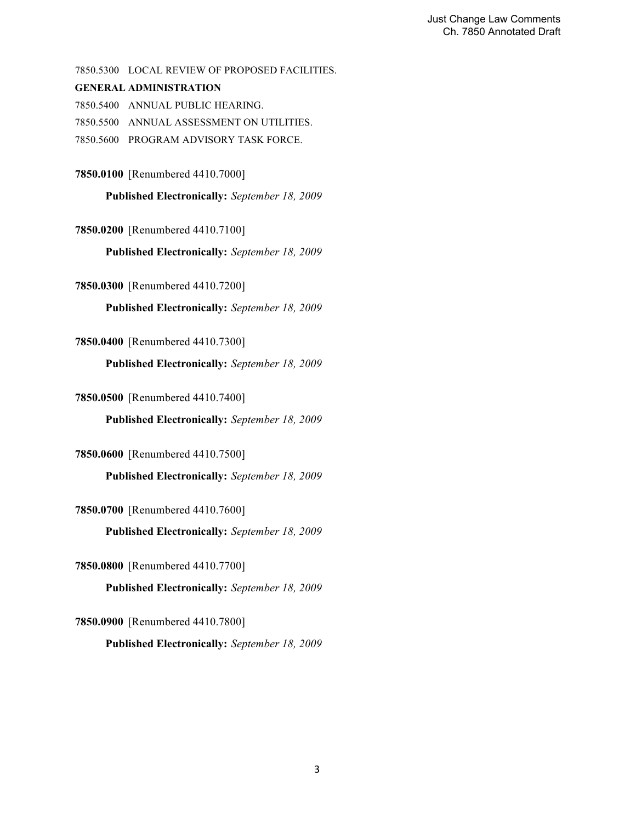7850.5300 LOCAL REVIEW OF PROPOSED FACILITIES.

#### **GENERAL ADMINISTRATION**

7850.5400 ANNUAL PUBLIC HEARING.

7850.5500 ANNUAL ASSESSMENT ON UTILITIES.

7850.5600 PROGRAM ADVISORY TASK FORCE.

**7850.0100** [Renumbered 4410.7000]

**Published Electronically:** *September 18, 2009*

**7850.0200** [Renumbered 4410.7100]

**Published Electronically:** *September 18, 2009*

**7850.0300** [Renumbered 4410.7200]

**Published Electronically:** *September 18, 2009*

#### **7850.0400** [Renumbered 4410.7300]

**Published Electronically:** *September 18, 2009*

**7850.0500** [Renumbered 4410.7400]

**Published Electronically:** *September 18, 2009*

**7850.0600** [Renumbered 4410.7500]

**Published Electronically:** *September 18, 2009*

**7850.0700** [Renumbered 4410.7600]

**Published Electronically:** *September 18, 2009*

**7850.0800** [Renumbered 4410.7700] **Published Electronically:** *September 18, 2009*

**7850.0900** [Renumbered 4410.7800] **Published Electronically:** *September 18, 2009*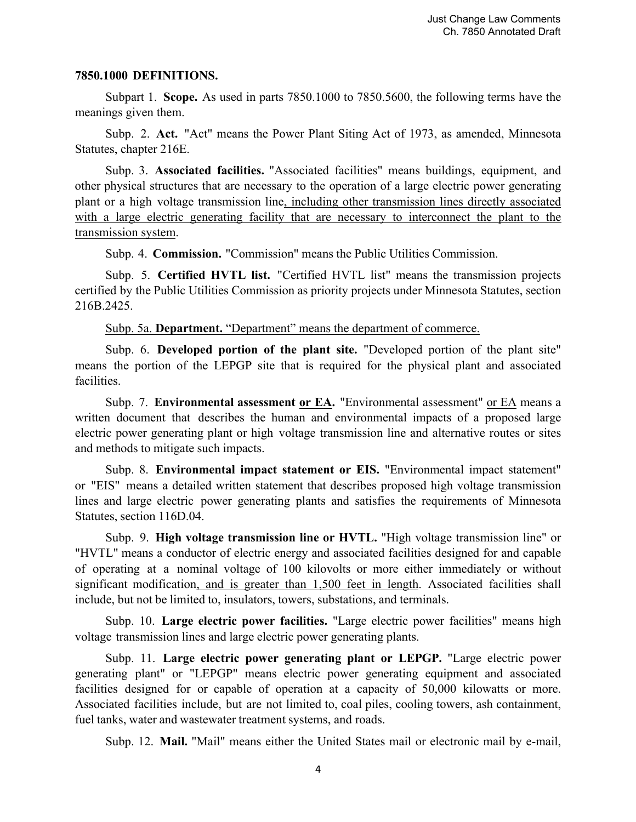#### **7850.1000 DEFINITIONS.**

Subpart 1. **Scope.** As used in parts 7850.1000 to 7850.5600, the following terms have the meanings given them.

Subp. 2. **Act.** "Act" means the Power Plant Siting Act of 1973, as amended, Minnesota Statutes, chapter 216E.

Subp. 3. **Associated facilities.** "Associated facilities" means buildings, equipment, and other physical structures that are necessary to the operation of a large electric power generating plant or a high voltage transmission line, including other transmission lines directly associated with a large electric generating facility that are necessary to interconnect the plant to the transmission system.

Subp. 4. **Commission.** "Commission" means the Public Utilities Commission.

Subp. 5. **Certified HVTL list.** "Certified HVTL list" means the transmission projects certified by the Public Utilities Commission as priority projects under Minnesota Statutes, section 216B.2425.

Subp. 5a. **Department.** "Department" means the department of commerce.

Subp. 6. **Developed portion of the plant site.** "Developed portion of the plant site" means the portion of the LEPGP site that is required for the physical plant and associated facilities.

Subp. 7. **Environmental assessment or EA.** "Environmental assessment" or EA means a written document that describes the human and environmental impacts of a proposed large electric power generating plant or high voltage transmission line and alternative routes or sites and methods to mitigate such impacts.

Subp. 8. **Environmental impact statement or EIS.** "Environmental impact statement" or "EIS" means a detailed written statement that describes proposed high voltage transmission lines and large electric power generating plants and satisfies the requirements of Minnesota Statutes, section 116D.04.

Subp. 9. **High voltage transmission line or HVTL.** "High voltage transmission line" or "HVTL" means a conductor of electric energy and associated facilities designed for and capable of operating at a nominal voltage of 100 kilovolts or more either immediately or without significant modification, and is greater than 1,500 feet in length. Associated facilities shall include, but not be limited to, insulators, towers, substations, and terminals.

Subp. 10. **Large electric power facilities.** "Large electric power facilities" means high voltage transmission lines and large electric power generating plants.

Subp. 11. **Large electric power generating plant or LEPGP.** "Large electric power generating plant" or "LEPGP" means electric power generating equipment and associated facilities designed for or capable of operation at a capacity of 50,000 kilowatts or more. Associated facilities include, but are not limited to, coal piles, cooling towers, ash containment, fuel tanks, water and wastewater treatment systems, and roads.

Subp. 12. **Mail.** "Mail" means either the United States mail or electronic mail by e-mail,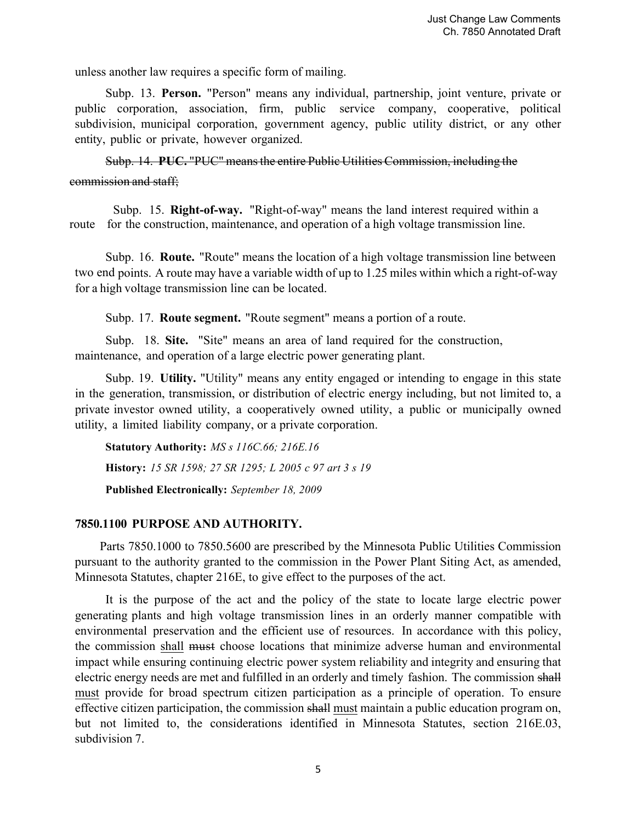unless another law requires a specific form of mailing.

Subp. 13. **Person.** "Person" means any individual, partnership, joint venture, private or public corporation, association, firm, public service company, cooperative, political subdivision, municipal corporation, government agency, public utility district, or any other entity, public or private, however organized.

Subp. 14. **PUC.** "PUC" means the entire Public Utilities Commission, including the commission and staff;

 Subp. 15. **Right-of-way.** "Right-of-way" means the land interest required within a route for the construction, maintenance, and operation of a high voltage transmission line.

Subp. 16. **Route.** "Route" means the location of a high voltage transmission line between two end points. A route may have a variable width of up to 1.25 miles within which a right-of-way for a high voltage transmission line can be located.

Subp. 17. **Route segment.** "Route segment" means a portion of a route.

Subp. 18. **Site.** "Site" means an area of land required for the construction, maintenance, and operation of a large electric power generating plant.

Subp. 19. **Utility.** "Utility" means any entity engaged or intending to engage in this state in the generation, transmission, or distribution of electric energy including, but not limited to, a private investor owned utility, a cooperatively owned utility, a public or municipally owned utility, a limited liability company, or a private corporation.

**Statutory Authority:** *MS s 116C.66; 216E.16* **History:** *15 SR 1598; 27 SR 1295; L 2005 c 97 art 3 s 19* **Published Electronically:** *September 18, 2009*

### **7850.1100 PURPOSE AND AUTHORITY.**

Parts 7850.1000 to 7850.5600 are prescribed by the Minnesota Public Utilities Commission pursuant to the authority granted to the commission in the Power Plant Siting Act, as amended, Minnesota Statutes, chapter 216E, to give effect to the purposes of the act.

It is the purpose of the act and the policy of the state to locate large electric power generating plants and high voltage transmission lines in an orderly manner compatible with environmental preservation and the efficient use of resources. In accordance with this policy, the commission shall must choose locations that minimize adverse human and environmental impact while ensuring continuing electric power system reliability and integrity and ensuring that electric energy needs are met and fulfilled in an orderly and timely fashion. The commission shall must provide for broad spectrum citizen participation as a principle of operation. To ensure effective citizen participation, the commission shall must maintain a public education program on, but not limited to, the considerations identified in Minnesota Statutes, section 216E.03, subdivision 7.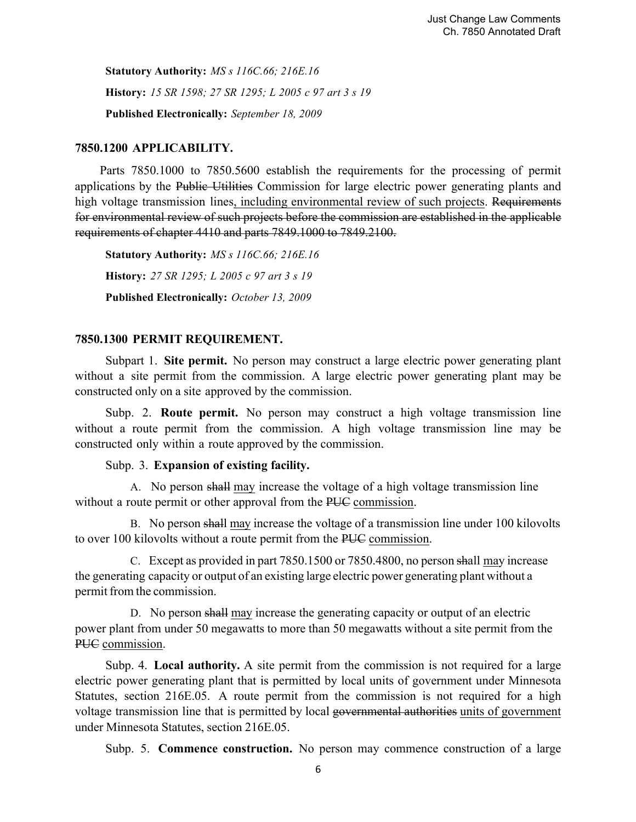**Statutory Authority:** *MS s 116C.66; 216E.16* **History:** *15 SR 1598; 27 SR 1295; L 2005 c 97 art 3 s 19* **Published Electronically:** *September 18, 2009*

### **7850.1200 APPLICABILITY.**

Parts 7850.1000 to 7850.5600 establish the requirements for the processing of permit applications by the Public Utilities Commission for large electric power generating plants and high voltage transmission lines, including environmental review of such projects. Requirements for environmental review of such projects before the commission are established in the applicable requirements of chapter 4410 and parts 7849.1000 to 7849.2100.

**Statutory Authority:** *MS s 116C.66; 216E.16* **History:** *27 SR 1295; L 2005 c 97 art 3 s 19* **Published Electronically:** *October 13, 2009*

### **7850.1300 PERMIT REQUIREMENT.**

Subpart 1. **Site permit.** No person may construct a large electric power generating plant without a site permit from the commission. A large electric power generating plant may be constructed only on a site approved by the commission.

Subp. 2. **Route permit.** No person may construct a high voltage transmission line without a route permit from the commission. A high voltage transmission line may be constructed only within a route approved by the commission.

### Subp. 3. **Expansion of existing facility.**

A. No person shall may increase the voltage of a high voltage transmission line without a route permit or other approval from the PUC commission.

B. No person shall may increase the voltage of a transmission line under 100 kilovolts to over 100 kilovolts without a route permit from the PUC commission.

C. Except as provided in part 7850.1500 or 7850.4800, no person shall may increase the generating capacity or output of an existing large electric power generating plant without a permit from the commission.

D. No person shall may increase the generating capacity or output of an electric power plant from under 50 megawatts to more than 50 megawatts without a site permit from the PUC commission.

Subp. 4. **Local authority.** A site permit from the commission is not required for a large electric power generating plant that is permitted by local units of government under Minnesota Statutes, section 216E.05. A route permit from the commission is not required for a high voltage transmission line that is permitted by local governmental authorities units of government under Minnesota Statutes, section 216E.05.

Subp. 5. **Commence construction.** No person may commence construction of a large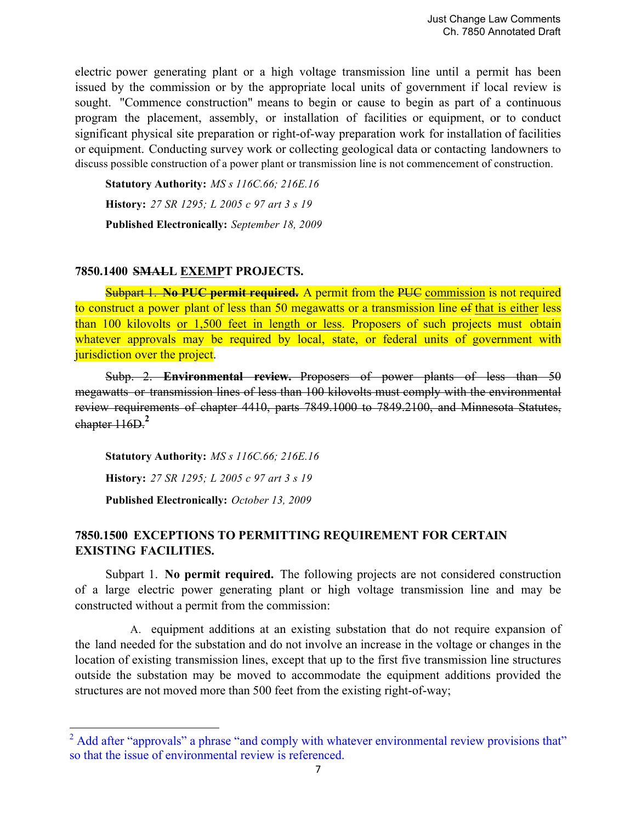electric power generating plant or a high voltage transmission line until a permit has been issued by the commission or by the appropriate local units of government if local review is sought. "Commence construction" means to begin or cause to begin as part of a continuous program the placement, assembly, or installation of facilities or equipment, or to conduct significant physical site preparation or right-of-way preparation work for installation of facilities or equipment. Conducting survey work or collecting geological data or contacting landowners to discuss possible construction of a power plant or transmission line is not commencement of construction.

**Statutory Authority:** *MS s 116C.66; 216E.16* **History:** *27 SR 1295; L 2005 c 97 art 3 s 19* **Published Electronically:** *September 18, 2009*

### **7850.1400 SMALL EXEMPT PROJECTS.**

Subpart 1. **No PUC permit required.** A permit from the PUC commission is not required to construct a power plant of less than 50 megawatts or a transmission line of that is either less than 100 kilovolts or 1,500 feet in length or less. Proposers of such projects must obtain whatever approvals may be required by local, state, or federal units of government with jurisdiction over the project.

Subp. 2. **Environmental review.** Proposers of power plants of less than 50 megawatts or transmission lines of less than 100 kilovolts must comply with the environmental review requirements of chapter 4410, parts 7849.1000 to 7849.2100, and Minnesota Statutes, chapter 116D.**<sup>2</sup>**

**Statutory Authority:** *MS s 116C.66; 216E.16* **History:** *27 SR 1295; L 2005 c 97 art 3 s 19* **Published Electronically:** *October 13, 2009*

 

### **7850.1500 EXCEPTIONS TO PERMITTING REQUIREMENT FOR CERTAIN EXISTING FACILITIES.**

Subpart 1. **No permit required.** The following projects are not considered construction of a large electric power generating plant or high voltage transmission line and may be constructed without a permit from the commission:

A. equipment additions at an existing substation that do not require expansion of the land needed for the substation and do not involve an increase in the voltage or changes in the location of existing transmission lines, except that up to the first five transmission line structures outside the substation may be moved to accommodate the equipment additions provided the structures are not moved more than 500 feet from the existing right-of-way;

 $2^2$  Add after "approvals" a phrase "and comply with whatever environmental review provisions that" so that the issue of environmental review is referenced.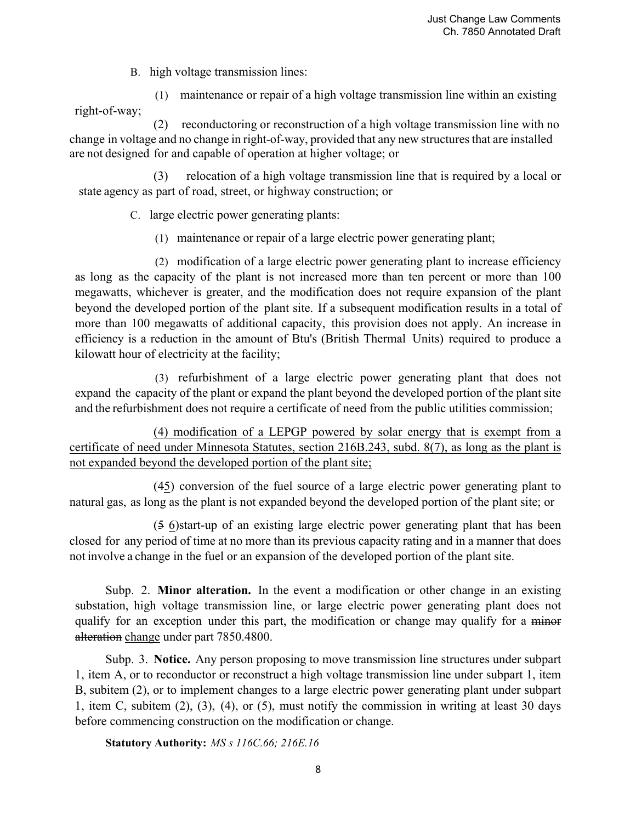B. high voltage transmission lines:

(1) maintenance or repair of a high voltage transmission line within an existing right-of-way;

 (2) reconductoring or reconstruction of a high voltage transmission line with no change in voltage and no change in right-of-way, provided that any new structures that are installed are not designed for and capable of operation at higher voltage; or

(3) relocation of a high voltage transmission line that is required by a local or state agency as part of road, street, or highway construction; or

C. large electric power generating plants:

(1) maintenance or repair of a large electric power generating plant;

(2) modification of a large electric power generating plant to increase efficiency as long as the capacity of the plant is not increased more than ten percent or more than 100 megawatts, whichever is greater, and the modification does not require expansion of the plant beyond the developed portion of the plant site. If a subsequent modification results in a total of more than 100 megawatts of additional capacity, this provision does not apply. An increase in efficiency is a reduction in the amount of Btu's (British Thermal Units) required to produce a kilowatt hour of electricity at the facility;

(3) refurbishment of a large electric power generating plant that does not expand the capacity of the plant or expand the plant beyond the developed portion of the plant site and the refurbishment does not require a certificate of need from the public utilities commission;

(4) modification of a LEPGP powered by solar energy that is exempt from a certificate of need under Minnesota Statutes, section 216B.243, subd. 8(7), as long as the plant is not expanded beyond the developed portion of the plant site;

(45) conversion of the fuel source of a large electric power generating plant to natural gas, as long as the plant is not expanded beyond the developed portion of the plant site; or

(5 6)start-up of an existing large electric power generating plant that has been closed for any period of time at no more than its previous capacity rating and in a manner that does not involve a change in the fuel or an expansion of the developed portion of the plant site.

Subp. 2. **Minor alteration.** In the event a modification or other change in an existing substation, high voltage transmission line, or large electric power generating plant does not qualify for an exception under this part, the modification or change may qualify for a minor alteration change under part 7850.4800.

Subp. 3. **Notice.** Any person proposing to move transmission line structures under subpart 1, item A, or to reconductor or reconstruct a high voltage transmission line under subpart 1, item B, subitem (2), or to implement changes to a large electric power generating plant under subpart 1, item C, subitem (2), (3), (4), or (5), must notify the commission in writing at least 30 days before commencing construction on the modification or change.

**Statutory Authority:** *MS s 116C.66; 216E.16*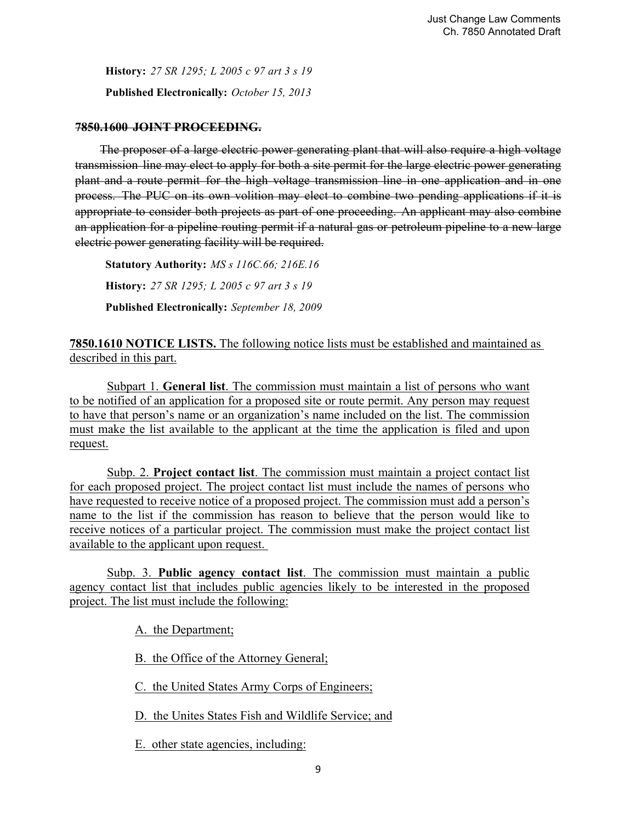**History:** *27 SR 1295; L 2005 c 97 art 3 s 19* **Published Electronically:** *October 15, 2013*

### **7850.1600 JOINT PROCEEDING.**

The proposer of a large electric power generating plant that will also require a high voltage transmission line may elect to apply for both a site permit for the large electric power generating plant and a route permit for the high voltage transmission line in one application and in one process. The PUC on its own volition may elect to combine two pending applications if it is appropriate to consider both projects as part of one proceeding. An applicant may also combine an application for a pipeline routing permit if a natural gas or petroleum pipeline to a new large electric power generating facility will be required.

**Statutory Authority:** *MS s 116C.66; 216E.16* **History:** *27 SR 1295; L 2005 c 97 art 3 s 19* **Published Electronically:** *September 18, 2009*

**7850.1610 NOTICE LISTS.** The following notice lists must be established and maintained as described in this part.

 Subpart 1. **General list**. The commission must maintain a list of persons who want to be notified of an application for a proposed site or route permit. Any person may request to have that person's name or an organization's name included on the list. The commission must make the list available to the applicant at the time the application is filed and upon request.

 Subp. 2. **Project contact list**. The commission must maintain a project contact list for each proposed project. The project contact list must include the names of persons who have requested to receive notice of a proposed project. The commission must add a person's name to the list if the commission has reason to believe that the person would like to receive notices of a particular project. The commission must make the project contact list available to the applicant upon request.

 Subp. 3. **Public agency contact list**. The commission must maintain a public agency contact list that includes public agencies likely to be interested in the proposed project. The list must include the following:

A. the Department;

B. the Office of the Attorney General;

C. the United States Army Corps of Engineers;

D. the Unites States Fish and Wildlife Service; and

E. other state agencies, including: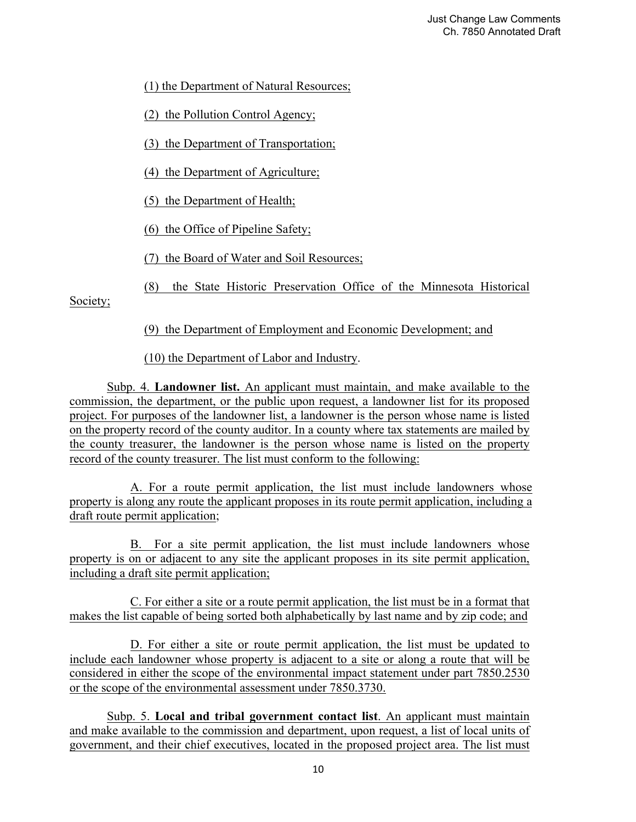(1) the Department of Natural Resources;

(2) the Pollution Control Agency;

(3) the Department of Transportation;

(4) the Department of Agriculture;

(5) the Department of Health;

(6) the Office of Pipeline Safety;

(7) the Board of Water and Soil Resources;

(8) the State Historic Preservation Office of the Minnesota Historical

Society;

(9) the Department of Employment and Economic Development; and

(10) the Department of Labor and Industry.

 Subp. 4. **Landowner list.** An applicant must maintain, and make available to the commission, the department, or the public upon request, a landowner list for its proposed project. For purposes of the landowner list, a landowner is the person whose name is listed on the property record of the county auditor. In a county where tax statements are mailed by the county treasurer, the landowner is the person whose name is listed on the property record of the county treasurer. The list must conform to the following:

 A. For a route permit application, the list must include landowners whose property is along any route the applicant proposes in its route permit application, including a draft route permit application;

 B. For a site permit application, the list must include landowners whose property is on or adjacent to any site the applicant proposes in its site permit application, including a draft site permit application;

 C. For either a site or a route permit application, the list must be in a format that makes the list capable of being sorted both alphabetically by last name and by zip code; and

 D. For either a site or route permit application, the list must be updated to include each landowner whose property is adjacent to a site or along a route that will be considered in either the scope of the environmental impact statement under part 7850.2530 or the scope of the environmental assessment under 7850.3730.

 Subp. 5. **Local and tribal government contact list**. An applicant must maintain and make available to the commission and department, upon request, a list of local units of government, and their chief executives, located in the proposed project area. The list must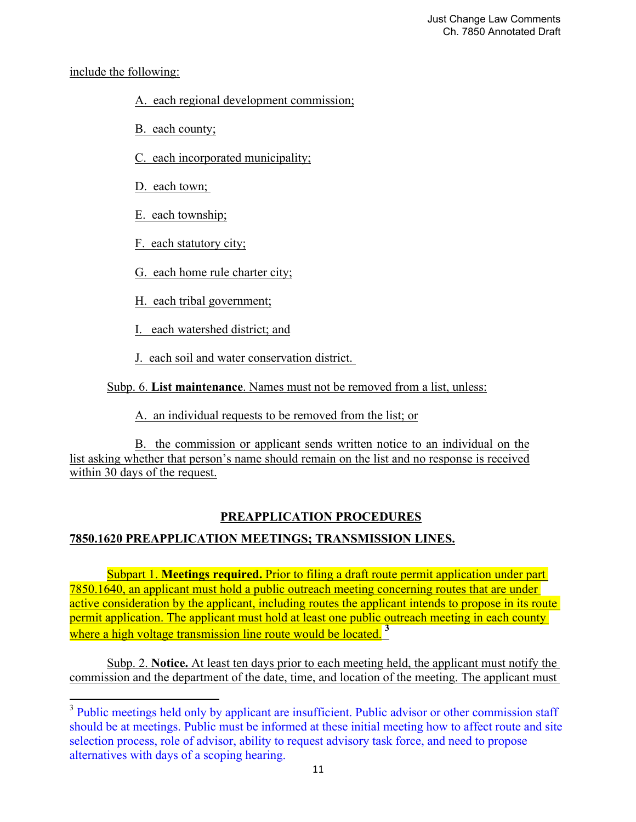## include the following:

## A. each regional development commission;

- B. each county;
- C. each incorporated municipality;
- D. each town;

 

- E. each township;
- F. each statutory city;
- G. each home rule charter city;
- H. each tribal government;
- I. each watershed district; and
- J. each soil and water conservation district.

## Subp. 6. **List maintenance**. Names must not be removed from a list, unless:

A. an individual requests to be removed from the list; or

 B. the commission or applicant sends written notice to an individual on the list asking whether that person's name should remain on the list and no response is received within 30 days of the request.

# **PREAPPLICATION PROCEDURES**

# **7850.1620 PREAPPLICATION MEETINGS; TRANSMISSION LINES.**

 Subpart 1. **Meetings required.** Prior to filing a draft route permit application under part 7850.1640, an applicant must hold a public outreach meeting concerning routes that are under active consideration by the applicant, including routes the applicant intends to propose in its route permit application. The applicant must hold at least one public outreach meeting in each county where a high voltage transmission line route would be located <sup>3</sup>

 Subp. 2. **Notice.** At least ten days prior to each meeting held, the applicant must notify the commission and the department of the date, time, and location of the meeting. The applicant must

<sup>&</sup>lt;sup>3</sup> Public meetings held only by applicant are insufficient. Public advisor or other commission staff should be at meetings. Public must be informed at these initial meeting how to affect route and site selection process, role of advisor, ability to request advisory task force, and need to propose alternatives with days of a scoping hearing.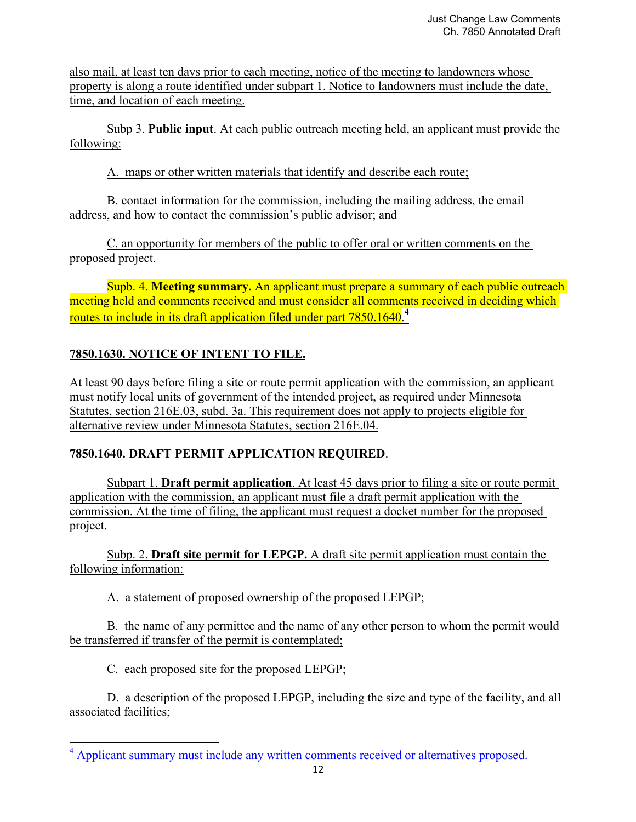also mail, at least ten days prior to each meeting, notice of the meeting to landowners whose property is along a route identified under subpart 1. Notice to landowners must include the date, time, and location of each meeting.

 Subp 3. **Public input**. At each public outreach meeting held, an applicant must provide the following:

A. maps or other written materials that identify and describe each route;

 B. contact information for the commission, including the mailing address, the email address, and how to contact the commission's public advisor; and

 C. an opportunity for members of the public to offer oral or written comments on the proposed project.

 Supb. 4. **Meeting summary.** An applicant must prepare a summary of each public outreach meeting held and comments received and must consider all comments received in deciding which routes to include in its draft application filed under part 7850.1640.**<sup>4</sup>**

# **7850.1630. NOTICE OF INTENT TO FILE.**

At least 90 days before filing a site or route permit application with the commission, an applicant must notify local units of government of the intended project, as required under Minnesota Statutes, section 216E.03, subd. 3a. This requirement does not apply to projects eligible for alternative review under Minnesota Statutes, section 216E.04.

## **7850.1640. DRAFT PERMIT APPLICATION REQUIRED**.

 Subpart 1. **Draft permit application**. At least 45 days prior to filing a site or route permit application with the commission, an applicant must file a draft permit application with the commission. At the time of filing, the applicant must request a docket number for the proposed project.

 Subp. 2. **Draft site permit for LEPGP.** A draft site permit application must contain the following information:

A. a statement of proposed ownership of the proposed LEPGP;

 B. the name of any permittee and the name of any other person to whom the permit would be transferred if transfer of the permit is contemplated;

C. each proposed site for the proposed LEPGP;

 

 D. a description of the proposed LEPGP, including the size and type of the facility, and all associated facilities;

<sup>&</sup>lt;sup>4</sup> Applicant summary must include any written comments received or alternatives proposed.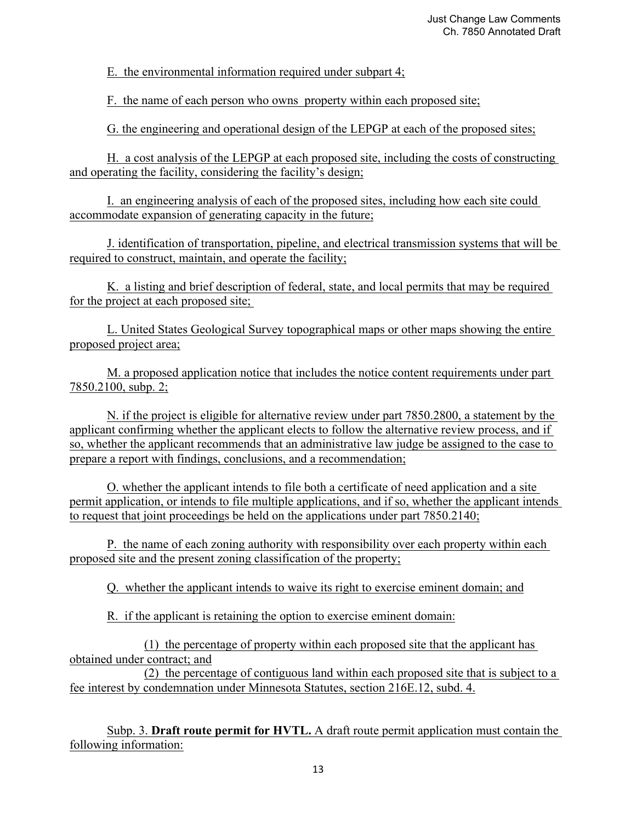E. the environmental information required under subpart 4;

F. the name of each person who owns property within each proposed site;

G. the engineering and operational design of the LEPGP at each of the proposed sites;

 H. a cost analysis of the LEPGP at each proposed site, including the costs of constructing and operating the facility, considering the facility's design;

 I. an engineering analysis of each of the proposed sites, including how each site could accommodate expansion of generating capacity in the future;

 J. identification of transportation, pipeline, and electrical transmission systems that will be required to construct, maintain, and operate the facility;

 K. a listing and brief description of federal, state, and local permits that may be required for the project at each proposed site;

 L. United States Geological Survey topographical maps or other maps showing the entire proposed project area;

 M. a proposed application notice that includes the notice content requirements under part 7850.2100, subp. 2;

 N. if the project is eligible for alternative review under part 7850.2800, a statement by the applicant confirming whether the applicant elects to follow the alternative review process, and if so, whether the applicant recommends that an administrative law judge be assigned to the case to prepare a report with findings, conclusions, and a recommendation;

 O. whether the applicant intends to file both a certificate of need application and a site permit application, or intends to file multiple applications, and if so, whether the applicant intends to request that joint proceedings be held on the applications under part 7850.2140;

 P. the name of each zoning authority with responsibility over each property within each proposed site and the present zoning classification of the property;

Q. whether the applicant intends to waive its right to exercise eminent domain; and

R. if the applicant is retaining the option to exercise eminent domain:

 (1) the percentage of property within each proposed site that the applicant has obtained under contract; and

 (2) the percentage of contiguous land within each proposed site that is subject to a fee interest by condemnation under Minnesota Statutes, section 216E.12, subd. 4.

 Subp. 3. **Draft route permit for HVTL.** A draft route permit application must contain the following information: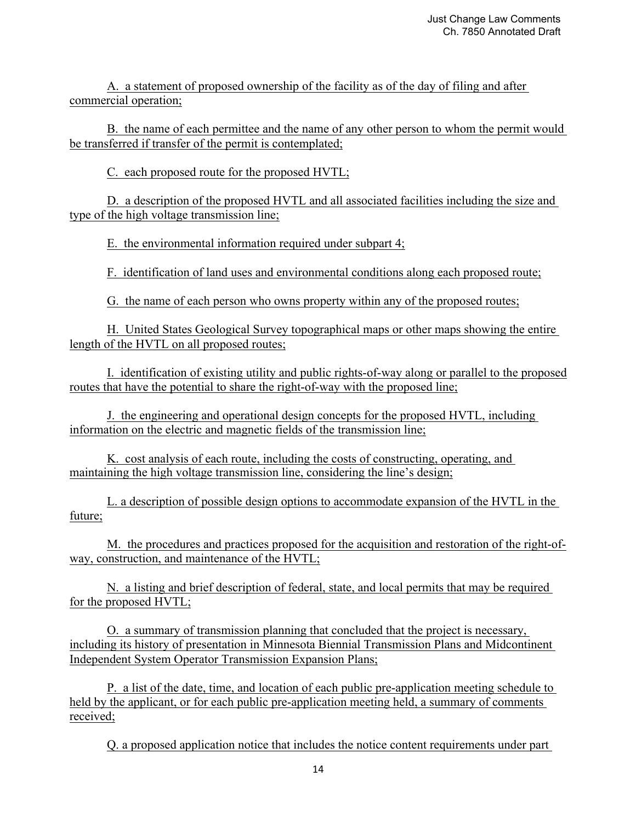A. a statement of proposed ownership of the facility as of the day of filing and after commercial operation;

 B. the name of each permittee and the name of any other person to whom the permit would be transferred if transfer of the permit is contemplated;

C. each proposed route for the proposed HVTL;

 D. a description of the proposed HVTL and all associated facilities including the size and type of the high voltage transmission line;

E. the environmental information required under subpart 4;

F. identification of land uses and environmental conditions along each proposed route;

G. the name of each person who owns property within any of the proposed routes;

 H. United States Geological Survey topographical maps or other maps showing the entire length of the HVTL on all proposed routes;

 I. identification of existing utility and public rights-of-way along or parallel to the proposed routes that have the potential to share the right-of-way with the proposed line;

 J. the engineering and operational design concepts for the proposed HVTL, including information on the electric and magnetic fields of the transmission line;

 K. cost analysis of each route, including the costs of constructing, operating, and maintaining the high voltage transmission line, considering the line's design;

 L. a description of possible design options to accommodate expansion of the HVTL in the future;

 M. the procedures and practices proposed for the acquisition and restoration of the right-ofway, construction, and maintenance of the HVTL;

 N. a listing and brief description of federal, state, and local permits that may be required for the proposed HVTL;

 O. a summary of transmission planning that concluded that the project is necessary, including its history of presentation in Minnesota Biennial Transmission Plans and Midcontinent Independent System Operator Transmission Expansion Plans;

 P. a list of the date, time, and location of each public pre-application meeting schedule to held by the applicant, or for each public pre-application meeting held, a summary of comments received;

Q. a proposed application notice that includes the notice content requirements under part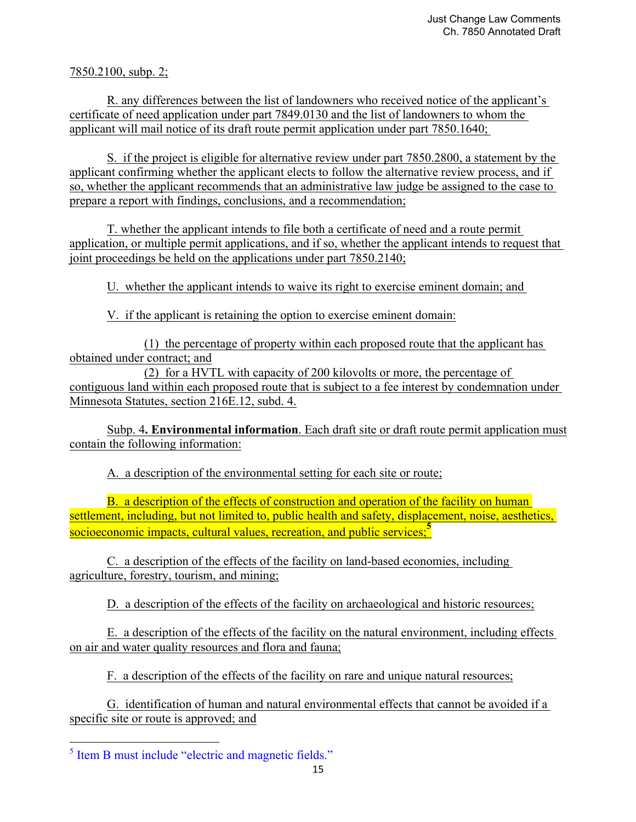7850.2100, subp. 2;

 R. any differences between the list of landowners who received notice of the applicant's certificate of need application under part 7849.0130 and the list of landowners to whom the applicant will mail notice of its draft route permit application under part 7850.1640;

 S. if the project is eligible for alternative review under part 7850.2800, a statement by the applicant confirming whether the applicant elects to follow the alternative review process, and if so, whether the applicant recommends that an administrative law judge be assigned to the case to prepare a report with findings, conclusions, and a recommendation;

 T. whether the applicant intends to file both a certificate of need and a route permit application, or multiple permit applications, and if so, whether the applicant intends to request that joint proceedings be held on the applications under part 7850.2140;

U. whether the applicant intends to waive its right to exercise eminent domain; and

V. if the applicant is retaining the option to exercise eminent domain:

 (1) the percentage of property within each proposed route that the applicant has obtained under contract; and

 (2) for a HVTL with capacity of 200 kilovolts or more, the percentage of contiguous land within each proposed route that is subject to a fee interest by condemnation under Minnesota Statutes, section 216E.12, subd. 4.

 Subp. 4**. Environmental information**. Each draft site or draft route permit application must contain the following information:

A. a description of the environmental setting for each site or route;

 B. a description of the effects of construction and operation of the facility on human settlement, including, but not limited to, public health and safety, displacement, noise, aesthetics, socioeconomic impacts, cultural values, recreation, and public services;**<sup>5</sup>**

 C. a description of the effects of the facility on land-based economies, including agriculture, forestry, tourism, and mining;

D. a description of the effects of the facility on archaeological and historic resources;

 E. a description of the effects of the facility on the natural environment, including effects on air and water quality resources and flora and fauna;

F. a description of the effects of the facility on rare and unique natural resources;

 G. identification of human and natural environmental effects that cannot be avoided if a specific site or route is approved; and

<sup>&</sup>lt;sup>5</sup> Item B must include "electric and magnetic fields."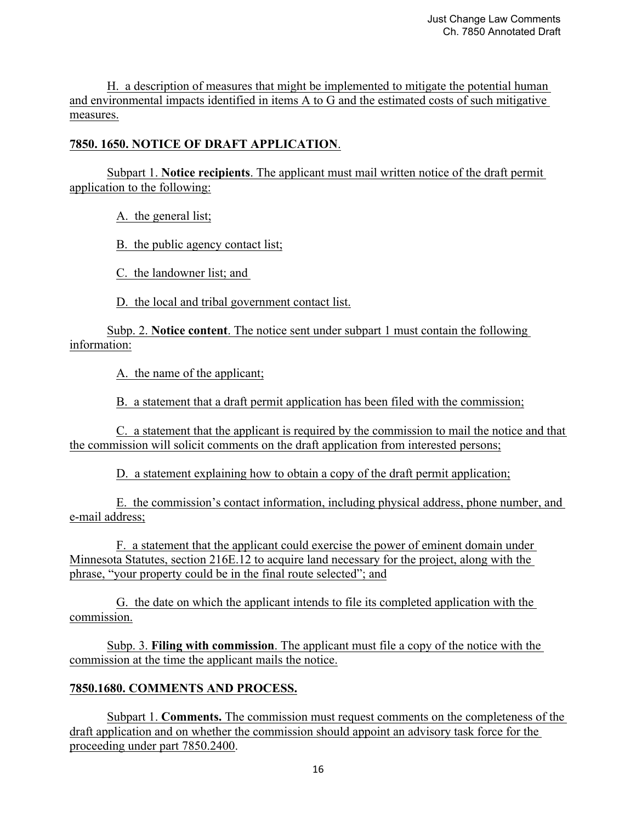H. a description of measures that might be implemented to mitigate the potential human and environmental impacts identified in items A to G and the estimated costs of such mitigative measures.

## **7850. 1650. NOTICE OF DRAFT APPLICATION**.

 Subpart 1. **Notice recipients**. The applicant must mail written notice of the draft permit application to the following:

A. the general list;

B. the public agency contact list;

C. the landowner list; and

D. the local and tribal government contact list.

 Subp. 2. **Notice content**. The notice sent under subpart 1 must contain the following information:

A. the name of the applicant;

B. a statement that a draft permit application has been filed with the commission;

 C. a statement that the applicant is required by the commission to mail the notice and that the commission will solicit comments on the draft application from interested persons;

D. a statement explaining how to obtain a copy of the draft permit application;

 E. the commission's contact information, including physical address, phone number, and e-mail address;

 F. a statement that the applicant could exercise the power of eminent domain under Minnesota Statutes, section 216E.12 to acquire land necessary for the project, along with the phrase, "your property could be in the final route selected"; and

 G. the date on which the applicant intends to file its completed application with the commission.

 Subp. 3. **Filing with commission**. The applicant must file a copy of the notice with the commission at the time the applicant mails the notice.

## **7850.1680. COMMENTS AND PROCESS.**

 Subpart 1. **Comments.** The commission must request comments on the completeness of the draft application and on whether the commission should appoint an advisory task force for the proceeding under part 7850.2400.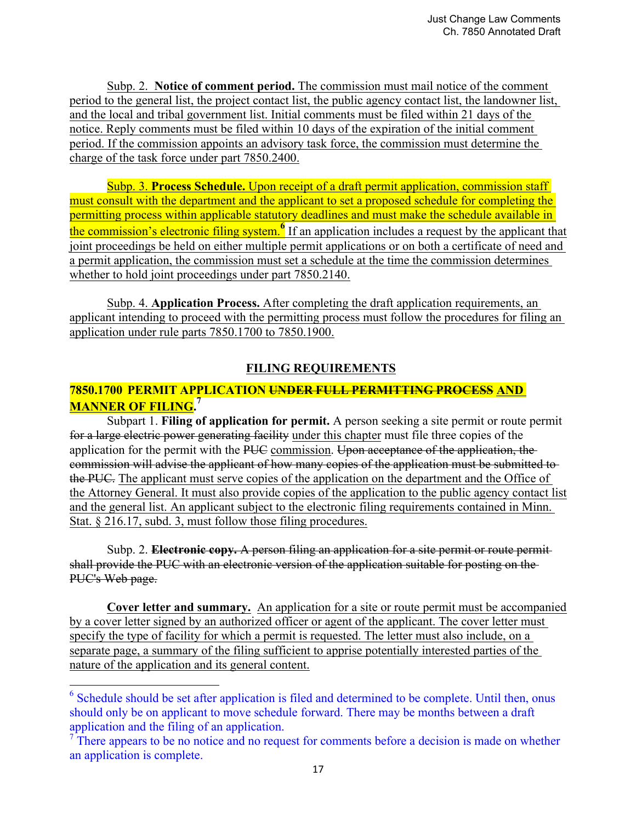Subp. 2. **Notice of comment period.** The commission must mail notice of the comment period to the general list, the project contact list, the public agency contact list, the landowner list, and the local and tribal government list. Initial comments must be filed within 21 days of the notice. Reply comments must be filed within 10 days of the expiration of the initial comment period. If the commission appoints an advisory task force, the commission must determine the charge of the task force under part 7850.2400.

 Subp. 3. **Process Schedule.** Upon receipt of a draft permit application, commission staff must consult with the department and the applicant to set a proposed schedule for completing the permitting process within applicable statutory deadlines and must make the schedule available in **the commission's electronic filing system.** If an application includes a request by the applicant that joint proceedings be held on either multiple permit applications or on both a certificate of need and a permit application, the commission must set a schedule at the time the commission determines whether to hold joint proceedings under part 7850.2140.

 Subp. 4. **Application Process.** After completing the draft application requirements, an applicant intending to proceed with the permitting process must follow the procedures for filing an application under rule parts 7850.1700 to 7850.1900.

### **FILING REQUIREMENTS**

## **7850.1700 PERMIT APPLICATION UNDER FULL PERMITTING PROCESS AND MANNER OF FILING.<sup>7</sup>**

 Subpart 1. **Filing of application for permit.** A person seeking a site permit or route permit for a large electric power generating facility under this chapter must file three copies of the application for the permit with the PUC commission. Upon acceptance of the application, the commission will advise the applicant of how many copies of the application must be submitted to the PUC. The applicant must serve copies of the application on the department and the Office of the Attorney General. It must also provide copies of the application to the public agency contact list and the general list. An applicant subject to the electronic filing requirements contained in Minn. Stat. § 216.17, subd. 3, must follow those filing procedures.

Subp. 2. **Electronic copy.** A person filing an application for a site permit or route permitshall provide the PUC with an electronic version of the application suitable for posting on the PUC's Web page.

**Cover letter and summary.** An application for a site or route permit must be accompanied by a cover letter signed by an authorized officer or agent of the applicant. The cover letter must specify the type of facility for which a permit is requested. The letter must also include, on a separate page, a summary of the filing sufficient to apprise potentially interested parties of the nature of the application and its general content.

 

 $6$  Schedule should be set after application is filed and determined to be complete. Until then, onus should only be on applicant to move schedule forward. There may be months between a draft application and the filing of an application.

 $<sup>7</sup>$  There appears to be no notice and no request for comments before a decision is made on whether</sup> an application is complete.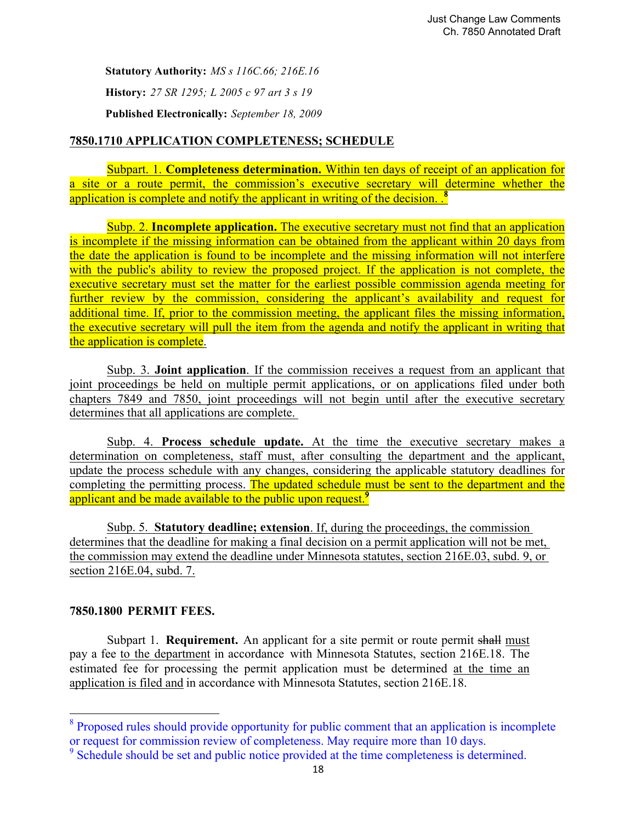**Statutory Authority:** *MS s 116C.66; 216E.16* **History:** *27 SR 1295; L 2005 c 97 art 3 s 19* **Published Electronically:** *September 18, 2009*

## **7850.1710 APPLICATION COMPLETENESS; SCHEDULE**

Subpart. 1. **Completeness determination.** Within ten days of receipt of an application for a site or a route permit, the commission's executive secretary will determine whether the application is complete and notify the applicant in writing of the decision.<sup>8</sup>

Subp. 2. **Incomplete application.** The executive secretary must not find that an application is incomplete if the missing information can be obtained from the applicant within 20 days from the date the application is found to be incomplete and the missing information will not interfere with the public's ability to review the proposed project. If the application is not complete, the executive secretary must set the matter for the earliest possible commission agenda meeting for further review by the commission, considering the applicant's availability and request for additional time. If, prior to the commission meeting, the applicant files the missing information, the executive secretary will pull the item from the agenda and notify the applicant in writing that the application is complete.

Subp. 3. **Joint application**. If the commission receives a request from an applicant that joint proceedings be held on multiple permit applications, or on applications filed under both chapters 7849 and 7850, joint proceedings will not begin until after the executive secretary determines that all applications are complete.

Subp. 4. **Process schedule update.** At the time the executive secretary makes a determination on completeness, staff must, after consulting the department and the applicant, update the process schedule with any changes, considering the applicable statutory deadlines for completing the permitting process. The updated schedule must be sent to the department and the applicant and be made available to the public upon request.<sup>9</sup>

Subp. 5. **Statutory deadline; extension**. If, during the proceedings, the commission determines that the deadline for making a final decision on a permit application will not be met, the commission may extend the deadline under Minnesota statutes, section 216E.03, subd. 9, or section 216E.04, subd. 7.

### **7850.1800 PERMIT FEES.**

Subpart 1. **Requirement.** An applicant for a site permit or route permit shall must pay a fee to the department in accordance with Minnesota Statutes, section 216E.18. The estimated fee for processing the permit application must be determined at the time an application is filed and in accordance with Minnesota Statutes, section 216E.18.

<sup>&</sup>lt;sup>8</sup> Proposed rules should provide opportunity for public comment that an application is incomplete or request for commission review of completeness. May require more than 10 days.

<sup>&</sup>lt;sup>9</sup> Schedule should be set and public notice provided at the time completeness is determined.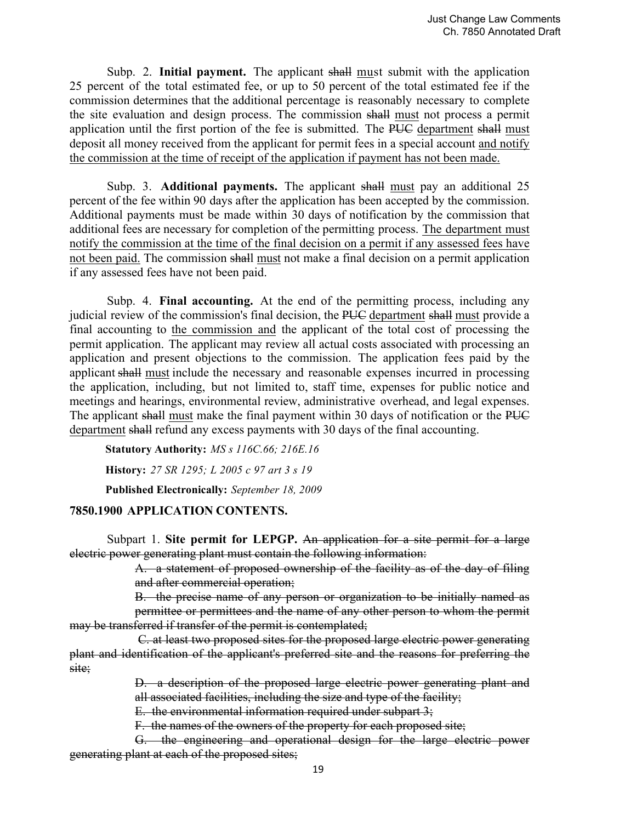Subp. 2. **Initial payment.** The applicant shall must submit with the application 25 percent of the total estimated fee, or up to 50 percent of the total estimated fee if the commission determines that the additional percentage is reasonably necessary to complete the site evaluation and design process. The commission shall must not process a permit application until the first portion of the fee is submitted. The PUC department shall must deposit all money received from the applicant for permit fees in a special account and notify the commission at the time of receipt of the application if payment has not been made.

 Subp. 3. **Additional payments.** The applicant shall must pay an additional 25 percent of the fee within 90 days after the application has been accepted by the commission. Additional payments must be made within 30 days of notification by the commission that additional fees are necessary for completion of the permitting process. The department must notify the commission at the time of the final decision on a permit if any assessed fees have not been paid. The commission shall must not make a final decision on a permit application if any assessed fees have not been paid.

 Subp. 4. **Final accounting.** At the end of the permitting process, including any judicial review of the commission's final decision, the PUC department shall must provide a final accounting to the commission and the applicant of the total cost of processing the permit application. The applicant may review all actual costs associated with processing an application and present objections to the commission. The application fees paid by the applicant shall must include the necessary and reasonable expenses incurred in processing the application, including, but not limited to, staff time, expenses for public notice and meetings and hearings, environmental review, administrative overhead, and legal expenses. The applicant shall must make the final payment within 30 days of notification or the PUC department shall refund any excess payments with 30 days of the final accounting.

**Statutory Authority:** *MS s 116C.66; 216E.16* **History:** *27 SR 1295; L 2005 c 97 art 3 s 19*

**Published Electronically:** *September 18, 2009*

## **7850.1900 APPLICATION CONTENTS.**

 Subpart 1. **Site permit for LEPGP.** An application for a site permit for a large electric power generating plant must contain the following information:

> A. a statement of proposed ownership of the facility as of the day of filing and after commercial operation;

 B. the precise name of any person or organization to be initially named as permittee or permittees and the name of any other person to whom the permit may be transferred if transfer of the permit is contemplated;

 C. at least two proposed sites for the proposed large electric power generating plant and identification of the applicant's preferred site and the reasons for preferring the site;

> D. a description of the proposed large electric power generating plant and all associated facilities, including the size and type of the facility;

E. the environmental information required under subpart 3;

F. the names of the owners of the property for each proposed site;

 G. the engineering and operational design for the large electric power generating plant at each of the proposed sites;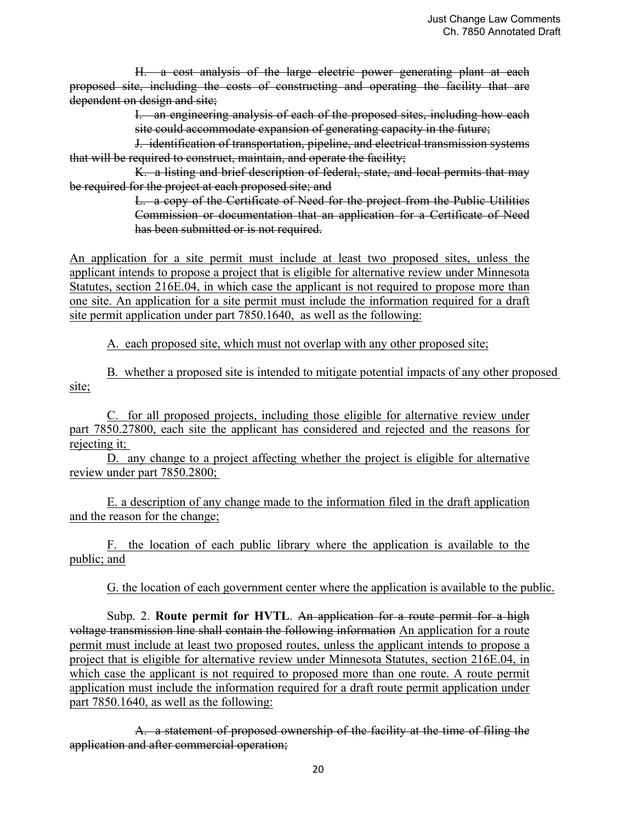H. a cost analysis of the large electric power generating plant at each proposed site, including the costs of constructing and operating the facility that are dependent on design and site;

> I. an engineering analysis of each of the proposed sites, including how each site could accommodate expansion of generating capacity in the future;

 J. identification of transportation, pipeline, and electrical transmission systems that will be required to construct, maintain, and operate the facility;

 K. a listing and brief description of federal, state, and local permits that may be required for the project at each proposed site; and

> L. a copy of the Certificate of Need for the project from the Public Utilities Commission or documentation that an application for a Certificate of Need has been submitted or is not required.

An application for a site permit must include at least two proposed sites, unless the applicant intends to propose a project that is eligible for alternative review under Minnesota Statutes, section 216E.04, in which case the applicant is not required to propose more than one site. An application for a site permit must include the information required for a draft site permit application under part 7850.1640, as well as the following:

A. each proposed site, which must not overlap with any other proposed site;

B. whether a proposed site is intended to mitigate potential impacts of any other proposed site;

 C. for all proposed projects, including those eligible for alternative review under part 7850.27800, each site the applicant has considered and rejected and the reasons for rejecting it;

 D. any change to a project affecting whether the project is eligible for alternative review under part 7850.2800;

 E. a description of any change made to the information filed in the draft application and the reason for the change;

 F. the location of each public library where the application is available to the public; and

G. the location of each government center where the application is available to the public.

Subp. 2. **Route permit for HVTL**. An application for a route permit for a high voltage transmission line shall contain the following information An application for a route permit must include at least two proposed routes, unless the applicant intends to propose a project that is eligible for alternative review under Minnesota Statutes, section 216E.04, in which case the applicant is not required to proposed more than one route. A route permit application must include the information required for a draft route permit application under part 7850.1640, as well as the following:

 A. a statement of proposed ownership of the facility at the time of filing the application and after commercial operation;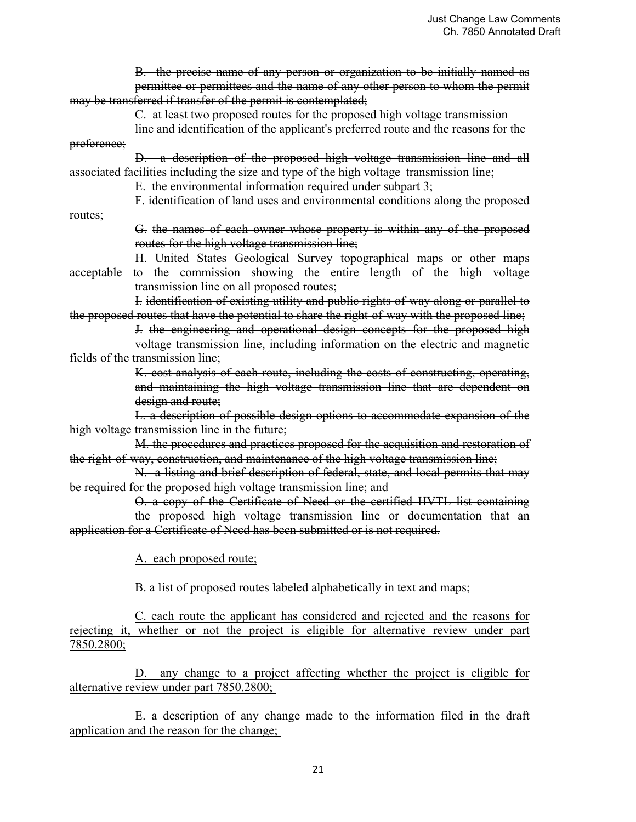B. the precise name of any person or organization to be initially named as permittee or permittees and the name of any other person to whom the permit may be transferred if transfer of the permit is contemplated; C. at least two proposed routes for the proposed high voltage transmission line and identification of the applicant's preferred route and the reasons for the preference; D. a description of the proposed high voltage transmission line and all associated facilities including the size and type of the high voltage transmission line; E. the environmental information required under subpart  $3$ ; F. identification of land uses and environmental conditions along the proposed routes; G. the names of each owner whose property is within any of the proposed routes for the high voltage transmission line; H. United States Geological Survey topographical maps or other maps acceptable to the commission showing the entire length of the high voltage transmission line on all proposed routes; I. identification of existing utility and public rights-of-way along or parallel to the proposed routes that have the potential to share the right-of-way with the proposed line; J. the engineering and operational design concepts for the proposed high voltage transmission line, including information on the electric and magnetic fields of the transmission line; K. cost analysis of each route, including the costs of constructing, operating, and maintaining the high voltage transmission line that are dependent on design and route; L. a description of possible design options to accommodate expansion of the high voltage transmission line in the future; M. the procedures and practices proposed for the acquisition and restoration of the right-of-way, construction, and maintenance of the high voltage transmission line; N. a listing and brief description of federal, state, and local permits that may be required for the proposed high voltage transmission line; and O. a copy of the Certificate of Need or the certified HVTL list containing the proposed high voltage transmission line or documentation that an application for a Certificate of Need has been submitted or is not required. A. each proposed route; B. a list of proposed routes labeled alphabetically in text and maps;

 C. each route the applicant has considered and rejected and the reasons for rejecting it, whether or not the project is eligible for alternative review under part 7850.2800;

 D. any change to a project affecting whether the project is eligible for alternative review under part 7850.2800;

 E. a description of any change made to the information filed in the draft application and the reason for the change;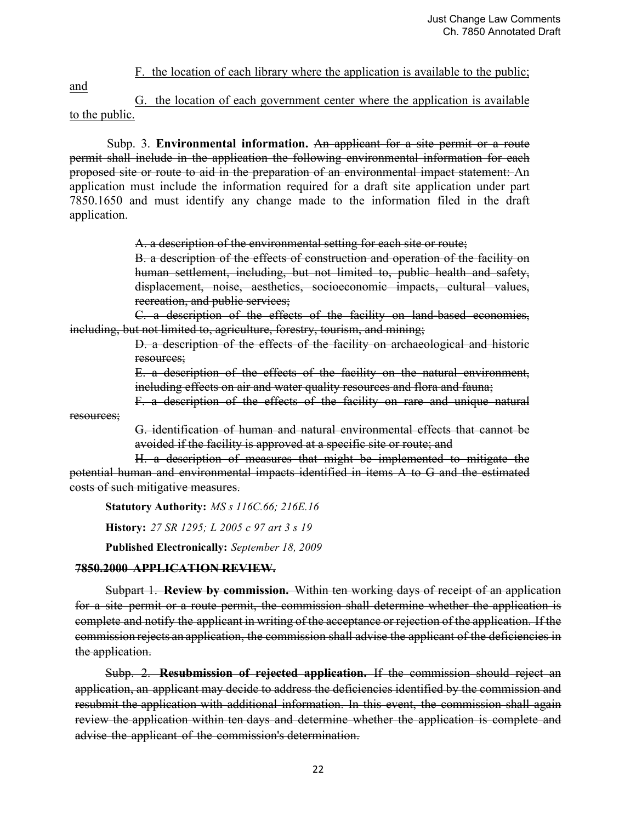F. the location of each library where the application is available to the public;

and

 G. the location of each government center where the application is available to the public.

 Subp. 3. **Environmental information.** An applicant for a site permit or a route permit shall include in the application the following environmental information for each proposed site or route to aid in the preparation of an environmental impact statement: An application must include the information required for a draft site application under part 7850.1650 and must identify any change made to the information filed in the draft application.

A. a description of the environmental setting for each site or route;

 B. a description of the effects of construction and operation of the facility on human settlement, including, but not limited to, public health and safety, displacement, noise, aesthetics, socioeconomic impacts, cultural values, recreation, and public services;

 C. a description of the effects of the facility on land-based economies, including, but not limited to, agriculture, forestry, tourism, and mining;

> D. a description of the effects of the facility on archaeological and historic resources;

> E. a description of the effects of the facility on the natural environment, including effects on air and water quality resources and flora and fauna;

F. a description of the effects of the facility on rare and unique natural

resources;

 G. identification of human and natural environmental effects that cannot be avoided if the facility is approved at a specific site or route; and

 H. a description of measures that might be implemented to mitigate the potential human and environmental impacts identified in items A to G and the estimated costs of such mitigative measures.

**Statutory Authority:** *MS s 116C.66; 216E.16*

**History:** *27 SR 1295; L 2005 c 97 art 3 s 19*

**Published Electronically:** *September 18, 2009*

## **7850.2000 APPLICATION REVIEW.**

Subpart 1. **Review by commission.** Within ten working days of receipt of an application for a site permit or a route permit, the commission shall determine whether the application is complete and notify the applicant in writing of the acceptance or rejection of the application. If the commission rejects an application, the commission shall advise the applicant of the deficiencies in the application.

Subp. 2. **Resubmission of rejected application.** If the commission should reject an application, an applicant may decide to address the deficiencies identified by the commission and resubmit the application with additional information. In this event, the commission shall again review the application within ten days and determine whether the application is complete and advise the applicant of the commission's determination.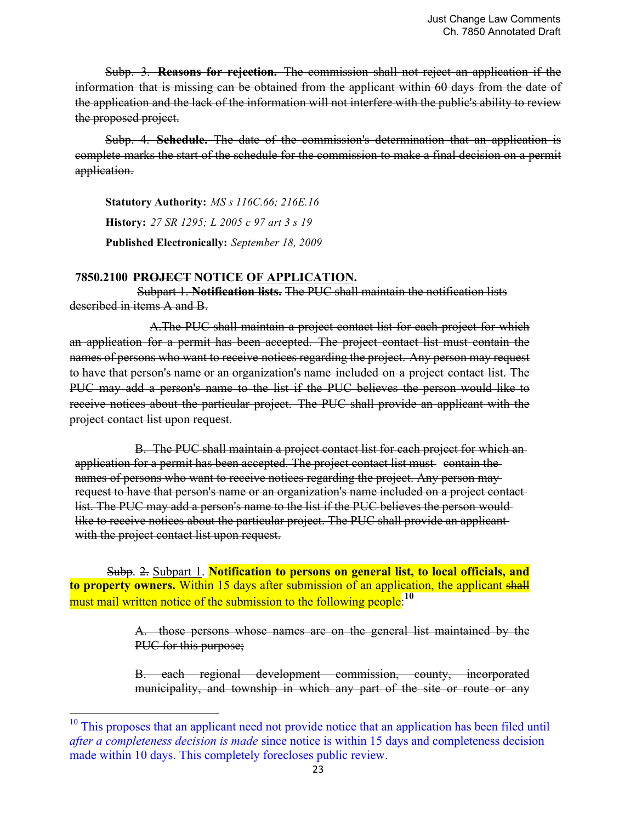Subp. 3. **Reasons for rejection.** The commission shall not reject an application if the information that is missing can be obtained from the applicant within 60 days from the date of the application and the lack of the information will not interfere with the public's ability to review the proposed project.

Subp. 4. **Schedule.** The date of the commission's determination that an application is complete marks the start of the schedule for the commission to make a final decision on a permit application.

**Statutory Authority:** *MS s 116C.66; 216E.16* **History:** *27 SR 1295; L 2005 c 97 art 3 s 19* **Published Electronically:** *September 18, 2009*

## **7850.2100 PROJECT NOTICE OF APPLICATION.**

 

Subpart 1. **Notification lists.** The PUC shall maintain the notification lists described in items A and B.

A.The PUC shall maintain a project contact list for each project for which an application for a permit has been accepted. The project contact list must contain the names of persons who want to receive notices regarding the project. Any person may request to have that person's name or an organization's name included on a project contact list. The PUC may add a person's name to the list if the PUC believes the person would like to receive notices about the particular project. The PUC shall provide an applicant with the project contact list upon request.

 B. The PUC shall maintain a project contact list for each project for which an application for a permit has been accepted. The project contact list must contain the names of persons who want to receive notices regarding the project. Any person may request to have that person's name or an organization's name included on a project contact list. The PUC may add a person's name to the list if the PUC believes the person would like to receive notices about the particular project. The PUC shall provide an applicantwith the project contact list upon request.

 Subp. 2. Subpart 1. **Notification to persons on general list, to local officials, and to property owners.** Within 15 days after submission of an application, the applicant shall must mail written notice of the submission to the following people:**<sup>10</sup>**

> A. those persons whose names are on the general list maintained by the PUC for this purpose;

> B. each regional development commission, county, incorporated municipality, and township in which any part of the site or route or any

<sup>&</sup>lt;sup>10</sup> This proposes that an applicant need not provide notice that an application has been filed until *after a completeness decision is made* since notice is within 15 days and completeness decision made within 10 days. This completely forecloses public review.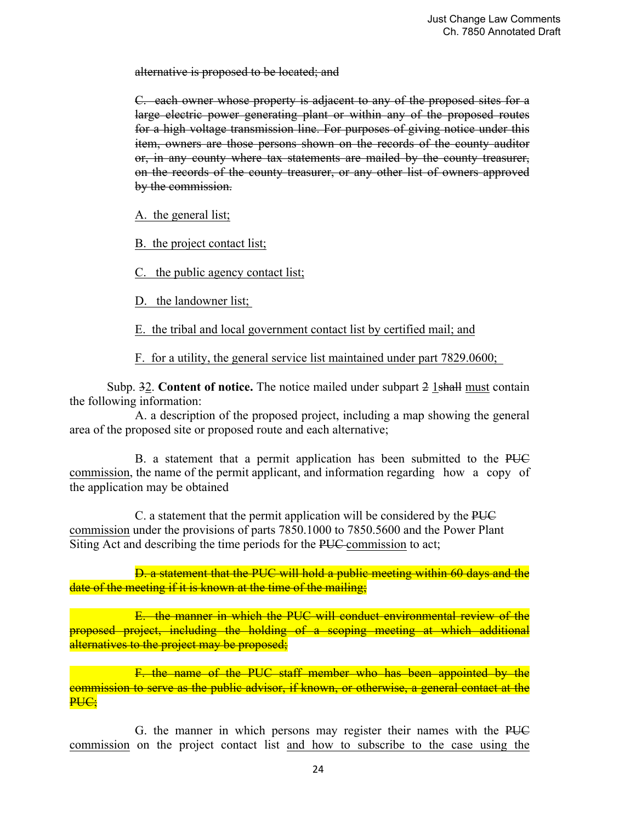alternative is proposed to be located; and

 C. each owner whose property is adjacent to any of the proposed sites for a large electric power generating plant or within any of the proposed routes for a high voltage transmission line. For purposes of giving notice under this item, owners are those persons shown on the records of the county auditor or, in any county where tax statements are mailed by the county treasurer, on the records of the county treasurer, or any other list of owners approved by the commission.

A. the general list;

B. the project contact list;

C. the public agency contact list;

D. the landowner list;

E. the tribal and local government contact list by certified mail; and

F. for a utility, the general service list maintained under part 7829.0600;

Subp. 32. **Content of notice.** The notice mailed under subpart 2 1shall must contain the following information:

 A. a description of the proposed project, including a map showing the general area of the proposed site or proposed route and each alternative;

 B. a statement that a permit application has been submitted to the PUC commission, the name of the permit applicant, and information regarding how a copy of the application may be obtained

 C. a statement that the permit application will be considered by the PUC commission under the provisions of parts 7850.1000 to 7850.5600 and the Power Plant Siting Act and describing the time periods for the PUC commission to act;

 D. a statement that the PUC will hold a public meeting within 60 days and the date of the meeting if it is known at the time of the mailing;

 E. the manner in which the PUC will conduct environmental review of the proposed project, including the holding of a scoping meeting at which additional alternatives to the project may be proposed;

 F. the name of the PUC staff member who has been appointed by the commission to serve as the public advisor, if known, or otherwise, a general contact at the PUC;

 G. the manner in which persons may register their names with the PUC commission on the project contact list and how to subscribe to the case using the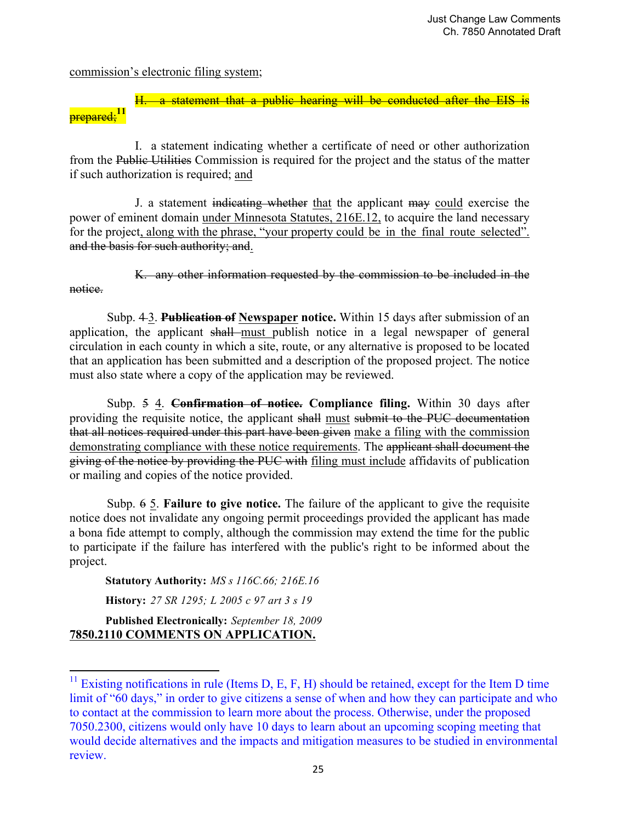commission's electronic filing system;

notice.

statement that a public hearing will be conducted after the EIS is prepared;**<sup>11</sup>**

 I. a statement indicating whether a certificate of need or other authorization from the Public Utilities Commission is required for the project and the status of the matter if such authorization is required; and

 J. a statement indicating whether that the applicant may could exercise the power of eminent domain under Minnesota Statutes, 216E.12, to acquire the land necessary for the project, along with the phrase, "your property could be in the final route selected". and the basis for such authority; and.

K. any other information requested by the commission to be included in the

 Subp. 4 3. **Publication of Newspaper notice.** Within 15 days after submission of an application, the applicant shall must publish notice in a legal newspaper of general circulation in each county in which a site, route, or any alternative is proposed to be located that an application has been submitted and a description of the proposed project. The notice must also state where a copy of the application may be reviewed.

 Subp. 5 4. **Confirmation of notice. Compliance filing.** Within 30 days after providing the requisite notice, the applicant shall must submit to the PUC documentation that all notices required under this part have been given make a filing with the commission demonstrating compliance with these notice requirements. The applicant shall document the giving of the notice by providing the PUC with filing must include affidavits of publication or mailing and copies of the notice provided.

 Subp. 6 5. **Failure to give notice.** The failure of the applicant to give the requisite notice does not invalidate any ongoing permit proceedings provided the applicant has made a bona fide attempt to comply, although the commission may extend the time for the public to participate if the failure has interfered with the public's right to be informed about the project.

**Statutory Authority:** *MS s 116C.66; 216E.16*

**History:** *27 SR 1295; L 2005 c 97 art 3 s 19*

**Published Electronically:** *September 18, 2009* **7850.2110 COMMENTS ON APPLICATION.** 

 

 $11$  Existing notifications in rule (Items D, E, F, H) should be retained, except for the Item D time limit of "60 days," in order to give citizens a sense of when and how they can participate and who to contact at the commission to learn more about the process. Otherwise, under the proposed 7050.2300, citizens would only have 10 days to learn about an upcoming scoping meeting that would decide alternatives and the impacts and mitigation measures to be studied in environmental review.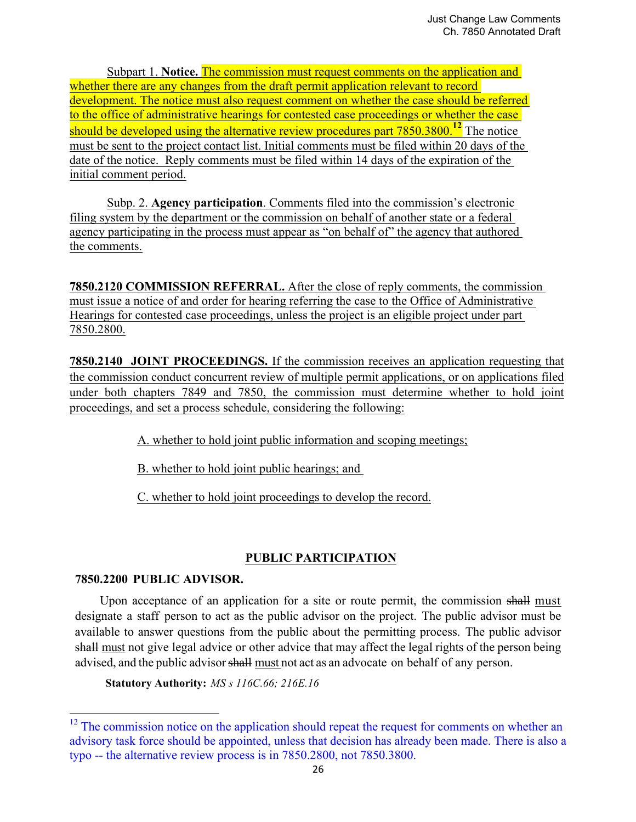Subpart 1. **Notice.** The commission must request comments on the application and whether there are any changes from the draft permit application relevant to record development. The notice must also request comment on whether the case should be referred to the office of administrative hearings for contested case proceedings or whether the case should be developed using the alternative review procedures part 7850.3800.<sup>12</sup> The notice must be sent to the project contact list. Initial comments must be filed within 20 days of the date of the notice. Reply comments must be filed within 14 days of the expiration of the initial comment period.

Subp. 2. **Agency participation**. Comments filed into the commission's electronic filing system by the department or the commission on behalf of another state or a federal agency participating in the process must appear as "on behalf of" the agency that authored the comments.

**7850.2120 COMMISSION REFERRAL.** After the close of reply comments, the commission must issue a notice of and order for hearing referring the case to the Office of Administrative Hearings for contested case proceedings, unless the project is an eligible project under part 7850.2800.

**7850.2140 JOINT PROCEEDINGS.** If the commission receives an application requesting that the commission conduct concurrent review of multiple permit applications, or on applications filed under both chapters 7849 and 7850, the commission must determine whether to hold joint proceedings, and set a process schedule, considering the following:

A. whether to hold joint public information and scoping meetings;

B. whether to hold joint public hearings; and

C. whether to hold joint proceedings to develop the record.

# **PUBLIC PARTICIPATION**

# **7850.2200 PUBLIC ADVISOR.**

 

Upon acceptance of an application for a site or route permit, the commission shall must designate a staff person to act as the public advisor on the project. The public advisor must be available to answer questions from the public about the permitting process. The public advisor shall must not give legal advice or other advice that may affect the legal rights of the person being advised, and the public advisor shall must not act as an advocate on behalf of any person.

**Statutory Authority:** *MS s 116C.66; 216E.16*

 $12$  The commission notice on the application should repeat the request for comments on whether an advisory task force should be appointed, unless that decision has already been made. There is also a typo -- the alternative review process is in 7850.2800, not 7850.3800.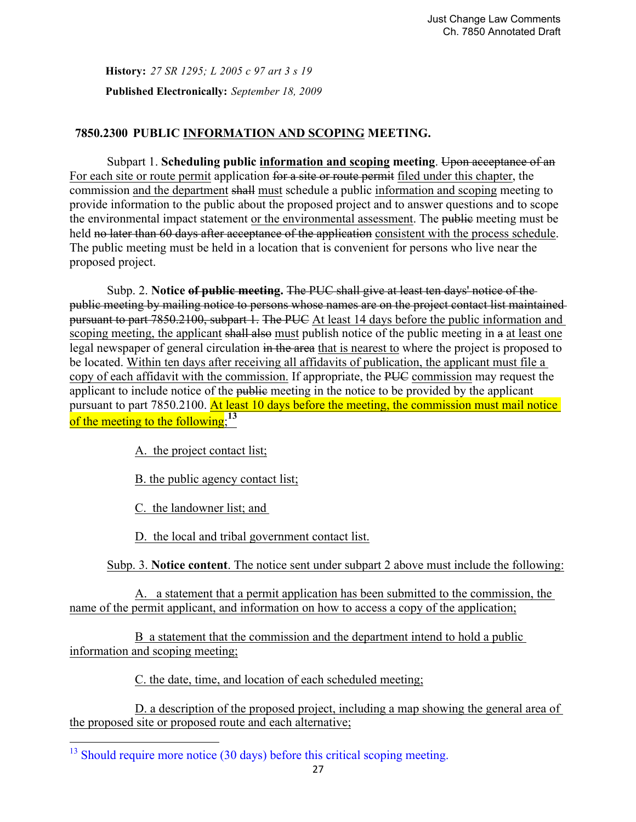**History:** *27 SR 1295; L 2005 c 97 art 3 s 19* **Published Electronically:** *September 18, 2009*

# **7850.2300 PUBLIC INFORMATION AND SCOPING MEETING.**

 Subpart 1. **Scheduling public information and scoping meeting**. Upon acceptance of an For each site or route permit application for a site or route permit filed under this chapter, the commission and the department shall must schedule a public information and scoping meeting to provide information to the public about the proposed project and to answer questions and to scope the environmental impact statement or the environmental assessment. The public meeting must be held no later than 60 days after acceptance of the application consistent with the process schedule. The public meeting must be held in a location that is convenient for persons who live near the proposed project.

 Subp. 2. **Notice of public meeting.** The PUC shall give at least ten days' notice of the public meeting by mailing notice to persons whose names are on the project contact list maintained pursuant to part 7850.2100, subpart 1. The PUC At least 14 days before the public information and scoping meeting, the applicant shall also must publish notice of the public meeting in a at least one legal newspaper of general circulation in the area that is nearest to where the project is proposed to be located. Within ten days after receiving all affidavits of publication, the applicant must file a copy of each affidavit with the commission. If appropriate, the PUC commission may request the applicant to include notice of the public meeting in the notice to be provided by the applicant pursuant to part 7850.2100. At least 10 days before the meeting, the commission must mail notice of the meeting to the following;**<sup>13</sup>**

A. the project contact list;

B. the public agency contact list;

C. the landowner list; and

 

D. the local and tribal government contact list.

Subp. 3. **Notice content**. The notice sent under subpart 2 above must include the following:

 A. a statement that a permit application has been submitted to the commission, the name of the permit applicant, and information on how to access a copy of the application;

 B a statement that the commission and the department intend to hold a public information and scoping meeting;

C. the date, time, and location of each scheduled meeting;

 D. a description of the proposed project, including a map showing the general area of the proposed site or proposed route and each alternative;

 $13$  Should require more notice (30 days) before this critical scoping meeting.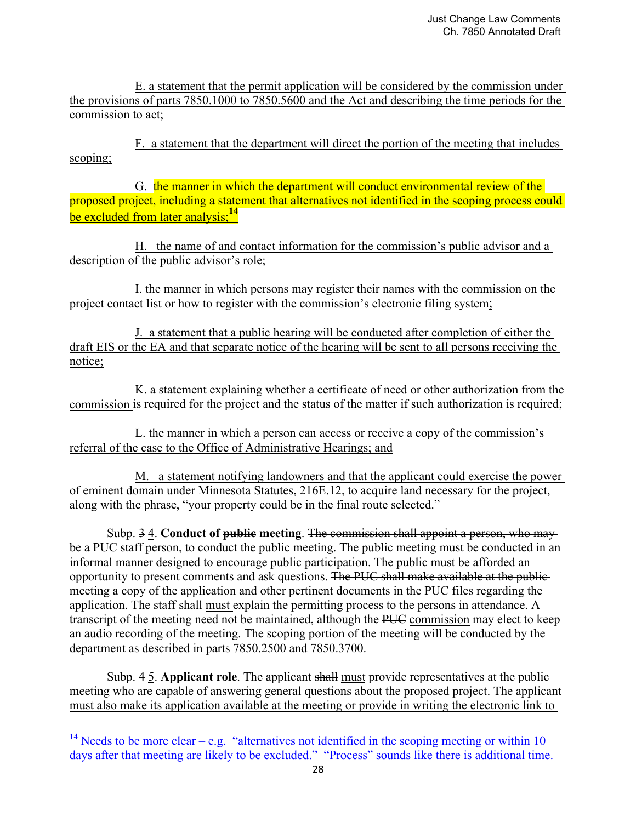E. a statement that the permit application will be considered by the commission under the provisions of parts 7850.1000 to 7850.5600 and the Act and describing the time periods for the commission to act;

 F. a statement that the department will direct the portion of the meeting that includes scoping;

 G. the manner in which the department will conduct environmental review of the proposed project, including a statement that alternatives not identified in the scoping process could be excluded from later analysis:<sup>14</sup>

 H. the name of and contact information for the commission's public advisor and a description of the public advisor's role;

 I. the manner in which persons may register their names with the commission on the project contact list or how to register with the commission's electronic filing system;

 J. a statement that a public hearing will be conducted after completion of either the draft EIS or the EA and that separate notice of the hearing will be sent to all persons receiving the notice;

 K. a statement explaining whether a certificate of need or other authorization from the commission is required for the project and the status of the matter if such authorization is required;

 L. the manner in which a person can access or receive a copy of the commission's referral of the case to the Office of Administrative Hearings; and

 M. a statement notifying landowners and that the applicant could exercise the power of eminent domain under Minnesota Statutes, 216E.12, to acquire land necessary for the project, along with the phrase, "your property could be in the final route selected."

 Subp. 3 4. **Conduct of public meeting**. The commission shall appoint a person, who may be a PUC staff person, to conduct the public meeting. The public meeting must be conducted in an informal manner designed to encourage public participation. The public must be afforded an opportunity to present comments and ask questions. The PUC shall make available at the publicmeeting a copy of the application and other pertinent documents in the PUC files regarding the application. The staff shall must explain the permitting process to the persons in attendance. A transcript of the meeting need not be maintained, although the PUC commission may elect to keep an audio recording of the meeting. The scoping portion of the meeting will be conducted by the department as described in parts 7850.2500 and 7850.3700.

 Subp. 4 5. **Applicant role**. The applicant shall must provide representatives at the public meeting who are capable of answering general questions about the proposed project. The applicant must also make its application available at the meeting or provide in writing the electronic link to

 

<sup>&</sup>lt;sup>14</sup> Needs to be more clear – e.g. "alternatives not identified in the scoping meeting or within 10 days after that meeting are likely to be excluded." "Process" sounds like there is additional time.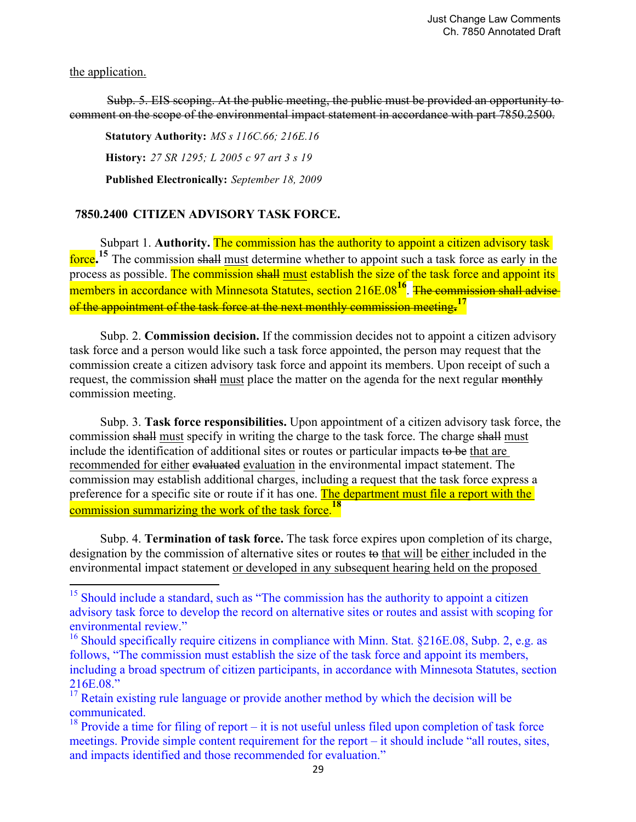#### the application.

 Subp. 5. EIS scoping. At the public meeting, the public must be provided an opportunity to comment on the scope of the environmental impact statement in accordance with part 7850.2500.

**Statutory Authority:** *MS s 116C.66; 216E.16* **History:** *27 SR 1295; L 2005 c 97 art 3 s 19* **Published Electronically:** *September 18, 2009*

# **7850.2400 CITIZEN ADVISORY TASK FORCE.**

 

Subpart 1. **Authority.** The commission has the authority to appoint a citizen advisory task force.<sup>15</sup> The commission shall must determine whether to appoint such a task force as early in the process as possible. The commission shall must establish the size of the task force and appoint its members in accordance with Minnesota Statutes, section 216E.08<sup>16</sup>. The commission shall advise of the appointment of the task force at the next monthly commission meeting**. 17**

Subp. 2. **Commission decision.** If the commission decides not to appoint a citizen advisory task force and a person would like such a task force appointed, the person may request that the commission create a citizen advisory task force and appoint its members. Upon receipt of such a request, the commission shall must place the matter on the agenda for the next regular monthly commission meeting.

Subp. 3. **Task force responsibilities.** Upon appointment of a citizen advisory task force, the commission shall must specify in writing the charge to the task force. The charge shall must include the identification of additional sites or routes or particular impacts to be that are recommended for either evaluated evaluation in the environmental impact statement. The commission may establish additional charges, including a request that the task force express a preference for a specific site or route if it has one. The department must file a report with the commission summarizing the work of the task force.**<sup>18</sup>**

Subp. 4. **Termination of task force.** The task force expires upon completion of its charge, designation by the commission of alternative sites or routes to that will be either included in the environmental impact statement or developed in any subsequent hearing held on the proposed

<sup>&</sup>lt;sup>15</sup> Should include a standard, such as "The commission has the authority to appoint a citizen advisory task force to develop the record on alternative sites or routes and assist with scoping for environmental review."

<sup>&</sup>lt;sup>16</sup> Should specifically require citizens in compliance with Minn. Stat.  $§216E.08$ , Subp. 2, e.g. as follows, "The commission must establish the size of the task force and appoint its members, including a broad spectrum of citizen participants, in accordance with Minnesota Statutes, section 216E.08."

<sup>&</sup>lt;sup>17</sup> Retain existing rule language or provide another method by which the decision will be communicated.

 $18$  Provide a time for filing of report – it is not useful unless filed upon completion of task force meetings. Provide simple content requirement for the report – it should include "all routes, sites, and impacts identified and those recommended for evaluation."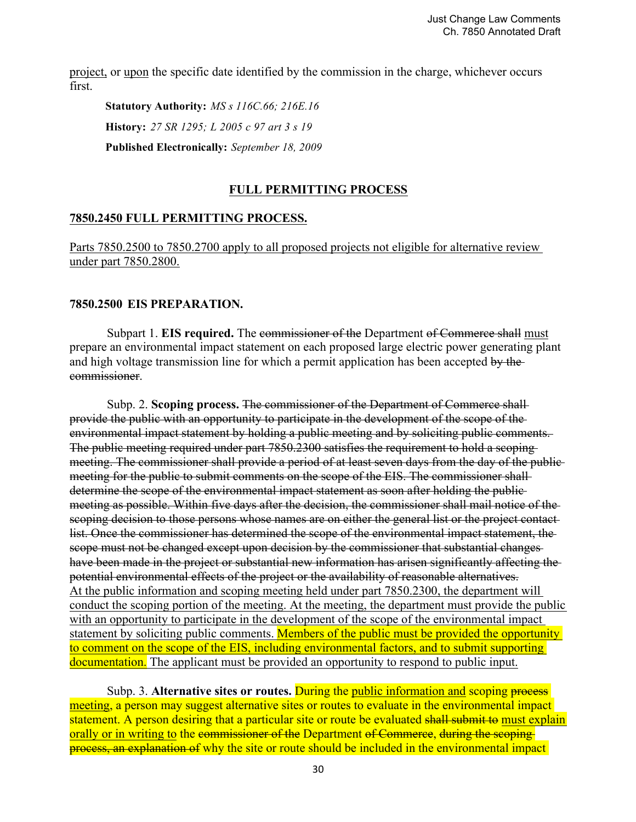project, or upon the specific date identified by the commission in the charge, whichever occurs first.

**Statutory Authority:** *MS s 116C.66; 216E.16* **History:** *27 SR 1295; L 2005 c 97 art 3 s 19* **Published Electronically:** *September 18, 2009*

## **FULL PERMITTING PROCESS**

## **7850.2450 FULL PERMITTING PROCESS.**

Parts 7850.2500 to 7850.2700 apply to all proposed projects not eligible for alternative review under part 7850.2800.

## **7850.2500 EIS PREPARATION.**

Subpart 1. **EIS required.** The commissioner of the Department of Commerce shall must prepare an environmental impact statement on each proposed large electric power generating plant and high voltage transmission line for which a permit application has been accepted by the commissioner.

 Subp. 2. **Scoping process.** The commissioner of the Department of Commerce shall provide the public with an opportunity to participate in the development of the scope of the environmental impact statement by holding a public meeting and by soliciting public comments. The public meeting required under part 7850.2300 satisfies the requirement to hold a scoping meeting. The commissioner shall provide a period of at least seven days from the day of the publicmeeting for the public to submit comments on the scope of the EIS. The commissioner shalldetermine the scope of the environmental impact statement as soon after holding the publicmeeting as possible. Within five days after the decision, the commissioner shall mail notice of the scoping decision to those persons whose names are on either the general list or the project contactlist. Once the commissioner has determined the scope of the environmental impact statement, the scope must not be changed except upon decision by the commissioner that substantial changes have been made in the project or substantial new information has arisen significantly affecting the potential environmental effects of the project or the availability of reasonable alternatives. At the public information and scoping meeting held under part 7850.2300, the department will conduct the scoping portion of the meeting. At the meeting, the department must provide the public with an opportunity to participate in the development of the scope of the environmental impact statement by soliciting public comments. Members of the public must be provided the opportunity to comment on the scope of the EIS, including environmental factors, and to submit supporting documentation. The applicant must be provided an opportunity to respond to public input.

Subp. 3. **Alternative sites or routes.** During the public information and scoping process meeting, a person may suggest alternative sites or routes to evaluate in the environmental impact statement. A person desiring that a particular site or route be evaluated shall submit to must explain orally or in writing to the commissioner of the Department of Commerce, during the scopingprocess, an explanation of why the site or route should be included in the environmental impact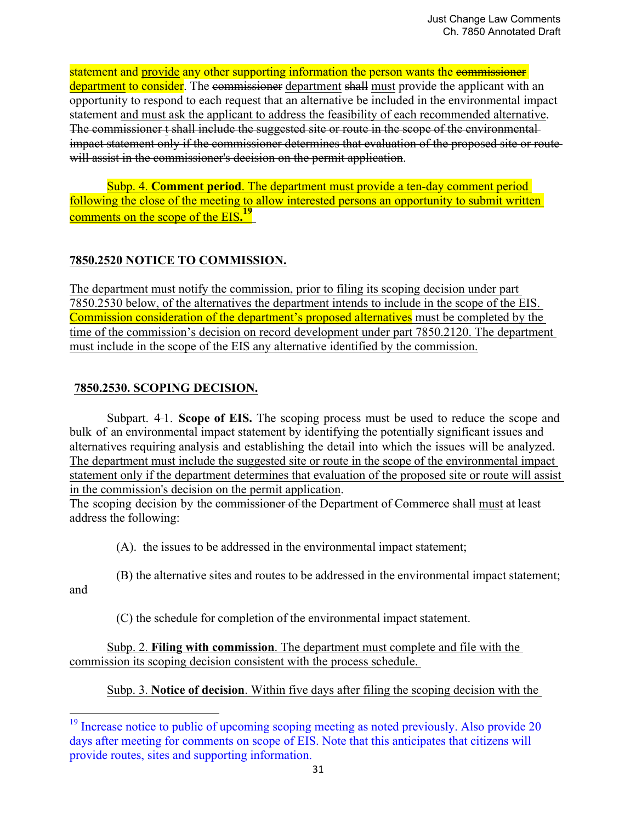statement and provide any other supporting information the person wants the commissioner department to consider. The commissioner department shall must provide the applicant with an opportunity to respond to each request that an alternative be included in the environmental impact statement and must ask the applicant to address the feasibility of each recommended alternative. The commissioner t shall include the suggested site or route in the scope of the environmentalimpact statement only if the commissioner determines that evaluation of the proposed site or route will assist in the commissioner's decision on the permit application.

 Subp. 4. **Comment period**. The department must provide a ten-day comment period following the close of the meeting to allow interested persons an opportunity to submit written comments on the scope of the EIS**. 19**

# **7850.2520 NOTICE TO COMMISSION.**

The department must notify the commission, prior to filing its scoping decision under part 7850.2530 below, of the alternatives the department intends to include in the scope of the EIS. Commission consideration of the department's proposed alternatives must be completed by the time of the commission's decision on record development under part 7850.2120. The department must include in the scope of the EIS any alternative identified by the commission.

# **7850.2530. SCOPING DECISION.**

 

Subpart. 4-1. **Scope of EIS.** The scoping process must be used to reduce the scope and bulk of an environmental impact statement by identifying the potentially significant issues and alternatives requiring analysis and establishing the detail into which the issues will be analyzed. The department must include the suggested site or route in the scope of the environmental impact statement only if the department determines that evaluation of the proposed site or route will assist in the commission's decision on the permit application.

The scoping decision by the commissioner of the Department of Commerce shall must at least address the following:

(A). the issues to be addressed in the environmental impact statement;

(B) the alternative sites and routes to be addressed in the environmental impact statement;

and

(C) the schedule for completion of the environmental impact statement.

 Subp. 2. **Filing with commission**. The department must complete and file with the commission its scoping decision consistent with the process schedule.

Subp. 3. **Notice of decision**. Within five days after filing the scoping decision with the

 $19$  Increase notice to public of upcoming scoping meeting as noted previously. Also provide 20 days after meeting for comments on scope of EIS. Note that this anticipates that citizens will provide routes, sites and supporting information.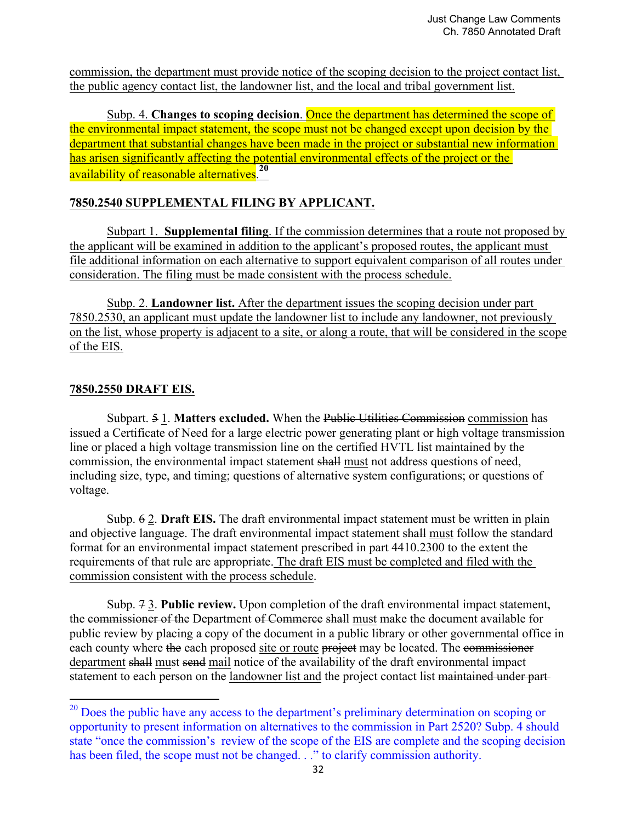commission, the department must provide notice of the scoping decision to the project contact list, the public agency contact list, the landowner list, and the local and tribal government list.

 Subp. 4. **Changes to scoping decision**. Once the department has determined the scope of the environmental impact statement, the scope must not be changed except upon decision by the department that substantial changes have been made in the project or substantial new information has arisen significantly affecting the potential environmental effects of the project or the availability of reasonable alternatives.**<sup>20</sup>**

# **7850.2540 SUPPLEMENTAL FILING BY APPLICANT.**

 Subpart 1. **Supplemental filing**. If the commission determines that a route not proposed by the applicant will be examined in addition to the applicant's proposed routes, the applicant must file additional information on each alternative to support equivalent comparison of all routes under consideration. The filing must be made consistent with the process schedule.

 Subp. 2. **Landowner list.** After the department issues the scoping decision under part 7850.2530, an applicant must update the landowner list to include any landowner, not previously on the list, whose property is adjacent to a site, or along a route, that will be considered in the scope of the EIS.

# **7850.2550 DRAFT EIS.**

 

 Subpart. 5 1. **Matters excluded.** When the Public Utilities Commission commission has issued a Certificate of Need for a large electric power generating plant or high voltage transmission line or placed a high voltage transmission line on the certified HVTL list maintained by the commission, the environmental impact statement shall must not address questions of need, including size, type, and timing; questions of alternative system configurations; or questions of voltage.

 Subp. 6 2. **Draft EIS.** The draft environmental impact statement must be written in plain and objective language. The draft environmental impact statement shall must follow the standard format for an environmental impact statement prescribed in part 4410.2300 to the extent the requirements of that rule are appropriate. The draft EIS must be completed and filed with the commission consistent with the process schedule.

 Subp. 7 3. **Public review.** Upon completion of the draft environmental impact statement, the commissioner of the Department of Commerce shall must make the document available for public review by placing a copy of the document in a public library or other governmental office in each county where the each proposed site or route project may be located. The commissioner department shall must send mail notice of the availability of the draft environmental impact statement to each person on the landowner list and the project contact list maintained under part

 $^{20}$  Does the public have any access to the department's preliminary determination on scoping or opportunity to present information on alternatives to the commission in Part 2520? Subp. 4 should state "once the commission's review of the scope of the EIS are complete and the scoping decision has been filed, the scope must not be changed. . ." to clarify commission authority.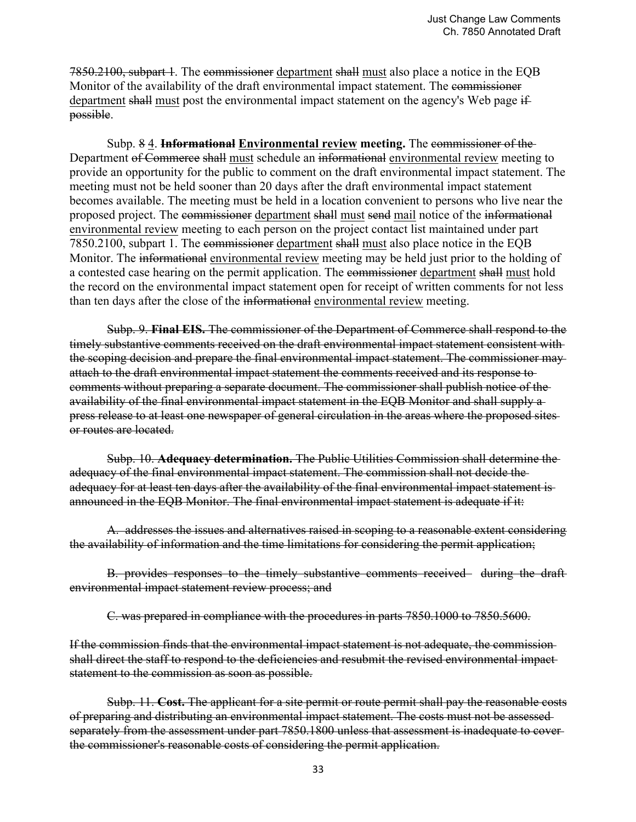7850.2100, subpart 1. The commissioner department shall must also place a notice in the EQB Monitor of the availability of the draft environmental impact statement. The commissioner department shall must post the environmental impact statement on the agency's Web page ifpossible.

 Subp. 8 4. **Informational Environmental review meeting.** The commissioner of the Department of Commerce shall must schedule an informational environmental review meeting to provide an opportunity for the public to comment on the draft environmental impact statement. The meeting must not be held sooner than 20 days after the draft environmental impact statement becomes available. The meeting must be held in a location convenient to persons who live near the proposed project. The commissioner department shall must send mail notice of the informational environmental review meeting to each person on the project contact list maintained under part 7850.2100, subpart 1. The commissioner department shall must also place notice in the EQB Monitor. The informational environmental review meeting may be held just prior to the holding of a contested case hearing on the permit application. The commissioner department shall must hold the record on the environmental impact statement open for receipt of written comments for not less than ten days after the close of the informational environmental review meeting.

 Subp. 9. **Final EIS.** The commissioner of the Department of Commerce shall respond to the timely substantive comments received on the draft environmental impact statement consistent with the scoping decision and prepare the final environmental impact statement. The commissioner may attach to the draft environmental impact statement the comments received and its response to comments without preparing a separate document. The commissioner shall publish notice of the availability of the final environmental impact statement in the EQB Monitor and shall supply a press release to at least one newspaper of general circulation in the areas where the proposed sites or routes are located.

 Subp. 10. **Adequacy determination.** The Public Utilities Commission shall determine the adequacy of the final environmental impact statement. The commission shall not decide the adequacy for at least ten days after the availability of the final environmental impact statement is announced in the EQB Monitor. The final environmental impact statement is adequate if it:

 A. addresses the issues and alternatives raised in scoping to a reasonable extent considering the availability of information and the time limitations for considering the permit application;

B. provides responses to the timely substantive comments received during the draft environmental impact statement review process; and

C. was prepared in compliance with the procedures in parts 7850.1000 to 7850.5600.

If the commission finds that the environmental impact statement is not adequate, the commission shall direct the staff to respond to the deficiencies and resubmit the revised environmental impactstatement to the commission as soon as possible.

 Subp. 11. **Cost.** The applicant for a site permit or route permit shall pay the reasonable costs of preparing and distributing an environmental impact statement. The costs must not be assessed separately from the assessment under part 7850.1800 unless that assessment is inadequate to cover the commissioner's reasonable costs of considering the permit application.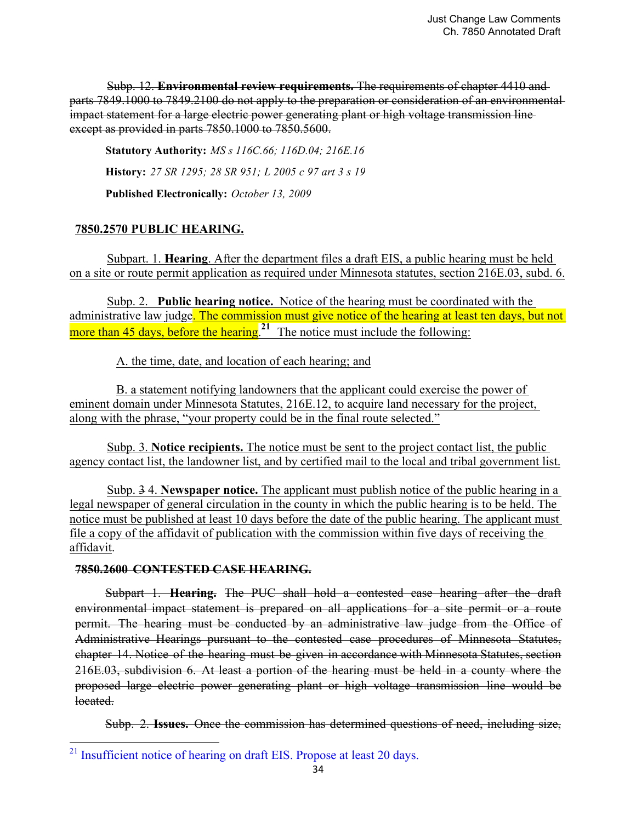Subp. 12. **Environmental review requirements.** The requirements of chapter 4410 and parts 7849.1000 to 7849.2100 do not apply to the preparation or consideration of an environmental impact statement for a large electric power generating plant or high voltage transmission line except as provided in parts 7850.1000 to 7850.5600.

**Statutory Authority:** *MS s 116C.66; 116D.04; 216E.16* **History:** *27 SR 1295; 28 SR 951; L 2005 c 97 art 3 s 19* **Published Electronically:** *October 13, 2009*

# **7850.2570 PUBLIC HEARING.**

Subpart. 1. **Hearing**. After the department files a draft EIS, a public hearing must be held on a site or route permit application as required under Minnesota statutes, section 216E.03, subd. 6.

 Subp. 2. **Public hearing notice.** Notice of the hearing must be coordinated with the administrative law judge. The commission must give notice of the hearing at least ten days, but not more than  $45$  days, before the hearing.<sup>21</sup> The notice must include the following:

A. the time, date, and location of each hearing; and

 B. a statement notifying landowners that the applicant could exercise the power of eminent domain under Minnesota Statutes, 216E.12, to acquire land necessary for the project, along with the phrase, "your property could be in the final route selected."

 Subp. 3. **Notice recipients.** The notice must be sent to the project contact list, the public agency contact list, the landowner list, and by certified mail to the local and tribal government list.

 Subp. 3 4. **Newspaper notice.** The applicant must publish notice of the public hearing in a legal newspaper of general circulation in the county in which the public hearing is to be held. The notice must be published at least 10 days before the date of the public hearing. The applicant must file a copy of the affidavit of publication with the commission within five days of receiving the affidavit.

## **7850.2600 CONTESTED CASE HEARING.**

 

Subpart 1. **Hearing.** The PUC shall hold a contested case hearing after the draft environmental impact statement is prepared on all applications for a site permit or a route permit. The hearing must be conducted by an administrative law judge from the Office of Administrative Hearings pursuant to the contested case procedures of Minnesota Statutes, chapter 14. Notice of the hearing must be given in accordance with Minnesota Statutes, section 216E.03, subdivision 6. At least a portion of the hearing must be held in a county where the proposed large electric power generating plant or high voltage transmission line would be located.

Subp. 2. **Issues.** Once the commission has determined questions of need, including size,

 $^{21}$  Insufficient notice of hearing on draft EIS. Propose at least 20 days.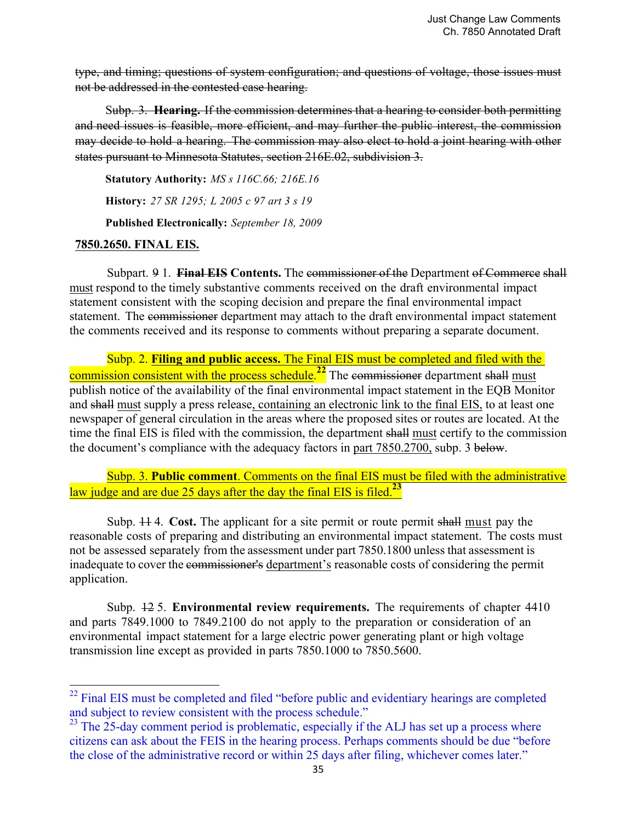type, and timing; questions of system configuration; and questions of voltage, those issues must not be addressed in the contested case hearing.

Subp. 3. **Hearing.** If the commission determines that a hearing to consider both permitting and need issues is feasible, more efficient, and may further the public interest, the commission may decide to hold a hearing. The commission may also elect to hold a joint hearing with other states pursuant to Minnesota Statutes, section 216E.02, subdivision 3.

**Statutory Authority:** *MS s 116C.66; 216E.16*

**History:** *27 SR 1295; L 2005 c 97 art 3 s 19*

**Published Electronically:** *September 18, 2009*

#### **7850.2650. FINAL EIS.**

 

Subpart. 9 1. **Final EIS Contents.** The commissioner of the Department of Commerce shall must respond to the timely substantive comments received on the draft environmental impact statement consistent with the scoping decision and prepare the final environmental impact statement. The commissioner department may attach to the draft environmental impact statement the comments received and its response to comments without preparing a separate document.

 Subp. 2. **Filing and public access.** The Final EIS must be completed and filed with the commission consistent with the process schedule.<sup>22</sup> The commissioner department shall must publish notice of the availability of the final environmental impact statement in the EQB Monitor and shall must supply a press release, containing an electronic link to the final EIS, to at least one newspaper of general circulation in the areas where the proposed sites or routes are located. At the time the final EIS is filed with the commission, the department shall must certify to the commission the document's compliance with the adequacy factors in part 7850.2700, subp. 3 below.

 Subp. 3. **Public comment**. Comments on the final EIS must be filed with the administrative law judge and are due 25 days after the day the final EIS is filed.**<sup>23</sup>**

 Subp. 11 4. **Cost.** The applicant for a site permit or route permit shall must pay the reasonable costs of preparing and distributing an environmental impact statement. The costs must not be assessed separately from the assessment under part 7850.1800 unless that assessment is inadequate to cover the commissioner's department's reasonable costs of considering the permit application.

 Subp. 12 5. **Environmental review requirements.** The requirements of chapter 4410 and parts 7849.1000 to 7849.2100 do not apply to the preparation or consideration of an environmental impact statement for a large electric power generating plant or high voltage transmission line except as provided in parts 7850.1000 to 7850.5600.

<sup>&</sup>lt;sup>22</sup> Final EIS must be completed and filed "before public and evidentiary hearings are completed and subject to review consistent with the process schedule."

 $^{23}$  The 25-day comment period is problematic, especially if the ALJ has set up a process where citizens can ask about the FEIS in the hearing process. Perhaps comments should be due "before the close of the administrative record or within 25 days after filing, whichever comes later."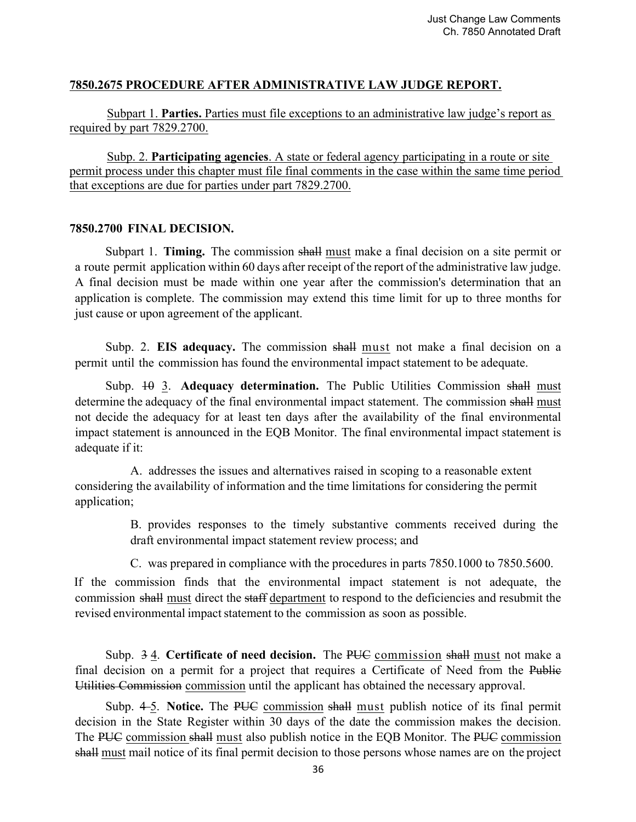## **7850.2675 PROCEDURE AFTER ADMINISTRATIVE LAW JUDGE REPORT.**

 Subpart 1. **Parties.** Parties must file exceptions to an administrative law judge's report as required by part 7829.2700.

 Subp. 2. **Participating agencies**. A state or federal agency participating in a route or site permit process under this chapter must file final comments in the case within the same time period that exceptions are due for parties under part 7829.2700.

#### **7850.2700 FINAL DECISION.**

Subpart 1. **Timing.** The commission shall must make a final decision on a site permit or a route permit application within 60 days after receipt of the report of the administrative law judge. A final decision must be made within one year after the commission's determination that an application is complete. The commission may extend this time limit for up to three months for just cause or upon agreement of the applicant.

Subp. 2. **EIS adequacy.** The commission shall must not make a final decision on a permit until the commission has found the environmental impact statement to be adequate.

Subp. 40 3. Adequacy determination. The Public Utilities Commission shall must determine the adequacy of the final environmental impact statement. The commission shall must not decide the adequacy for at least ten days after the availability of the final environmental impact statement is announced in the EQB Monitor. The final environmental impact statement is adequate if it:

 A. addresses the issues and alternatives raised in scoping to a reasonable extent considering the availability of information and the time limitations for considering the permit application;

> B. provides responses to the timely substantive comments received during the draft environmental impact statement review process; and

C. was prepared in compliance with the procedures in parts 7850.1000 to 7850.5600.

If the commission finds that the environmental impact statement is not adequate, the commission shall must direct the staff department to respond to the deficiencies and resubmit the revised environmental impact statement to the commission as soon as possible.

Subp. 34. **Certificate of need decision.** The PUC commission shall must not make a final decision on a permit for a project that requires a Certificate of Need from the Public Utilities Commission commission until the applicant has obtained the necessary approval.

Subp. 4-5. **Notice.** The PUC commission shall must publish notice of its final permit decision in the State Register within 30 days of the date the commission makes the decision. The PUC commission shall must also publish notice in the EQB Monitor. The PUC commission shall must mail notice of its final permit decision to those persons whose names are on the project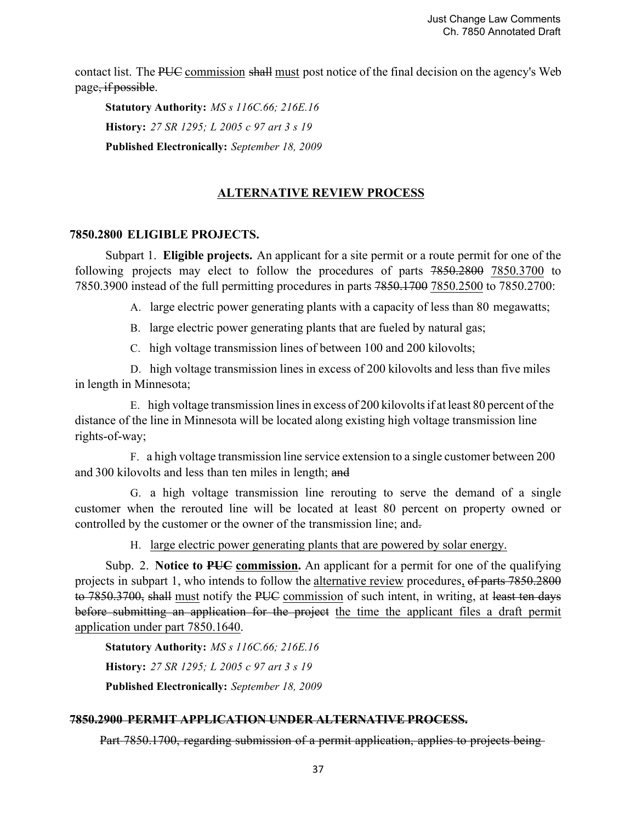contact list. The PUC commission shall must post notice of the final decision on the agency's Web page, if possible.

**Statutory Authority:** *MS s 116C.66; 216E.16* **History:** *27 SR 1295; L 2005 c 97 art 3 s 19* **Published Electronically:** *September 18, 2009*

# **ALTERNATIVE REVIEW PROCESS**

#### **7850.2800 ELIGIBLE PROJECTS.**

Subpart 1. **Eligible projects.** An applicant for a site permit or a route permit for one of the following projects may elect to follow the procedures of parts 7850.2800 7850.3700 to 7850.3900 instead of the full permitting procedures in parts 7850.1700 7850.2500 to 7850.2700:

A. large electric power generating plants with a capacity of less than 80 megawatts;

B. large electric power generating plants that are fueled by natural gas;

C. high voltage transmission lines of between 100 and 200 kilovolts;

D. high voltage transmission lines in excess of 200 kilovolts and less than five miles in length in Minnesota;

E. high voltage transmission lines in excess of 200 kilovolts if at least 80 percent of the distance of the line in Minnesota will be located along existing high voltage transmission line rights-of-way;

F. a high voltage transmission line service extension to a single customer between 200 and 300 kilovolts and less than ten miles in length; and

G. a high voltage transmission line rerouting to serve the demand of a single customer when the rerouted line will be located at least 80 percent on property owned or controlled by the customer or the owner of the transmission line; and.

H. large electric power generating plants that are powered by solar energy.

Subp. 2. **Notice to PUC commission.** An applicant for a permit for one of the qualifying projects in subpart 1, who intends to follow the alternative review procedures, of parts 7850.2800 to 7850.3700, shall must notify the PUC commission of such intent, in writing, at least ten days before submitting an application for the project the time the applicant files a draft permit application under part 7850.1640.

**Statutory Authority:** *MS s 116C.66; 216E.16* **History:** *27 SR 1295; L 2005 c 97 art 3 s 19* **Published Electronically:** *September 18, 2009*

## **7850.2900 PERMIT APPLICATION UNDER ALTERNATIVE PROCESS.**

Part 7850.1700, regarding submission of a permit application, applies to projects being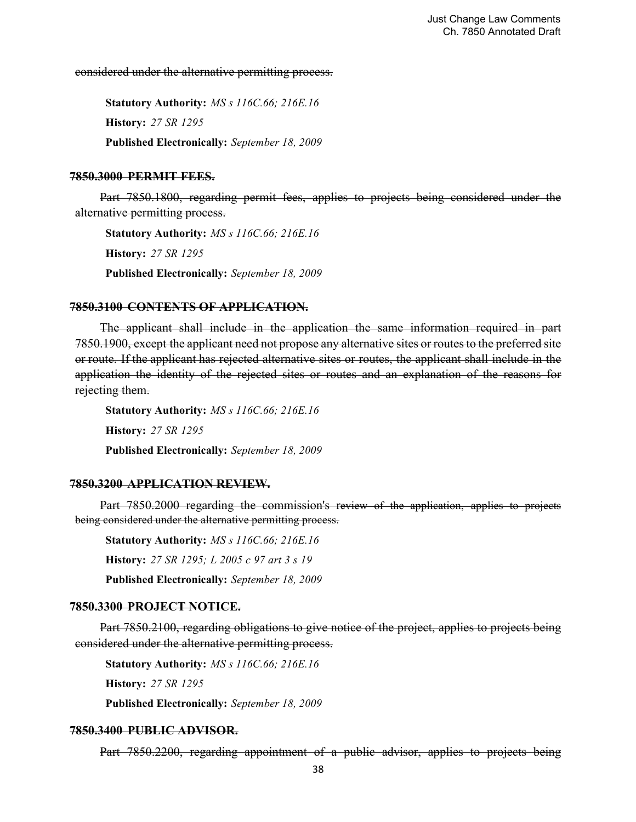considered under the alternative permitting process.

**Statutory Authority:** *MS s 116C.66; 216E.16* **History:** *27 SR 1295* **Published Electronically:** *September 18, 2009*

#### **7850.3000 PERMIT FEES.**

Part 7850.1800, regarding permit fees, applies to projects being considered under the alternative permitting process.

**Statutory Authority:** *MS s 116C.66; 216E.16* **History:** *27 SR 1295* **Published Electronically:** *September 18, 2009*

#### **7850.3100 CONTENTS OF APPLICATION.**

The applicant shall include in the application the same information required in part 7850.1900, except the applicant need not propose any alternative sites or routes to the preferred site or route. If the applicant has rejected alternative sites or routes, the applicant shall include in the application the identity of the rejected sites or routes and an explanation of the reasons for rejecting them.

**Statutory Authority:** *MS s 116C.66; 216E.16* **History:** *27 SR 1295* **Published Electronically:** *September 18, 2009*

#### **7850.3200 APPLICATION REVIEW.**

Part 7850.2000 regarding the commission's review of the application, applies to projects being considered under the alternative permitting process.

**Statutory Authority:** *MS s 116C.66; 216E.16* **History:** *27 SR 1295; L 2005 c 97 art 3 s 19* **Published Electronically:** *September 18, 2009*

#### **7850.3300 PROJECT NOTICE.**

Part 7850.2100, regarding obligations to give notice of the project, applies to projects being considered under the alternative permitting process.

**Statutory Authority:** *MS s 116C.66; 216E.16* **History:** *27 SR 1295* **Published Electronically:** *September 18, 2009*

#### **7850.3400 PUBLIC ADVISOR.**

Part 7850.2200, regarding appointment of a public advisor, applies to projects being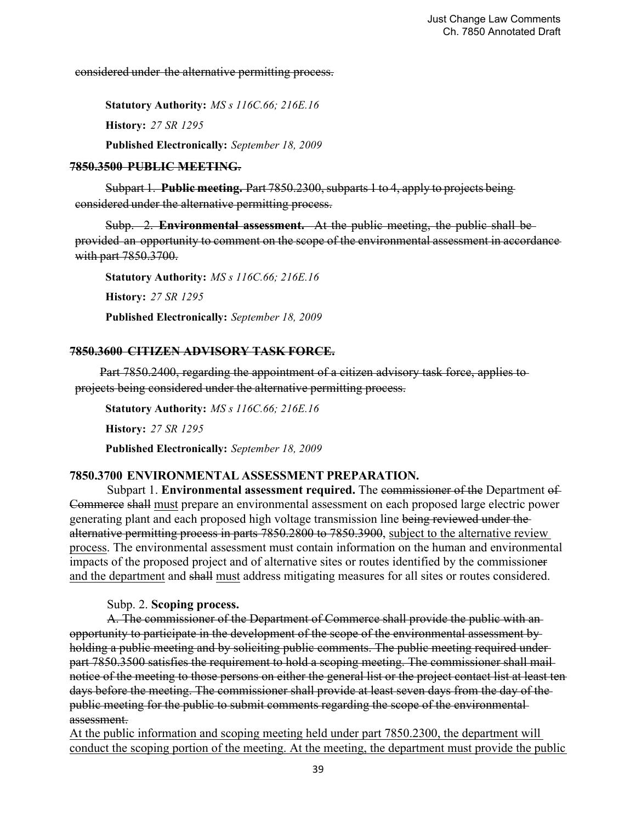considered under the alternative permitting process.

**Statutory Authority:** *MS s 116C.66; 216E.16* **History:** *27 SR 1295* **Published Electronically:** *September 18, 2009*

#### **7850.3500 PUBLIC MEETING**.

Subpart 1. **Public meeting.** Part 7850.2300, subparts 1 to 4, apply to projects being considered under the alternative permitting process.

Subp. 2. **Environmental assessment.** At the public meeting, the public shall be provided an opportunity to comment on the scope of the environmental assessment in accordance with part 7850.3700.

**Statutory Authority:** *MS s 116C.66; 216E.16* **History:** *27 SR 1295* **Published Electronically:** *September 18, 2009*

#### **7850.3600 CITIZEN ADVISORY TASK FORCE.**

Part 7850.2400, regarding the appointment of a citizen advisory task force, applies to projects being considered under the alternative permitting process.

**Statutory Authority:** *MS s 116C.66; 216E.16* **History:** *27 SR 1295* **Published Electronically:** *September 18, 2009*

## **7850.3700 ENVIRONMENTAL ASSESSMENT PREPARATION.**

 Subpart 1. **Environmental assessment required.** The commissioner of the Department of Commerce shall must prepare an environmental assessment on each proposed large electric power generating plant and each proposed high voltage transmission line being reviewed under the alternative permitting process in parts 7850.2800 to 7850.3900, subject to the alternative review process. The environmental assessment must contain information on the human and environmental impacts of the proposed project and of alternative sites or routes identified by the commissioner and the department and shall must address mitigating measures for all sites or routes considered.

Subp. 2. **Scoping process.**

 A. The commissioner of the Department of Commerce shall provide the public with an opportunity to participate in the development of the scope of the environmental assessment by holding a public meeting and by soliciting public comments. The public meeting required underpart 7850.3500 satisfies the requirement to hold a scoping meeting. The commissioner shall mail notice of the meeting to those persons on either the general list or the project contact list at least ten days before the meeting. The commissioner shall provide at least seven days from the day of the public meeting for the public to submit comments regarding the scope of the environmental assessment.

At the public information and scoping meeting held under part 7850.2300, the department will conduct the scoping portion of the meeting. At the meeting, the department must provide the public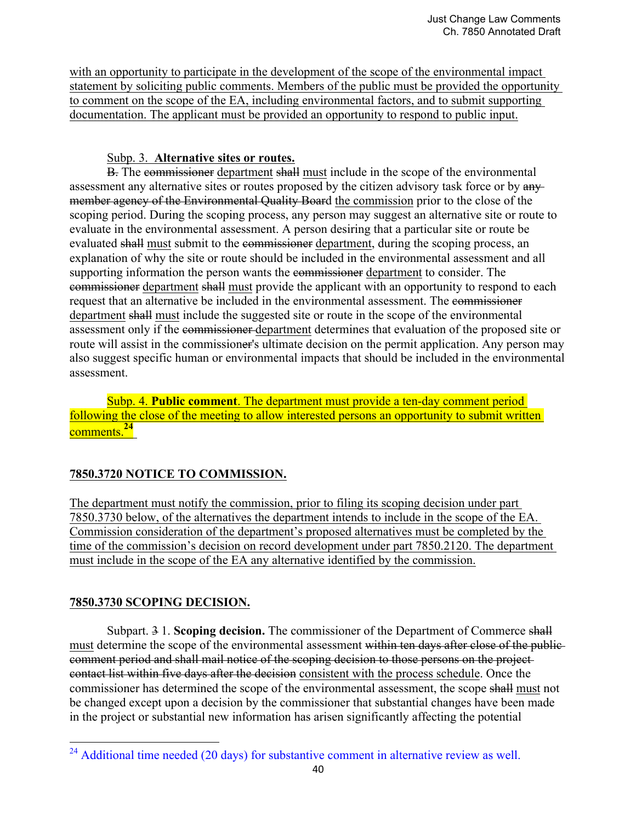with an opportunity to participate in the development of the scope of the environmental impact statement by soliciting public comments. Members of the public must be provided the opportunity to comment on the scope of the EA, including environmental factors, and to submit supporting documentation. The applicant must be provided an opportunity to respond to public input.

## Subp. 3. **Alternative sites or routes.**

 B. The commissioner department shall must include in the scope of the environmental assessment any alternative sites or routes proposed by the citizen advisory task force or by anymember agency of the Environmental Quality Board the commission prior to the close of the scoping period. During the scoping process, any person may suggest an alternative site or route to evaluate in the environmental assessment. A person desiring that a particular site or route be evaluated shall must submit to the commissioner department, during the scoping process, an explanation of why the site or route should be included in the environmental assessment and all supporting information the person wants the commissioner department to consider. The commissioner department shall must provide the applicant with an opportunity to respond to each request that an alternative be included in the environmental assessment. The commissioner department shall must include the suggested site or route in the scope of the environmental assessment only if the commissioner department determines that evaluation of the proposed site or route will assist in the commissioner's ultimate decision on the permit application. Any person may also suggest specific human or environmental impacts that should be included in the environmental assessment.

 Subp. 4. **Public comment**. The department must provide a ten-day comment period following the close of the meeting to allow interested persons an opportunity to submit written comments.**<sup>24</sup>**

# **7850.3720 NOTICE TO COMMISSION.**

The department must notify the commission, prior to filing its scoping decision under part 7850.3730 below, of the alternatives the department intends to include in the scope of the EA. Commission consideration of the department's proposed alternatives must be completed by the time of the commission's decision on record development under part 7850.2120. The department must include in the scope of the EA any alternative identified by the commission.

# **7850.3730 SCOPING DECISION.**

 

 Subpart. 3 1. **Scoping decision.** The commissioner of the Department of Commerce shall must determine the scope of the environmental assessment within ten days after close of the publiccomment period and shall mail notice of the scoping decision to those persons on the project contact list within five days after the decision consistent with the process schedule. Once the commissioner has determined the scope of the environmental assessment, the scope shall must not be changed except upon a decision by the commissioner that substantial changes have been made in the project or substantial new information has arisen significantly affecting the potential

 $^{24}$  Additional time needed (20 days) for substantive comment in alternative review as well.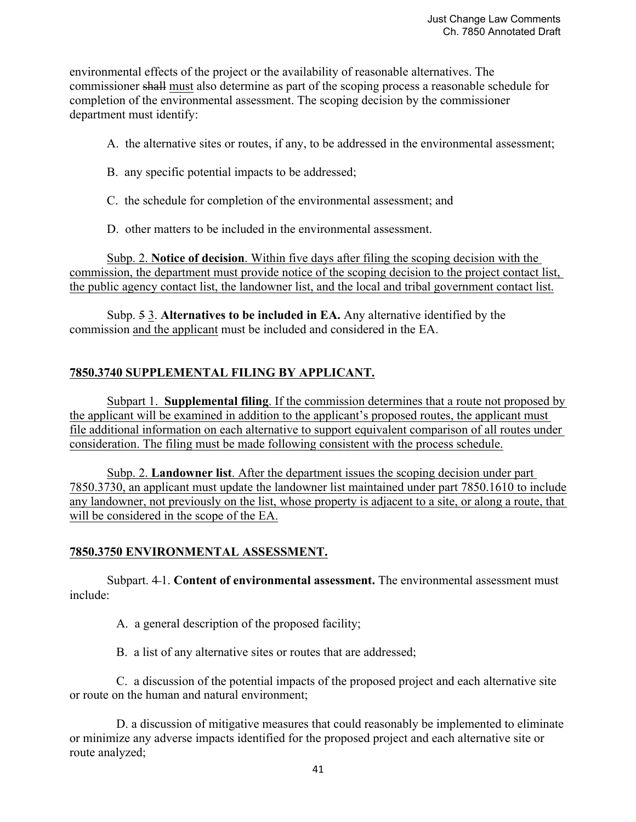environmental effects of the project or the availability of reasonable alternatives. The commissioner shall must also determine as part of the scoping process a reasonable schedule for completion of the environmental assessment. The scoping decision by the commissioner department must identify:

- A. the alternative sites or routes, if any, to be addressed in the environmental assessment;
- B. any specific potential impacts to be addressed;
- C. the schedule for completion of the environmental assessment; and
- D. other matters to be included in the environmental assessment.

 Subp. 2. **Notice of decision**. Within five days after filing the scoping decision with the commission, the department must provide notice of the scoping decision to the project contact list, the public agency contact list, the landowner list, and the local and tribal government contact list.

 Subp. 5 3. **Alternatives to be included in EA.** Any alternative identified by the commission and the applicant must be included and considered in the EA.

# **7850.3740 SUPPLEMENTAL FILING BY APPLICANT.**

 Subpart 1. **Supplemental filing**. If the commission determines that a route not proposed by the applicant will be examined in addition to the applicant's proposed routes, the applicant must file additional information on each alternative to support equivalent comparison of all routes under consideration. The filing must be made following consistent with the process schedule.

 Subp. 2. **Landowner list**. After the department issues the scoping decision under part 7850.3730, an applicant must update the landowner list maintained under part 7850.1610 to include any landowner, not previously on the list, whose property is adjacent to a site, or along a route, that will be considered in the scope of the EA.

# **7850.3750 ENVIRONMENTAL ASSESSMENT.**

Subpart. 4-1. **Content of environmental assessment.** The environmental assessment must include:

A. a general description of the proposed facility;

B. a list of any alternative sites or routes that are addressed;

 C. a discussion of the potential impacts of the proposed project and each alternative site or route on the human and natural environment;

 D. a discussion of mitigative measures that could reasonably be implemented to eliminate or minimize any adverse impacts identified for the proposed project and each alternative site or route analyzed;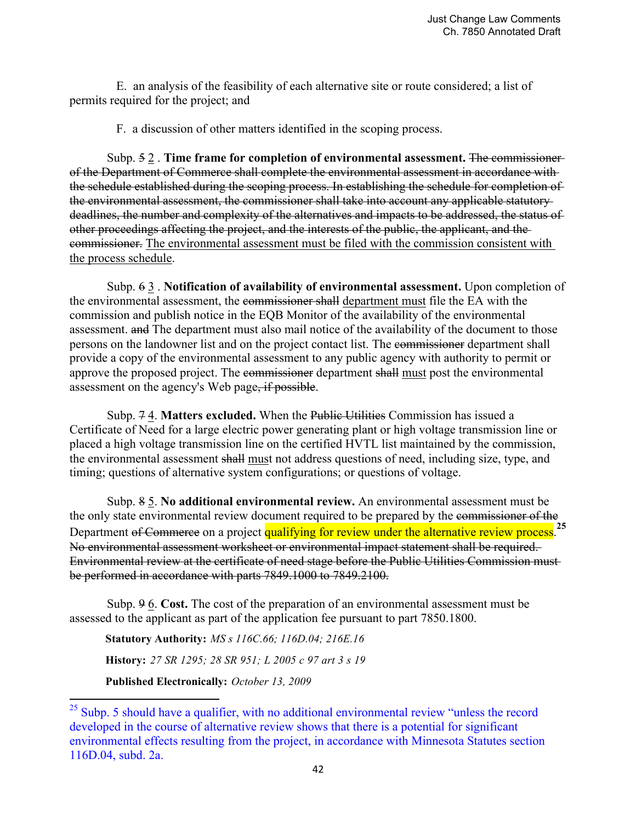E. an analysis of the feasibility of each alternative site or route considered; a list of permits required for the project; and

F. a discussion of other matters identified in the scoping process.

 Subp. 5 2 . **Time frame for completion of environmental assessment.** The commissioner of the Department of Commerce shall complete the environmental assessment in accordance with the schedule established during the scoping process. In establishing the schedule for completion of the environmental assessment, the commissioner shall take into account any applicable statutory deadlines, the number and complexity of the alternatives and impacts to be addressed, the status of other proceedings affecting the project, and the interests of the public, the applicant, and the commissioner. The environmental assessment must be filed with the commission consistent with the process schedule.

 Subp. 6 3 . **Notification of availability of environmental assessment.** Upon completion of the environmental assessment, the commissioner shall department must file the EA with the commission and publish notice in the EQB Monitor of the availability of the environmental assessment. and The department must also mail notice of the availability of the document to those persons on the landowner list and on the project contact list. The commissioner department shall provide a copy of the environmental assessment to any public agency with authority to permit or approve the proposed project. The commissioner department shall must post the environmental assessment on the agency's Web page, if possible.

 Subp. 7 4. **Matters excluded.** When the Public Utilities Commission has issued a Certificate of Need for a large electric power generating plant or high voltage transmission line or placed a high voltage transmission line on the certified HVTL list maintained by the commission, the environmental assessment shall must not address questions of need, including size, type, and timing; questions of alternative system configurations; or questions of voltage.

 Subp. 8 5. **No additional environmental review.** An environmental assessment must be the only state environmental review document required to be prepared by the commissioner of the Department of Commerce on a project qualifying for review under the alternative review process.<sup>25</sup> No environmental assessment worksheet or environmental impact statement shall be required. Environmental review at the certificate of need stage before the Public Utilities Commission must be performed in accordance with parts 7849.1000 to 7849.2100.

 Subp. 9 6. **Cost.** The cost of the preparation of an environmental assessment must be assessed to the applicant as part of the application fee pursuant to part 7850.1800.

**Statutory Authority:** *MS s 116C.66; 116D.04; 216E.16* **History:** *27 SR 1295; 28 SR 951; L 2005 c 97 art 3 s 19* **Published Electronically:** *October 13, 2009*

 

 $^{25}$  Subp. 5 should have a qualifier, with no additional environmental review "unless the record developed in the course of alternative review shows that there is a potential for significant environmental effects resulting from the project, in accordance with Minnesota Statutes section 116D.04, subd. 2a.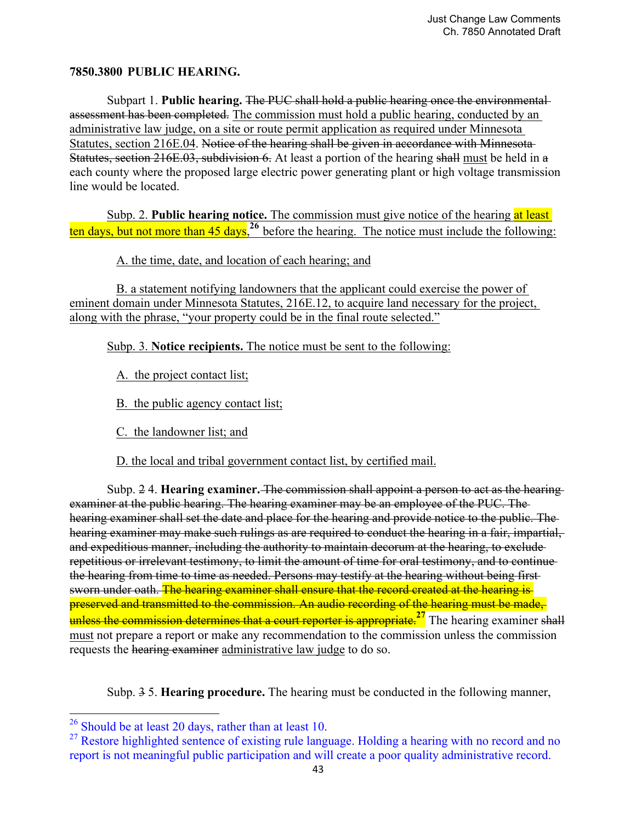## **7850.3800 PUBLIC HEARING.**

 Subpart 1. **Public hearing.** The PUC shall hold a public hearing once the environmental assessment has been completed. The commission must hold a public hearing, conducted by an administrative law judge, on a site or route permit application as required under Minnesota Statutes, section 216E.04. Notice of the hearing shall be given in accordance with Minnesota-Statutes, section 216E.03, subdivision 6. At least a portion of the hearing shall must be held in a each county where the proposed large electric power generating plant or high voltage transmission line would be located.

 Subp. 2. **Public hearing notice.** The commission must give notice of the hearing at least ten days, but not more than 45 days,**<sup>26</sup>** before the hearing. The notice must include the following:

A. the time, date, and location of each hearing; and

 B. a statement notifying landowners that the applicant could exercise the power of eminent domain under Minnesota Statutes, 216E.12, to acquire land necessary for the project, along with the phrase, "your property could be in the final route selected."

Subp. 3. **Notice recipients.** The notice must be sent to the following:

A. the project contact list;

B. the public agency contact list;

C. the landowner list; and

D. the local and tribal government contact list, by certified mail.

 Subp. 2 4. **Hearing examiner.** The commission shall appoint a person to act as the hearing examiner at the public hearing. The hearing examiner may be an employee of the PUC. The hearing examiner shall set the date and place for the hearing and provide notice to the public. The hearing examiner may make such rulings as are required to conduct the hearing in a fair, impartial, and expeditious manner, including the authority to maintain decorum at the hearing, to exclude repetitious or irrelevant testimony, to limit the amount of time for oral testimony, and to continue the hearing from time to time as needed. Persons may testify at the hearing without being first sworn under oath. The hearing examiner shall ensure that the record created at the hearing is preserved and transmitted to the commission. An audio recording of the hearing must be made, unless the commission determines that a court reporter is appropriate.<sup>27</sup> The hearing examiner shall must not prepare a report or make any recommendation to the commission unless the commission requests the hearing examiner administrative law judge to do so.

Subp. 3 5. **Hearing procedure.** The hearing must be conducted in the following manner,

 

 $^{26}$  Should be at least 20 days, rather than at least 10.

<sup>&</sup>lt;sup>27</sup> Restore highlighted sentence of existing rule language. Holding a hearing with no record and no report is not meaningful public participation and will create a poor quality administrative record.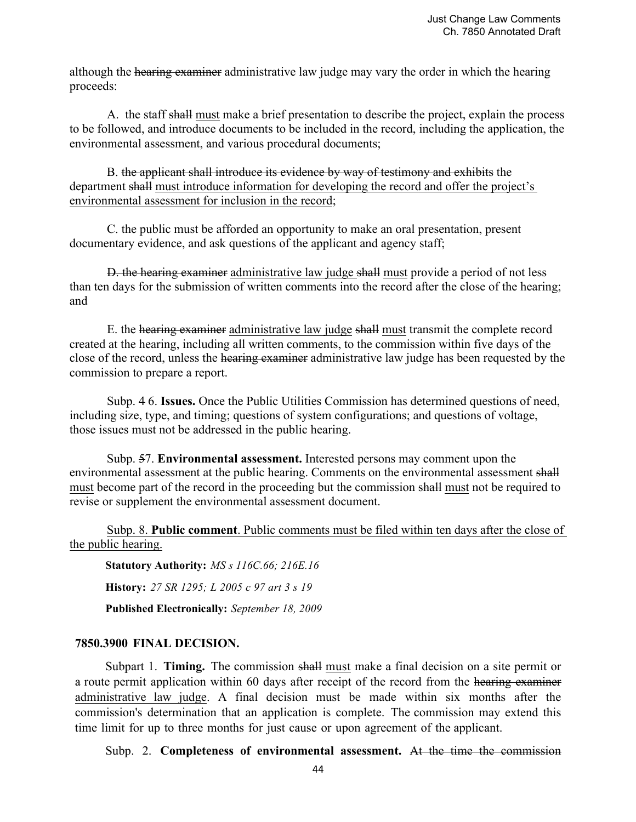although the hearing examiner administrative law judge may vary the order in which the hearing proceeds:

 A. the staff shall must make a brief presentation to describe the project, explain the process to be followed, and introduce documents to be included in the record, including the application, the environmental assessment, and various procedural documents;

 B. the applicant shall introduce its evidence by way of testimony and exhibits the department shall must introduce information for developing the record and offer the project's environmental assessment for inclusion in the record;

 C. the public must be afforded an opportunity to make an oral presentation, present documentary evidence, and ask questions of the applicant and agency staff;

 D. the hearing examiner administrative law judge shall must provide a period of not less than ten days for the submission of written comments into the record after the close of the hearing; and

 E. the hearing examiner administrative law judge shall must transmit the complete record created at the hearing, including all written comments, to the commission within five days of the close of the record, unless the hearing examiner administrative law judge has been requested by the commission to prepare a report.

 Subp. 4 6. **Issues.** Once the Public Utilities Commission has determined questions of need, including size, type, and timing; questions of system configurations; and questions of voltage, those issues must not be addressed in the public hearing.

 Subp. 57. **Environmental assessment.** Interested persons may comment upon the environmental assessment at the public hearing. Comments on the environmental assessment shall must become part of the record in the proceeding but the commission shall must not be required to revise or supplement the environmental assessment document.

Subp. 8. **Public comment**. Public comments must be filed within ten days after the close of the public hearing.

**Statutory Authority:** *MS s 116C.66; 216E.16*

**History:** *27 SR 1295; L 2005 c 97 art 3 s 19*

**Published Electronically:** *September 18, 2009*

## **7850.3900 FINAL DECISION.**

Subpart 1. **Timing.** The commission shall must make a final decision on a site permit or a route permit application within 60 days after receipt of the record from the hearing examiner administrative law judge. A final decision must be made within six months after the commission's determination that an application is complete. The commission may extend this time limit for up to three months for just cause or upon agreement of the applicant.

Subp. 2. **Completeness of environmental assessment.** At the time the commission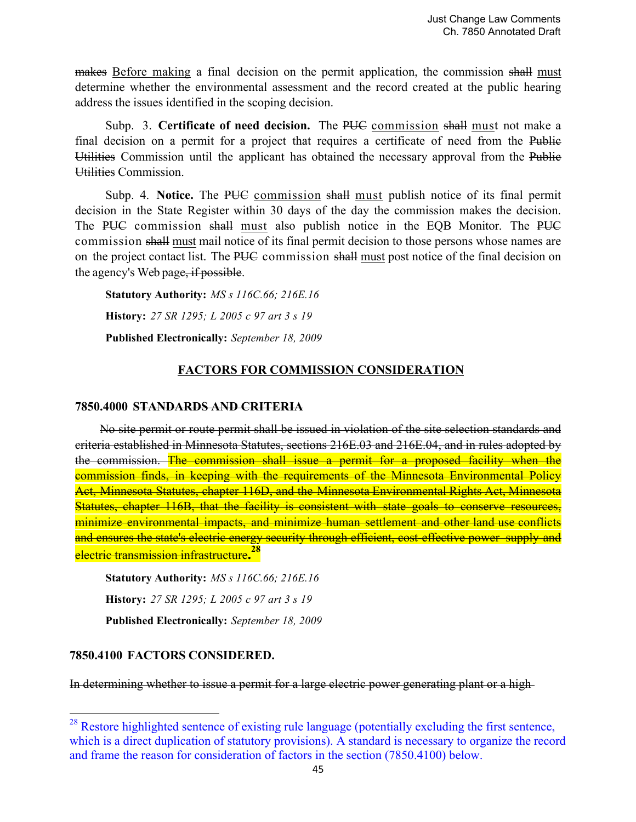makes Before making a final decision on the permit application, the commission shall must determine whether the environmental assessment and the record created at the public hearing address the issues identified in the scoping decision.

Subp. 3. **Certificate of need decision.** The PU<del>C</del> commission shall must not make a final decision on a permit for a project that requires a certificate of need from the Public Utilities Commission until the applicant has obtained the necessary approval from the Public Utilities Commission.

Subp. 4. **Notice.** The PUC commission shall must publish notice of its final permit decision in the State Register within 30 days of the day the commission makes the decision. The PUC commission shall must also publish notice in the EQB Monitor. The PUC commission shall must mail notice of its final permit decision to those persons whose names are on the project contact list. The PUC commission shall must post notice of the final decision on the agency's Web page, if possible.

**Statutory Authority:** *MS s 116C.66; 216E.16*

**History:** *27 SR 1295; L 2005 c 97 art 3 s 19*

**Published Electronically:** *September 18, 2009*

## **FACTORS FOR COMMISSION CONSIDERATION**

#### **7850.4000 STANDARDS AND CRITERIA**

No site permit or route permit shall be issued in violation of the site selection standards and criteria established in Minnesota Statutes, sections 216E.03 and 216E.04, and in rules adopted by the commission. The commission shall issue a permit for a proposed facility when the commission finds, in keeping with the requirements of the Minnesota Environmental Policy Act, Minnesota Statutes, chapter 116D, and the Minnesota Environmental Rights Act, Minnesota Statutes, chapter 116B, that the facility is consistent with state goals to conserve resources, minimize environmental impacts, and minimize human settlement and other land use conflicts and ensures the state's electric energy security through efficient, cost-effective power supply and electric transmission infrastructure**. 28**

**Statutory Authority:** *MS s 116C.66; 216E.16* **History:** *27 SR 1295; L 2005 c 97 art 3 s 19* **Published Electronically:** *September 18, 2009*

#### **7850.4100 FACTORS CONSIDERED.**

 

In determining whether to issue a permit for a large electric power generating plant or a high

<sup>&</sup>lt;sup>28</sup> Restore highlighted sentence of existing rule language (potentially excluding the first sentence, which is a direct duplication of statutory provisions). A standard is necessary to organize the record and frame the reason for consideration of factors in the section (7850.4100) below.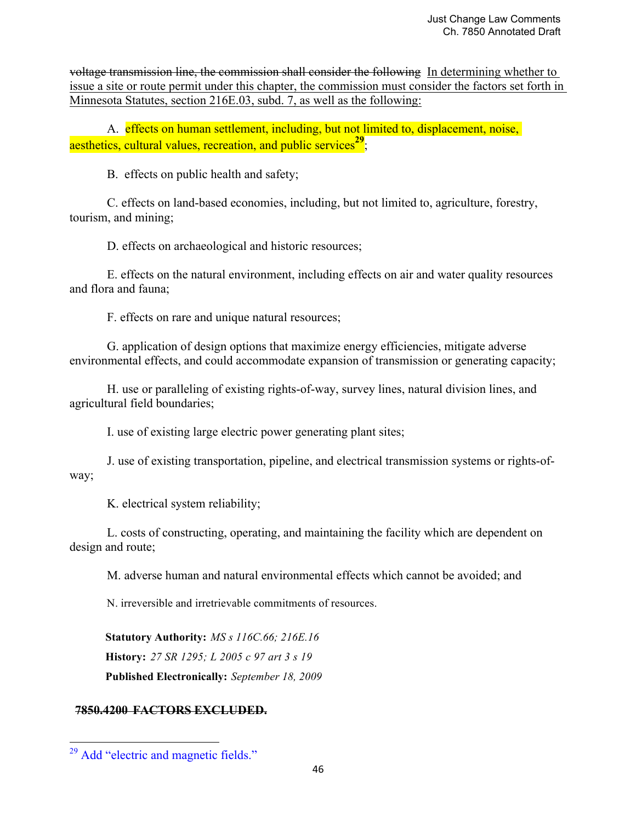voltage transmission line, the commission shall consider the following In determining whether to issue a site or route permit under this chapter, the commission must consider the factors set forth in Minnesota Statutes, section 216E.03, subd. 7, as well as the following:

A. effects on human settlement, including, but not limited to, displacement, noise, aesthetics, cultural values, recreation, and public services<sup>29</sup>;

B. effects on public health and safety;

 C. effects on land-based economies, including, but not limited to, agriculture, forestry, tourism, and mining;

D. effects on archaeological and historic resources;

 E. effects on the natural environment, including effects on air and water quality resources and flora and fauna;

F. effects on rare and unique natural resources;

 G. application of design options that maximize energy efficiencies, mitigate adverse environmental effects, and could accommodate expansion of transmission or generating capacity;

 H. use or paralleling of existing rights-of-way, survey lines, natural division lines, and agricultural field boundaries;

I. use of existing large electric power generating plant sites;

 J. use of existing transportation, pipeline, and electrical transmission systems or rights-ofway;

K. electrical system reliability;

 L. costs of constructing, operating, and maintaining the facility which are dependent on design and route;

M. adverse human and natural environmental effects which cannot be avoided; and

N. irreversible and irretrievable commitments of resources.

**Statutory Authority:** *MS s 116C.66; 216E.16* **History:** *27 SR 1295; L 2005 c 97 art 3 s 19* **Published Electronically:** *September 18, 2009*

# **7850.4200 FACTORS EXCLUDED.**

 

<sup>&</sup>lt;sup>29</sup> Add "electric and magnetic fields."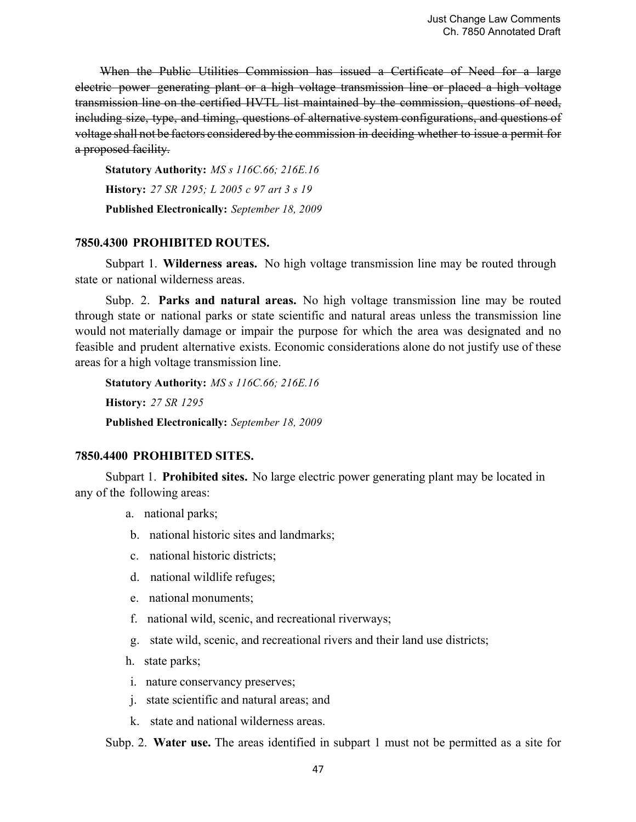When the Public Utilities Commission has issued a Certificate of Need for a large electric power generating plant or a high voltage transmission line or placed a high voltage transmission line on the certified HVTL list maintained by the commission, questions of need, including size, type, and timing, questions of alternative system configurations, and questions of voltage shall not be factors considered by the commission in deciding whether to issue a permit for a proposed facility.

**Statutory Authority:** *MS s 116C.66; 216E.16* **History:** *27 SR 1295; L 2005 c 97 art 3 s 19* **Published Electronically:** *September 18, 2009*

#### **7850.4300 PROHIBITED ROUTES.**

Subpart 1. **Wilderness areas.** No high voltage transmission line may be routed through state or national wilderness areas.

Subp. 2. **Parks and natural areas.** No high voltage transmission line may be routed through state or national parks or state scientific and natural areas unless the transmission line would not materially damage or impair the purpose for which the area was designated and no feasible and prudent alternative exists. Economic considerations alone do not justify use of these areas for a high voltage transmission line.

**Statutory Authority:** *MS s 116C.66; 216E.16* **History:** *27 SR 1295* **Published Electronically:** *September 18, 2009*

## **7850.4400 PROHIBITED SITES.**

Subpart 1. **Prohibited sites.** No large electric power generating plant may be located in any of the following areas:

- a. national parks;
- b. national historic sites and landmarks;
- c. national historic districts;
- d. national wildlife refuges;
- e. national monuments;
- f. national wild, scenic, and recreational riverways;
- g. state wild, scenic, and recreational rivers and their land use districts;
- h. state parks;
- i. nature conservancy preserves;
- j. state scientific and natural areas; and
- k. state and national wilderness areas.

Subp. 2. **Water use.** The areas identified in subpart 1 must not be permitted as a site for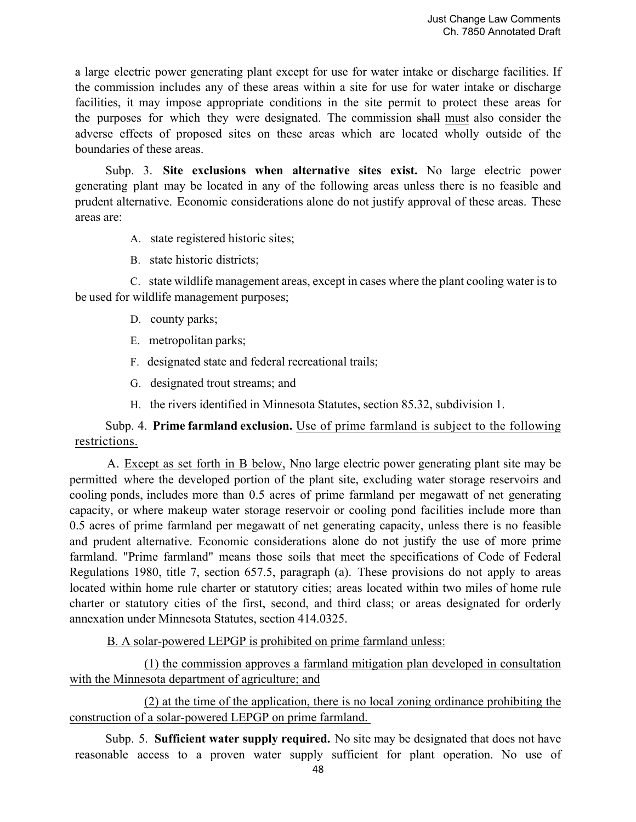a large electric power generating plant except for use for water intake or discharge facilities. If the commission includes any of these areas within a site for use for water intake or discharge facilities, it may impose appropriate conditions in the site permit to protect these areas for the purposes for which they were designated. The commission shall must also consider the adverse effects of proposed sites on these areas which are located wholly outside of the boundaries of these areas.

Subp. 3. **Site exclusions when alternative sites exist.** No large electric power generating plant may be located in any of the following areas unless there is no feasible and prudent alternative. Economic considerations alone do not justify approval of these areas. These areas are:

- A. state registered historic sites;
- B. state historic districts;

C. state wildlife management areas, except in cases where the plant cooling water is to be used for wildlife management purposes;

- D. county parks;
- E. metropolitan parks;
- F. designated state and federal recreational trails;
- G. designated trout streams; and
- H. the rivers identified in Minnesota Statutes, section 85.32, subdivision 1.

# Subp. 4. **Prime farmland exclusion.** Use of prime farmland is subject to the following restrictions.

A. Except as set forth in B below, Nno large electric power generating plant site may be permitted where the developed portion of the plant site, excluding water storage reservoirs and cooling ponds, includes more than 0.5 acres of prime farmland per megawatt of net generating capacity, or where makeup water storage reservoir or cooling pond facilities include more than 0.5 acres of prime farmland per megawatt of net generating capacity, unless there is no feasible and prudent alternative. Economic considerations alone do not justify the use of more prime farmland. "Prime farmland" means those soils that meet the specifications of Code of Federal Regulations 1980, title 7, section 657.5, paragraph (a). These provisions do not apply to areas located within home rule charter or statutory cities; areas located within two miles of home rule charter or statutory cities of the first, second, and third class; or areas designated for orderly annexation under Minnesota Statutes, section 414.0325.

B. A solar-powered LEPGP is prohibited on prime farmland unless:

 (1) the commission approves a farmland mitigation plan developed in consultation with the Minnesota department of agriculture; and

 (2) at the time of the application, there is no local zoning ordinance prohibiting the construction of a solar-powered LEPGP on prime farmland.

Subp. 5. **Sufficient water supply required.** No site may be designated that does not have reasonable access to a proven water supply sufficient for plant operation. No use of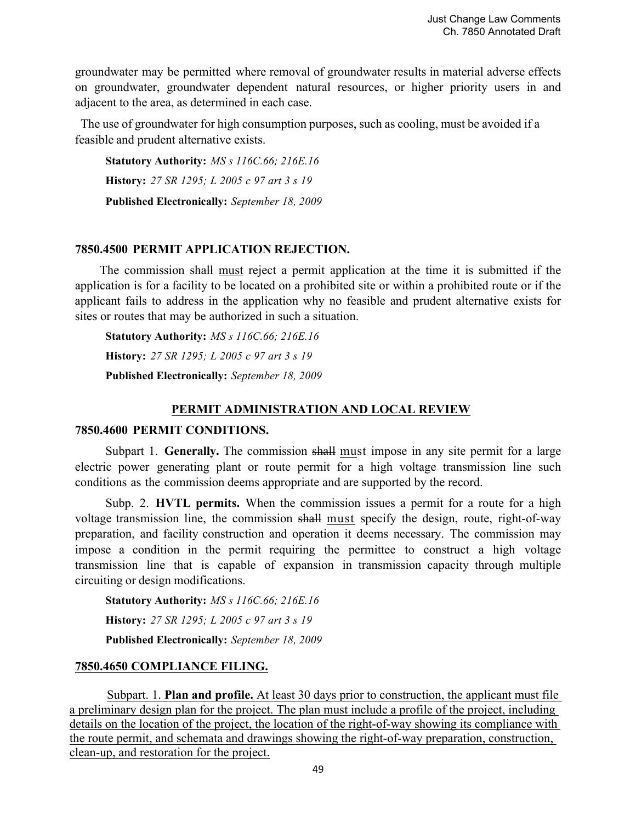Just Change Law Comments Ch. 7850 Annotated Draft

groundwater may be permitted where removal of groundwater results in material adverse effects on groundwater, groundwater dependent natural resources, or higher priority users in and adjacent to the area, as determined in each case.

The use of groundwater for high consumption purposes, such as cooling, must be avoided if a feasible and prudent alternative exists.

**Statutory Authority:** *MS s 116C.66; 216E.16* **History:** *27 SR 1295; L 2005 c 97 art 3 s 19* **Published Electronically:** *September 18, 2009*

## **7850.4500 PERMIT APPLICATION REJECTION.**

The commission shall must reject a permit application at the time it is submitted if the application is for a facility to be located on a prohibited site or within a prohibited route or if the applicant fails to address in the application why no feasible and prudent alternative exists for sites or routes that may be authorized in such a situation.

**Statutory Authority:** *MS s 116C.66; 216E.16* **History:** *27 SR 1295; L 2005 c 97 art 3 s 19* **Published Electronically:** *September 18, 2009*

#### **PERMIT ADMINISTRATION AND LOCAL REVIEW**

#### **7850.4600 PERMIT CONDITIONS.**

Subpart 1. **Generally.** The commission shall must impose in any site permit for a large electric power generating plant or route permit for a high voltage transmission line such conditions as the commission deems appropriate and are supported by the record.

Subp. 2. **HVTL permits.** When the commission issues a permit for a route for a high voltage transmission line, the commission shall must specify the design, route, right-of-way preparation, and facility construction and operation it deems necessary. The commission may impose a condition in the permit requiring the permittee to construct a high voltage transmission line that is capable of expansion in transmission capacity through multiple circuiting or design modifications.

**Statutory Authority:** *MS s 116C.66; 216E.16*

**History:** *27 SR 1295; L 2005 c 97 art 3 s 19*

**Published Electronically:** *September 18, 2009*

#### **7850.4650 COMPLIANCE FILING.**

Subpart. 1. **Plan and profile.** At least 30 days prior to construction, the applicant must file a preliminary design plan for the project. The plan must include a profile of the project, including details on the location of the project, the location of the right-of-way showing its compliance with the route permit, and schemata and drawings showing the right-of-way preparation, construction, clean-up, and restoration for the project.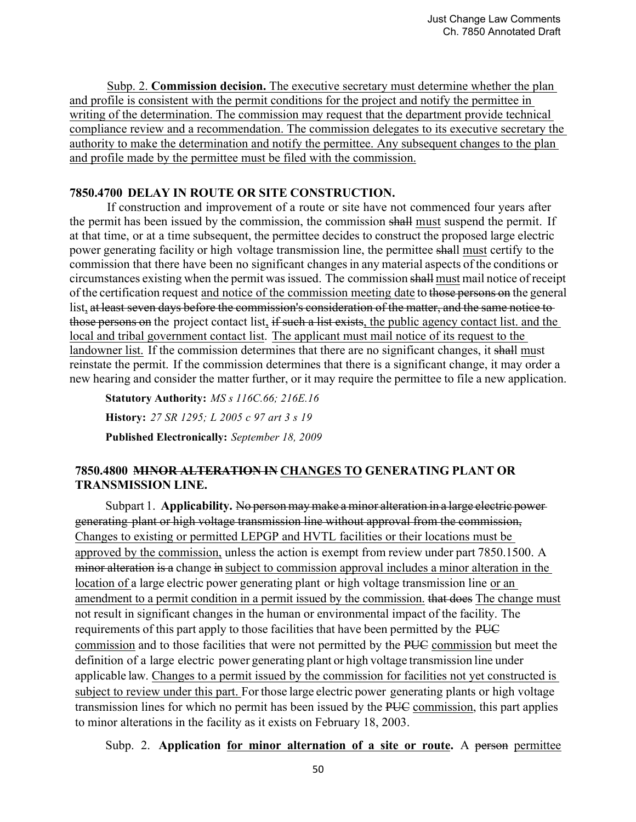Subp. 2. **Commission decision.** The executive secretary must determine whether the plan and profile is consistent with the permit conditions for the project and notify the permittee in writing of the determination. The commission may request that the department provide technical compliance review and a recommendation. The commission delegates to its executive secretary the authority to make the determination and notify the permittee. Any subsequent changes to the plan and profile made by the permittee must be filed with the commission.

## **7850.4700 DELAY IN ROUTE OR SITE CONSTRUCTION.**

 If construction and improvement of a route or site have not commenced four years after the permit has been issued by the commission, the commission shall must suspend the permit. If at that time, or at a time subsequent, the permittee decides to construct the proposed large electric power generating facility or high voltage transmission line, the permittee shall must certify to the commission that there have been no significant changes in any material aspects of the conditions or circumstances existing when the permit was issued. The commission shall must mail notice of receipt of the certification request and notice of the commission meeting date to those persons on the general list, at least seven days before the commission's consideration of the matter, and the same notice to those persons on the project contact list, if such a list exists, the public agency contact list, and the local and tribal government contact list. The applicant must mail notice of its request to the landowner list. If the commission determines that there are no significant changes, it shall must reinstate the permit. If the commission determines that there is a significant change, it may order a new hearing and consider the matter further, or it may require the permittee to file a new application.

**Statutory Authority:** *MS s 116C.66; 216E.16* **History:** *27 SR 1295; L 2005 c 97 art 3 s 19* **Published Electronically:** *September 18, 2009*

# **7850.4800 MINOR ALTERATION IN CHANGES TO GENERATING PLANT OR TRANSMISSION LINE.**

Subpart 1. **Applicability.** No person may make a minor alteration in a large electric power generating plant or high voltage transmission line without approval from the commission, Changes to existing or permitted LEPGP and HVTL facilities or their locations must be approved by the commission, unless the action is exempt from review under part 7850.1500. A minor alteration is a change in subject to commission approval includes a minor alteration in the location of a large electric power generating plant or high voltage transmission line or an amendment to a permit condition in a permit issued by the commission. that does The change must not result in significant changes in the human or environmental impact of the facility. The requirements of this part apply to those facilities that have been permitted by the PUC commission and to those facilities that were not permitted by the PUC commission but meet the definition of a large electric power generating plant or high voltage transmission line under applicable law. Changes to a permit issued by the commission for facilities not yet constructed is subject to review under this part. For those large electric power generating plants or high voltage transmission lines for which no permit has been issued by the PUC commission, this part applies to minor alterations in the facility as it exists on February 18, 2003.

Subp. 2. **Application for minor alternation of a site or route.** A person permittee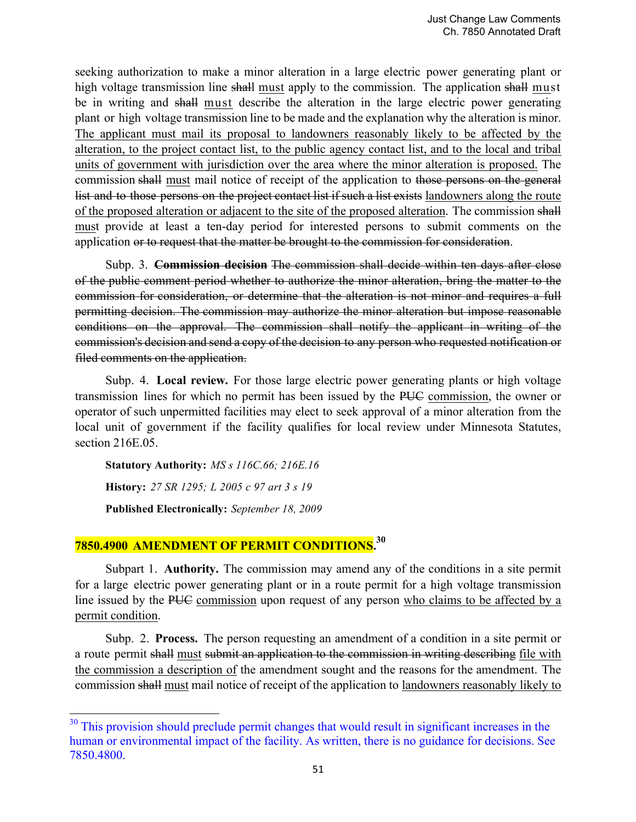seeking authorization to make a minor alteration in a large electric power generating plant or high voltage transmission line shall must apply to the commission. The application shall must be in writing and shall must describe the alteration in the large electric power generating plant or high voltage transmission line to be made and the explanation why the alteration is minor. The applicant must mail its proposal to landowners reasonably likely to be affected by the alteration, to the project contact list, to the public agency contact list, and to the local and tribal units of government with jurisdiction over the area where the minor alteration is proposed. The commission shall must mail notice of receipt of the application to those persons on the general list and to those persons on the project contact list if such a list exists landowners along the route of the proposed alteration or adjacent to the site of the proposed alteration. The commission shall must provide at least a ten-day period for interested persons to submit comments on the application or to request that the matter be brought to the commission for consideration.

Subp. 3. **Commission decision** The commission shall decide within ten days after close of the public comment period whether to authorize the minor alteration, bring the matter to the commission for consideration, or determine that the alteration is not minor and requires a full permitting decision. The commission may authorize the minor alteration but impose reasonable conditions on the approval. The commission shall notify the applicant in writing of the commission's decision and send a copy of the decision to any person who requested notification or filed comments on the application.

Subp. 4. **Local review.** For those large electric power generating plants or high voltage transmission lines for which no permit has been issued by the PUC commission, the owner or operator of such unpermitted facilities may elect to seek approval of a minor alteration from the local unit of government if the facility qualifies for local review under Minnesota Statutes, section 216E.05.

**Statutory Authority:** *MS s 116C.66; 216E.16* **History:** *27 SR 1295; L 2005 c 97 art 3 s 19* **Published Electronically:** *September 18, 2009*

 

# **7850.4900 AMENDMENT OF PERMIT CONDITIONS.30**

Subpart 1. **Authority.** The commission may amend any of the conditions in a site permit for a large electric power generating plant or in a route permit for a high voltage transmission line issued by the PUC commission upon request of any person who claims to be affected by a permit condition.

Subp. 2. **Process.** The person requesting an amendment of a condition in a site permit or a route permit shall must submit an application to the commission in writing describing file with the commission a description of the amendment sought and the reasons for the amendment. The commission shall must mail notice of receipt of the application to landowners reasonably likely to

<sup>&</sup>lt;sup>30</sup> This provision should preclude permit changes that would result in significant increases in the human or environmental impact of the facility. As written, there is no guidance for decisions. See 7850.4800.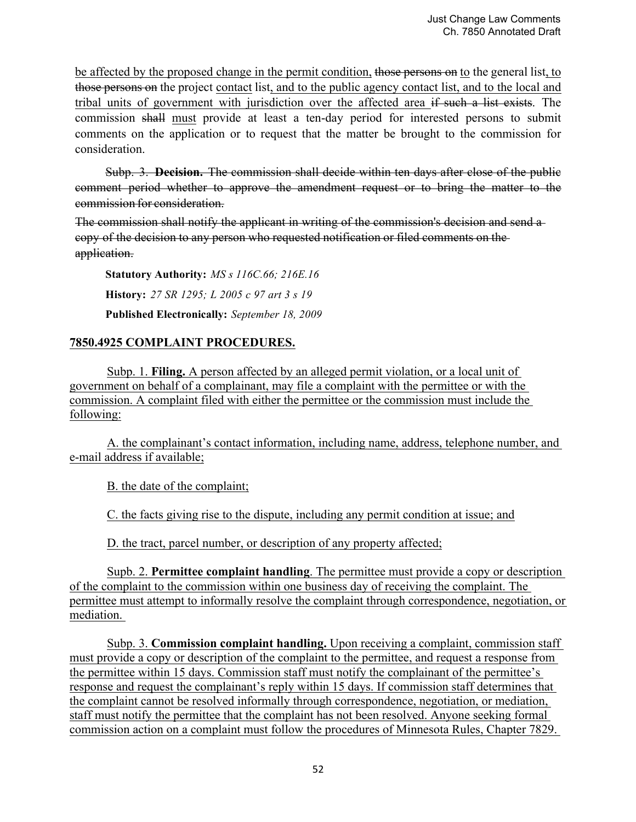be affected by the proposed change in the permit condition, those persons on to the general list, to those persons on the project contact list, and to the public agency contact list, and to the local and tribal units of government with jurisdiction over the affected area if such a list exists. The commission shall must provide at least a ten-day period for interested persons to submit comments on the application or to request that the matter be brought to the commission for consideration.

Subp. 3. **Decision.** The commission shall decide within ten days after close of the public comment period whether to approve the amendment request or to bring the matter to the commission for consideration.

The commission shall notify the applicant in writing of the commission's decision and send a copy of the decision to any person who requested notification or filed comments on the application.

**Statutory Authority:** *MS s 116C.66; 216E.16* **History:** *27 SR 1295; L 2005 c 97 art 3 s 19* **Published Electronically:** *September 18, 2009*

# **7850.4925 COMPLAINT PROCEDURES.**

Subp. 1. **Filing.** A person affected by an alleged permit violation, or a local unit of government on behalf of a complainant, may file a complaint with the permittee or with the commission. A complaint filed with either the permittee or the commission must include the following:

 A. the complainant's contact information, including name, address, telephone number, and e-mail address if available;

B. the date of the complaint;

C. the facts giving rise to the dispute, including any permit condition at issue; and

D. the tract, parcel number, or description of any property affected;

 Supb. 2. **Permittee complaint handling**. The permittee must provide a copy or description of the complaint to the commission within one business day of receiving the complaint. The permittee must attempt to informally resolve the complaint through correspondence, negotiation, or mediation.

 Subp. 3. **Commission complaint handling.** Upon receiving a complaint, commission staff must provide a copy or description of the complaint to the permittee, and request a response from the permittee within 15 days. Commission staff must notify the complainant of the permittee's response and request the complainant's reply within 15 days. If commission staff determines that the complaint cannot be resolved informally through correspondence, negotiation, or mediation, staff must notify the permittee that the complaint has not been resolved. Anyone seeking formal commission action on a complaint must follow the procedures of Minnesota Rules, Chapter 7829.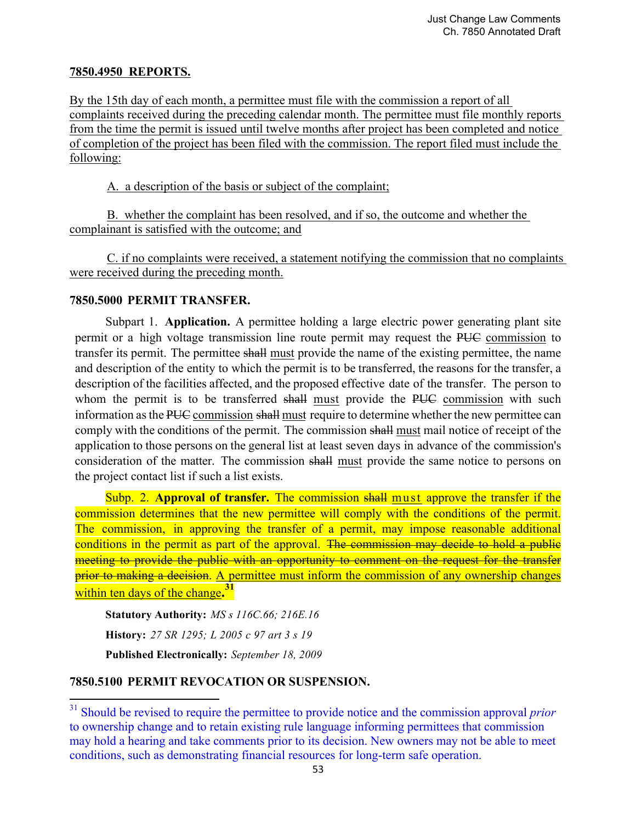# **7850.4950 REPORTS.**

By the 15th day of each month, a permittee must file with the commission a report of all complaints received during the preceding calendar month. The permittee must file monthly reports from the time the permit is issued until twelve months after project has been completed and notice of completion of the project has been filed with the commission. The report filed must include the following:

A. a description of the basis or subject of the complaint;

 B. whether the complaint has been resolved, and if so, the outcome and whether the complainant is satisfied with the outcome; and

 C. if no complaints were received, a statement notifying the commission that no complaints were received during the preceding month.

# **7850.5000 PERMIT TRANSFER.**

Subpart 1. **Application.** A permittee holding a large electric power generating plant site permit or a high voltage transmission line route permit may request the PUC commission to transfer its permit. The permittee shall must provide the name of the existing permittee, the name and description of the entity to which the permit is to be transferred, the reasons for the transfer, a description of the facilities affected, and the proposed effective date of the transfer. The person to whom the permit is to be transferred shall must provide the PUC commission with such information as the PUC commission shall must require to determine whether the new permittee can comply with the conditions of the permit. The commission shall must mail notice of receipt of the application to those persons on the general list at least seven days in advance of the commission's consideration of the matter. The commission shall must provide the same notice to persons on the project contact list if such a list exists.

Subp. 2. **Approval of transfer.** The commission shall must approve the transfer if the commission determines that the new permittee will comply with the conditions of the permit. The commission, in approving the transfer of a permit, may impose reasonable additional conditions in the permit as part of the approval. The commission may decide to hold a public meeting to provide the public with an opportunity to comment on the request for the transfer prior to making a decision. A permittee must inform the commission of any ownership changes within ten days of the change**. 31**

**Statutory Authority:** *MS s 116C.66; 216E.16* **History:** *27 SR 1295; L 2005 c 97 art 3 s 19* **Published Electronically:** *September 18, 2009*

# **7850.5100 PERMIT REVOCATION OR SUSPENSION.**

 

<sup>&</sup>lt;sup>31</sup> Should be revised to require the permittee to provide notice and the commission approval *prior* to ownership change and to retain existing rule language informing permittees that commission may hold a hearing and take comments prior to its decision. New owners may not be able to meet conditions, such as demonstrating financial resources for long-term safe operation.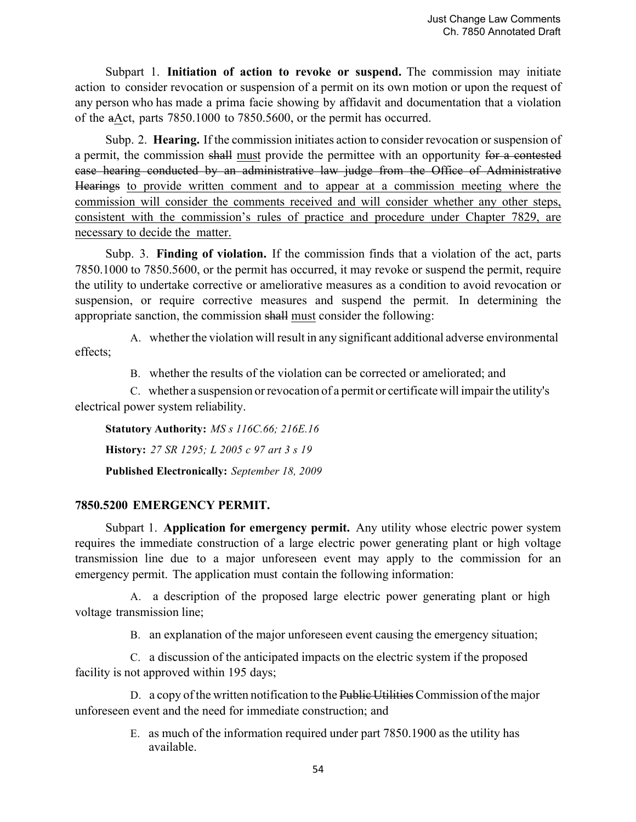Subpart 1. **Initiation of action to revoke or suspend.** The commission may initiate action to consider revocation or suspension of a permit on its own motion or upon the request of any person who has made a prima facie showing by affidavit and documentation that a violation of the aAct, parts 7850.1000 to 7850.5600, or the permit has occurred.

Subp. 2. **Hearing.** If the commission initiates action to consider revocation or suspension of a permit, the commission shall must provide the permittee with an opportunity for a contested case hearing conducted by an administrative law judge from the Office of Administrative Hearings to provide written comment and to appear at a commission meeting where the commission will consider the comments received and will consider whether any other steps, consistent with the commission's rules of practice and procedure under Chapter 7829, are necessary to decide the matter.

Subp. 3. **Finding of violation.** If the commission finds that a violation of the act, parts 7850.1000 to 7850.5600, or the permit has occurred, it may revoke or suspend the permit, require the utility to undertake corrective or ameliorative measures as a condition to avoid revocation or suspension, or require corrective measures and suspend the permit. In determining the appropriate sanction, the commission shall must consider the following:

A. whether the violation will result in any significant additional adverse environmental effects;

B. whether the results of the violation can be corrected or ameliorated; and

C. whether a suspension or revocation of a permit or certificate will impair the utility's electrical power system reliability.

**Statutory Authority:** *MS s 116C.66; 216E.16* **History:** *27 SR 1295; L 2005 c 97 art 3 s 19* **Published Electronically:** *September 18, 2009*

# **7850.5200 EMERGENCY PERMIT.**

Subpart 1. **Application for emergency permit.** Any utility whose electric power system requires the immediate construction of a large electric power generating plant or high voltage transmission line due to a major unforeseen event may apply to the commission for an emergency permit. The application must contain the following information:

A. a description of the proposed large electric power generating plant or high voltage transmission line;

B. an explanation of the major unforeseen event causing the emergency situation;

C. a discussion of the anticipated impacts on the electric system if the proposed facility is not approved within 195 days;

D. a copy of the written notification to the Public Utilities Commission of the major unforeseen event and the need for immediate construction; and

> E. as much of the information required under part 7850.1900 as the utility has available.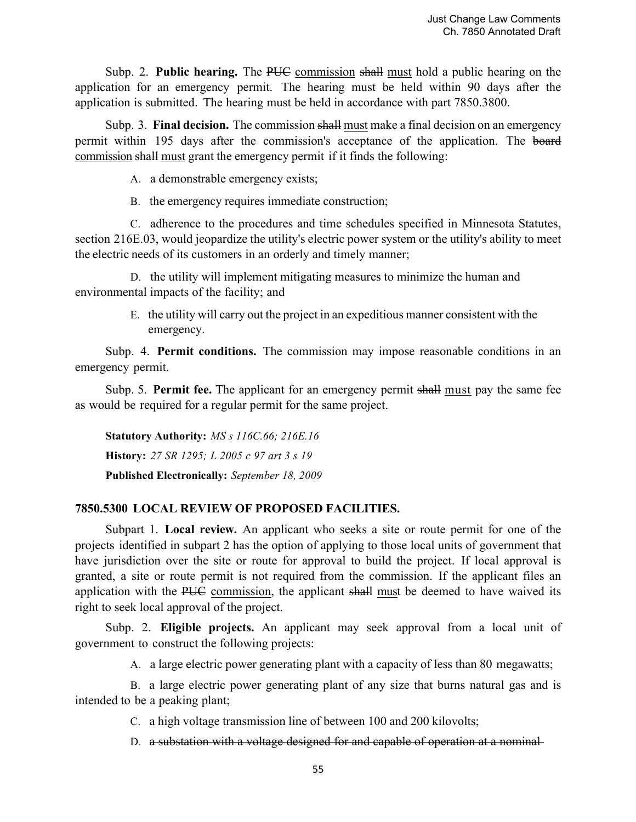Subp. 2. **Public hearing.** The PUC commission shall must hold a public hearing on the application for an emergency permit. The hearing must be held within 90 days after the application is submitted. The hearing must be held in accordance with part 7850.3800.

Subp. 3. **Final decision.** The commission shall must make a final decision on an emergency permit within 195 days after the commission's acceptance of the application. The board commission shall must grant the emergency permit if it finds the following:

A. a demonstrable emergency exists;

B. the emergency requires immediate construction;

C. adherence to the procedures and time schedules specified in Minnesota Statutes, section 216E.03, would jeopardize the utility's electric power system or the utility's ability to meet the electric needs of its customers in an orderly and timely manner;

D. the utility will implement mitigating measures to minimize the human and environmental impacts of the facility; and

> E. the utility will carry out the project in an expeditious manner consistent with the emergency.

Subp. 4. **Permit conditions.** The commission may impose reasonable conditions in an emergency permit.

Subp. 5. **Permit fee.** The applicant for an emergency permit shall must pay the same fee as would be required for a regular permit for the same project.

**Statutory Authority:** *MS s 116C.66; 216E.16* **History:** *27 SR 1295; L 2005 c 97 art 3 s 19* **Published Electronically:** *September 18, 2009*

# **7850.5300 LOCAL REVIEW OF PROPOSED FACILITIES.**

Subpart 1. **Local review.** An applicant who seeks a site or route permit for one of the projects identified in subpart 2 has the option of applying to those local units of government that have jurisdiction over the site or route for approval to build the project. If local approval is granted, a site or route permit is not required from the commission. If the applicant files an application with the PUC commission, the applicant shall must be deemed to have waived its right to seek local approval of the project.

Subp. 2. **Eligible projects.** An applicant may seek approval from a local unit of government to construct the following projects:

A. a large electric power generating plant with a capacity of less than 80 megawatts;

B. a large electric power generating plant of any size that burns natural gas and is intended to be a peaking plant;

C. a high voltage transmission line of between 100 and 200 kilovolts;

D. a substation with a voltage designed for and capable of operation at a nominal-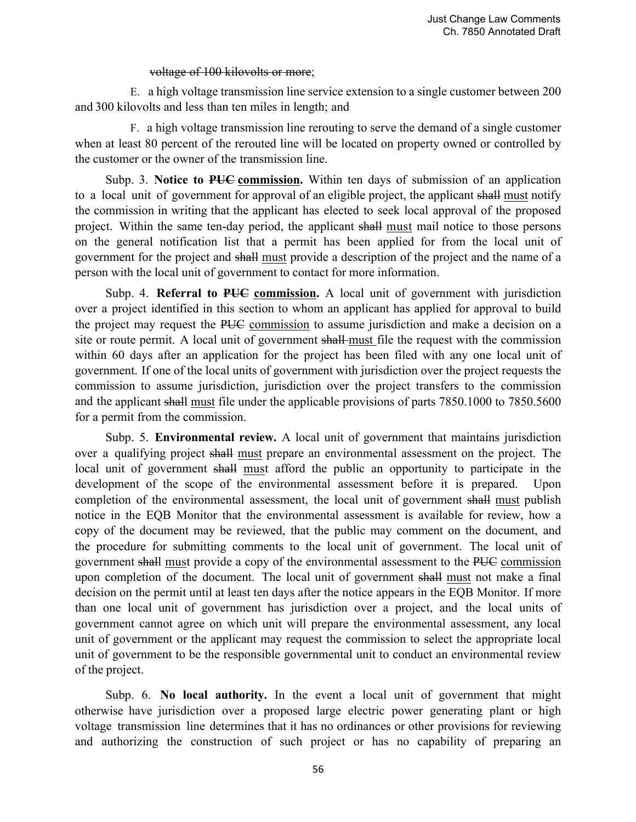#### voltage of 100 kilovolts or more;

E. a high voltage transmission line service extension to a single customer between 200 and 300 kilovolts and less than ten miles in length; and

F. a high voltage transmission line rerouting to serve the demand of a single customer when at least 80 percent of the rerouted line will be located on property owned or controlled by the customer or the owner of the transmission line.

Subp. 3. **Notice to PUC commission.** Within ten days of submission of an application to a local unit of government for approval of an eligible project, the applicant shall must notify the commission in writing that the applicant has elected to seek local approval of the proposed project. Within the same ten-day period, the applicant shall must mail notice to those persons on the general notification list that a permit has been applied for from the local unit of government for the project and shall must provide a description of the project and the name of a person with the local unit of government to contact for more information.

Subp. 4. **Referral to PUC commission.** A local unit of government with jurisdiction over a project identified in this section to whom an applicant has applied for approval to build the project may request the PUC commission to assume jurisdiction and make a decision on a site or route permit. A local unit of government shall must file the request with the commission within 60 days after an application for the project has been filed with any one local unit of government. If one of the local units of government with jurisdiction over the project requests the commission to assume jurisdiction, jurisdiction over the project transfers to the commission and the applicant shall must file under the applicable provisions of parts 7850.1000 to 7850.5600 for a permit from the commission.

Subp. 5. **Environmental review.** A local unit of government that maintains jurisdiction over a qualifying project shall must prepare an environmental assessment on the project. The local unit of government shall must afford the public an opportunity to participate in the development of the scope of the environmental assessment before it is prepared. Upon completion of the environmental assessment, the local unit of government shall must publish notice in the EQB Monitor that the environmental assessment is available for review, how a copy of the document may be reviewed, that the public may comment on the document, and the procedure for submitting comments to the local unit of government. The local unit of government shall must provide a copy of the environmental assessment to the PUC commission upon completion of the document. The local unit of government shall must not make a final decision on the permit until at least ten days after the notice appears in the EQB Monitor. If more than one local unit of government has jurisdiction over a project, and the local units of government cannot agree on which unit will prepare the environmental assessment, any local unit of government or the applicant may request the commission to select the appropriate local unit of government to be the responsible governmental unit to conduct an environmental review of the project.

Subp. 6. **No local authority.** In the event a local unit of government that might otherwise have jurisdiction over a proposed large electric power generating plant or high voltage transmission line determines that it has no ordinances or other provisions for reviewing and authorizing the construction of such project or has no capability of preparing an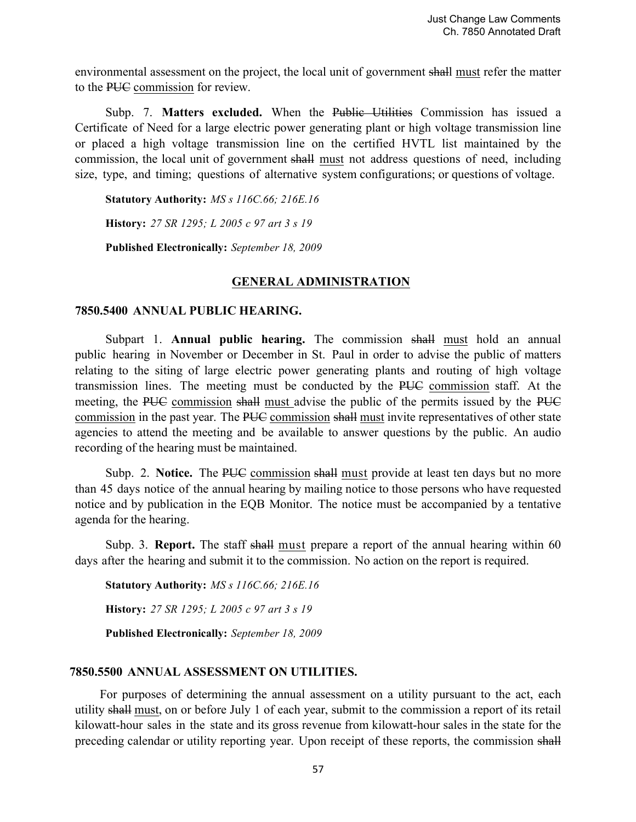environmental assessment on the project, the local unit of government shall must refer the matter to the PUC commission for review.

Subp. 7. Matters excluded. When the Public Utilities Commission has issued a Certificate of Need for a large electric power generating plant or high voltage transmission line or placed a high voltage transmission line on the certified HVTL list maintained by the commission, the local unit of government shall must not address questions of need, including size, type, and timing; questions of alternative system configurations; or questions of voltage.

**Statutory Authority:** *MS s 116C.66; 216E.16*

**History:** *27 SR 1295; L 2005 c 97 art 3 s 19*

**Published Electronically:** *September 18, 2009*

### **GENERAL ADMINISTRATION**

#### **7850.5400 ANNUAL PUBLIC HEARING.**

Subpart 1. **Annual public hearing.** The commission shall must hold an annual public hearing in November or December in St. Paul in order to advise the public of matters relating to the siting of large electric power generating plants and routing of high voltage transmission lines. The meeting must be conducted by the PUC commission staff. At the meeting, the PUC commission shall must advise the public of the permits issued by the PUC commission in the past year. The PUC commission shall must invite representatives of other state agencies to attend the meeting and be available to answer questions by the public. An audio recording of the hearing must be maintained.

Subp. 2. **Notice.** The PUC commission shall must provide at least ten days but no more than 45 days notice of the annual hearing by mailing notice to those persons who have requested notice and by publication in the EQB Monitor. The notice must be accompanied by a tentative agenda for the hearing.

Subp. 3. **Report.** The staff shall must prepare a report of the annual hearing within 60 days after the hearing and submit it to the commission. No action on the report is required.

**Statutory Authority:** *MS s 116C.66; 216E.16*

**History:** *27 SR 1295; L 2005 c 97 art 3 s 19*

**Published Electronically:** *September 18, 2009*

#### **7850.5500 ANNUAL ASSESSMENT ON UTILITIES.**

For purposes of determining the annual assessment on a utility pursuant to the act, each utility shall must, on or before July 1 of each year, submit to the commission a report of its retail kilowatt-hour sales in the state and its gross revenue from kilowatt-hour sales in the state for the preceding calendar or utility reporting year. Upon receipt of these reports, the commission shall